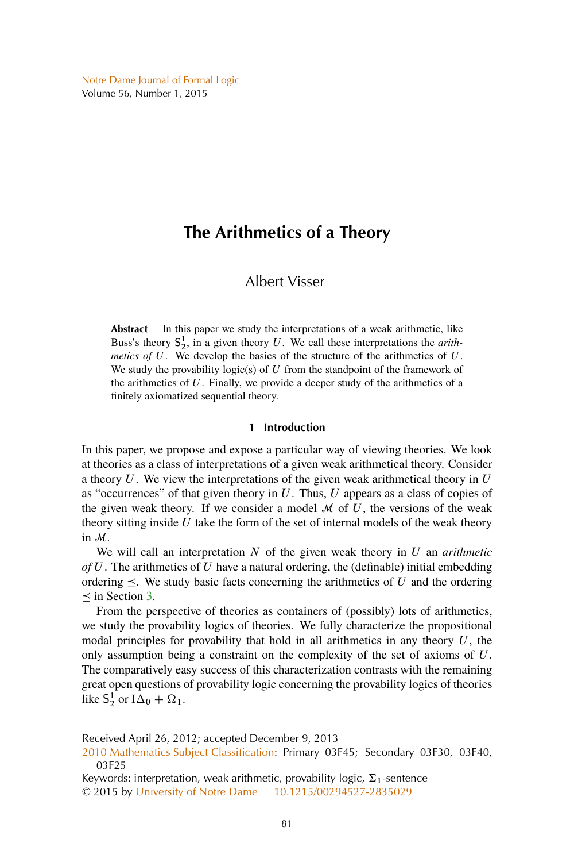# **The Arithmetics of a Theory**

## Albert Visser

**Abstract** In this paper we study the interpretations of a weak arithmetic, like Buss's theory  $S_2^1$ , in a given theory U. We call these interpretations the *arithmetics of*  $U$ . We develop the basics of the structure of the arithmetics of  $U$ . We study the provability logic(s) of  $U$  from the standpoint of the framework of the arithmetics of  $U$ . Finally, we provide a deeper study of the arithmetics of a finitely axiomatized sequential theory.

## **1 Introduction**

In this paper, we propose and expose a particular way of viewing theories. We look at theories as a class of interpretations of a given weak arithmetical theory. Consider a theory  $U$ . We view the interpretations of the given weak arithmetical theory in  $U$ as "occurrences" of that given theory in  $U$ . Thus,  $U$  appears as a class of copies of the given weak theory. If we consider a model  $M$  of  $U$ , the versions of the weak theory sitting inside  $U$  take the form of the set of internal models of the weak theory in M.

We will call an interpretation N of the given weak theory in U an *arithmetic of* U. The arithmetics of U have a natural ordering, the (definable) initial embedding ordering  $\leq$ . We study basic facts concerning the arithmetics of U and the ordering  $\prec$  in Section [3.](#page-5-0)

From the perspective of theories as containers of (possibly) lots of arithmetics, we study the provability logics of theories. We fully characterize the propositional modal principles for provability that hold in all arithmetics in any theory  $U$ , the only assumption being a constraint on the complexity of the set of axioms of U. The comparatively easy success of this characterization contrasts with the remaining great open questions of provability logic concerning the provability logics of theories like  $S_2^1$  or  $I\Delta_0 + \Omega_1$ .

Received April 26, 2012; accepted December 9, 2013

[<sup>2010</sup> Mathematics Subject Classification:](http://www.ams.org/mathscinet/msc/msc2010.html) Primary 03F45; Secondary 03F30, 03F40, 03F25

Keywords: interpretation, weak arithmetic, provability logic,  $\Sigma_1$ -sentence © 2015 by [University of Notre Dame](http://www.nd.edu) [10.1215/00294527-2835029](http://dx.doi.org/10.1215/00294527-2835029)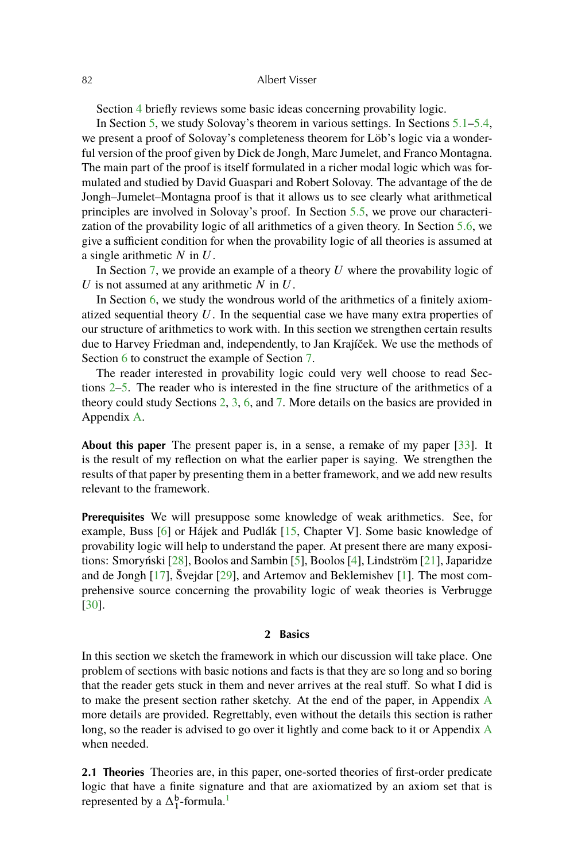<span id="page-1-0"></span>Section [4](#page-10-0) briefly reviews some basic ideas concerning provability logic.

In Section [5,](#page-12-0) we study Solovay's theorem in various settings. In Sections [5.1](#page-12-0)[–5.4,](#page-16-0) we present a proof of Solovay's completeness theorem for Löb's logic via a wonderful version of the proof given by Dick de Jongh, Marc Jumelet, and Franco Montagna. The main part of the proof is itself formulated in a richer modal logic which was formulated and studied by David Guaspari and Robert Solovay. The advantage of the de Jongh–Jumelet–Montagna proof is that it allows us to see clearly what arithmetical principles are involved in Solovay's proof. In Section [5.5,](#page-17-0) we prove our characterization of the provability logic of all arithmetics of a given theory. In Section [5.6,](#page-18-0) we give a sufficient condition for when the provability logic of all theories is assumed at a single arithmetic  $N$  in  $U$ .

In Section [7,](#page-24-0) we provide an example of a theory  $U$  where the provability logic of U is not assumed at any arithmetic  $N$  in  $U$ .

In Section  $6$ , we study the wondrous world of the arithmetics of a finitely axiomatized sequential theory  $U$ . In the sequential case we have many extra properties of our structure of arithmetics to work with. In this section we strengthen certain results due to Harvey Friedman and, independently, to Jan Krajíček. We use the methods of Section [6](#page-18-0) to construct the example of Section [7.](#page-24-0)

The reader interested in provability logic could very well choose to read Sections 2[–5.](#page-12-0) The reader who is interested in the fine structure of the arithmetics of a theory could study Sections 2, [3,](#page-5-0) [6,](#page-18-0) and [7.](#page-24-0) More details on the basics are provided in Appendix [A.](#page-27-0)

**About this paper** The present paper is, in a sense, a remake of my paper [\[33\]](#page-38-0). It is the result of my reflection on what the earlier paper is saying. We strengthen the results of that paper by presenting them in a better framework, and we add new results relevant to the framework.

**Prerequisites** We will presuppose some knowledge of weak arithmetics. See, for example, Buss [\[6\]](#page-36-0) or Hájek and Pudlák [\[15,](#page-36-0) Chapter V]. Some basic knowledge of provability logic will help to understand the paper. At present there are many expositions: Smoryński [\[28\]](#page-37-0), Boolos and Sambin [\[5\]](#page-36-0), Boolos [\[4\]](#page-36-0), Lindström [\[21\]](#page-37-0), Japaridze and de Jongh [\[17\]](#page-37-0), Švejdar [\[29\]](#page-37-0), and Artemov and Beklemishev [\[1\]](#page-36-0). The most comprehensive source concerning the provability logic of weak theories is Verbrugge [\[30\]](#page-37-0).

## **2 Basics**

In this section we sketch the framework in which our discussion will take place. One problem of sections with basic notions and facts is that they are so long and so boring that the reader gets stuck in them and never arrives at the real stuff. So what I did is to make the present section rather sketchy. At the end of the paper, in Appendix [A](#page-27-0) more details are provided. Regrettably, even without the details this section is rather long, so the reader is advised to go over it lightly and come back to it or Appendix [A](#page-27-0) when needed.

**2.1 Theories** Theories are, in this paper, one-sorted theories of first-order predicate logic that have a finite signature and that are axiomatized by an axiom set that is represented by a  $\Delta_1^{\rm b}$  $\Delta_1^{\rm b}$  $\Delta_1^{\rm b}$ -formula.<sup>1</sup>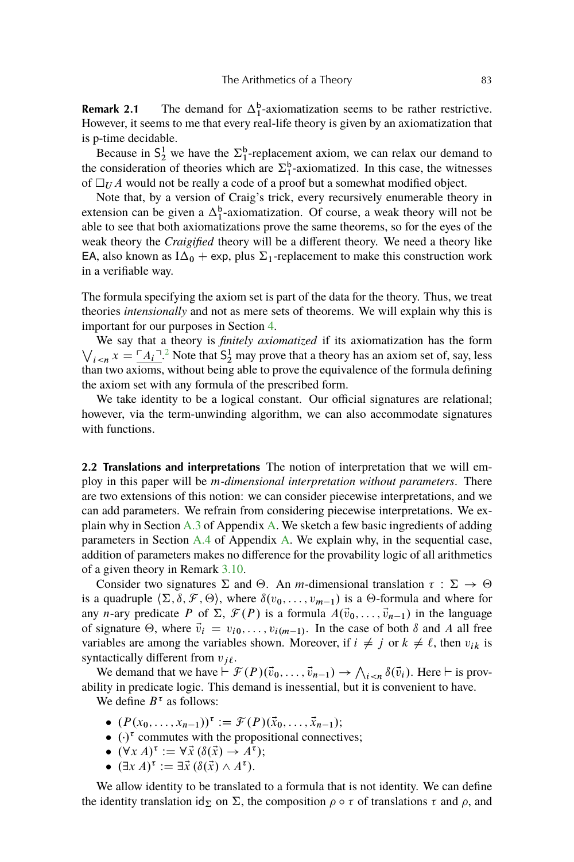**Remark 2.1** The demand for  $\Delta_1^b$ -axiomatization seems to be rather restrictive. However, it seems to me that every real-life theory is given by an axiomatization that is p-time decidable.

Because in  $S_2^1$  we have the  $\Sigma_1^b$ -replacement axiom, we can relax our demand to the consideration of theories which are  $\Sigma_1^b$ -axiomatized. In this case, the witnesses of  $\Box_U A$  would not be really a code of a proof but a somewhat modified object.

Note that, by a version of Craig's trick, every recursively enumerable theory in extension can be given a  $\Delta_1^b$ -axiomatization. Of course, a weak theory will not be able to see that both axiomatizations prove the same theorems, so for the eyes of the weak theory the *Craigified* theory will be a different theory. We need a theory like EA, also known as  $I\Delta_0$  + exp, plus  $\Sigma_1$ -replacement to make this construction work in a verifiable way.

The formula specifying the axiom set is part of the data for the theory. Thus, we treat theories *intensionally* and not as mere sets of theorems. We will explain why this is important for our purposes in Section [4.](#page-10-0)

 $\bigvee_{i \leq n} x = \underline{A_i}^{-1}$ .<sup>[2](#page-34-0)</sup> Note that  $S_2^1$  may prove that a theory has an axiom set of, say, less We say that a theory is *finitely axiomatized* if its axiomatization has the form than two axioms, without being able to prove the equivalence of the formula defining the axiom set with any formula of the prescribed form.

We take identity to be a logical constant. Our official signatures are relational; however, via the term-unwinding algorithm, we can also accommodate signatures with functions.

**2.2 Translations and interpretations** The notion of interpretation that we will employ in this paper will be m*-dimensional interpretation without parameters*. There are two extensions of this notion: we can consider piecewise interpretations, and we can add parameters. We refrain from considering piecewise interpretations. We explain why in Section [A.3](#page-30-0) of Appendix [A.](#page-27-0) We sketch a few basic ingredients of adding parameters in Section [A.4](#page-30-0) of Appendix [A.](#page-27-0) We explain why, in the sequential case, addition of parameters makes no difference for the provability logic of all arithmetics of a given theory in Remark [3.10.](#page-8-0)

Consider two signatures  $\Sigma$  and  $\Theta$ . An *m*-dimensional translation  $\tau : \Sigma \to \Theta$ is a quadruple  $\langle \Sigma, \delta, \mathcal{F}, \Theta \rangle$ , where  $\delta(v_0, \ldots, v_{m-1})$  is a  $\Theta$ -formula and where for any *n*-ary predicate P of  $\Sigma$ ,  $\mathcal{F}(P)$  is a formula  $A(\vec{v}_0, \ldots, \vec{v}_{n-1})$  in the language of signature  $\Theta$ , where  $\vec{v}_i = v_{i0}, \dots, v_{i(m-1)}$ . In the case of both  $\delta$  and A all free variables are among the variables shown. Moreover, if  $i \neq j$  or  $k \neq \ell$ , then  $v_{ik}$  is syntactically different from  $v_{i\ell}$ .

We demand that we have  $\vdash \mathcal{F}(P)(\vec{v}_0,\ldots,\vec{v}_{n-1}) \to \bigwedge_{i\leq n} \delta(\vec{v}_i)$ . Here  $\vdash$  is provability in predicate logic. This demand is inessential, but it is convenient to have.

We define  $B^{\tau}$  as follows:

- $(P(x_0, ..., x_{n-1}))^{\tau} := \mathcal{F}(P)(\vec{x}_0, ..., \vec{x}_{n-1});$
- $\bullet$   $(\cdot)^{\tau}$  commutes with the propositional connectives;
- $\bullet$   $(\forall x A)^{\tau} := \forall \vec{x} (\delta(\vec{x}) \rightarrow A^{\tau});$
- $(\exists x A)^{\tau} := \exists \vec{x} (\delta(\vec{x}) \wedge A^{\tau}).$

We allow identity to be translated to a formula that is not identity. We can define the identity translation  $id_{\Sigma}$  on  $\Sigma$ , the composition  $\rho \circ \tau$  of translations  $\tau$  and  $\rho$ , and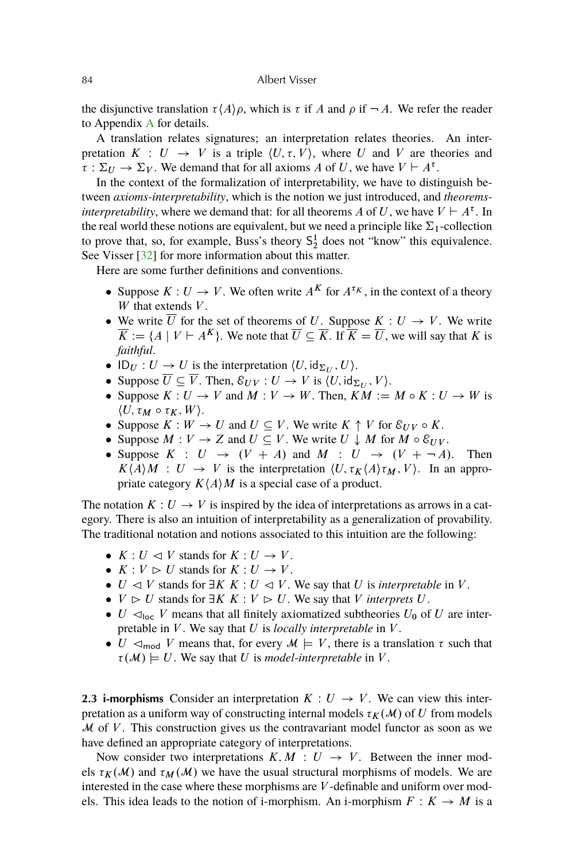<span id="page-3-0"></span>the disjunctive translation  $\tau(A)\rho$ , which is  $\tau$  if A and  $\rho$  if  $\neg A$ . We refer the reader to Appendix [A](#page-27-0) for details.

A translation relates signatures; an interpretation relates theories. An interpretation  $K : U \rightarrow V$  is a triple  $\langle U, \tau, V \rangle$ , where U and V are theories and  $\overline{\tau} : \Sigma_U \to \Sigma_V$ . We demand that for all axioms A of U, we have  $V \vdash A^{\tau}$ .

In the context of the formalization of interpretability, we have to distinguish between *axioms-interpretability*, which is the notion we just introduced, and *theoremsinterpretability*, where we demand that: for all theorems A of U, we have  $V \vdash A^{\tau}$ . In the real world these notions are equivalent, but we need a principle like  $\Sigma_1$ -collection to prove that, so, for example, Buss's theory  $S_2^1$  does not "know" this equivalence. See Visser [\[32\]](#page-37-0) for more information about this matter.

Here are some further definitions and conventions.

- Suppose  $K: U \to V$ . We often write  $A^K$  for  $A^{\tau_K}$ , in the context of a theory  $W$  that extends  $V$ .
- We write  $\overline{U}$  for the set of theorems of U. Suppose  $K : U \to V$ . We write  $\overline{K} := \{ A \mid V \vdash A^{K} \}.$  We note that  $\overline{U} \subseteq \overline{K}$ . If  $\overline{K} = \overline{U}$ , we will say that K is *faithful*.
- $ID_U: U \to U$  is the interpretation  $\langle U, id_{\Sigma_U}, U \rangle$ .
- Suppose  $\overline{U} \subseteq \overline{V}$ . Then,  $\mathcal{E}_{UV} : U \to V$  is  $\langle U, id_{\Sigma_U}, V \rangle$ .
- Suppose  $K: U \to V$  and  $M: V \to W$ . Then,  $KM := M \circ K : U \to W$  is  $\langle U, \tau_M \circ \tau_K, W \rangle$ .
- Suppose  $K : W \to U$  and  $U \subseteq V$ . We write  $K \uparrow V$  for  $\mathcal{E}_{UV} \circ K$ .
- Suppose  $M: V \to Z$  and  $U \subseteq V$ . We write  $U \downarrow M$  for  $M \circ \mathcal{E}_{UV}$ .
- Suppose  $K : U \rightarrow (V + A)$  and  $M : U \rightarrow (V + \neg A)$ . Then  $K\langle A \rangle M$  :  $U \rightarrow V$  is the interpretation  $\langle U, \tau_K \langle A \rangle \tau_M, V \rangle$ . In an appropriate category  $K\langle A \rangle M$  is a special case of a product.

The notation  $K: U \to V$  is inspired by the idea of interpretations as arrows in a category. There is also an intuition of interpretability as a generalization of provability. The traditional notation and notions associated to this intuition are the following:

- $K: U \vartriangleleft V$  stands for  $K: U \to V$ .
- $K: V \triangleright U$  stands for  $K: U \to V$ .
- $\bullet$  U  $\triangleleft$  V stands for  $\exists K K : U \triangleleft V$ . We say that U is *interpretable* in V.
- $V \supset U$  stands for  $\exists K K : V \supset U$ . We say that V *interprets* U.
- $\bullet$  U  $\lhd_{\text{loc}}$  V means that all finitely axiomatized subtheories U<sub>0</sub> of U are interpretable in V. We say that U is *locally interpretable* in V.
- $\bullet$  U  $\lhd_{\text{mod}}$  V means that, for every  $\mathcal{M} \models V$ , there is a translation  $\tau$  such that  $\tau(\mathcal{M}) \models U$ . We say that U is *model-interpretable* in V.

**2.3 i-morphisms** Consider an interpretation  $K: U \rightarrow V$ . We can view this interpretation as a uniform way of constructing internal models  $\tau_K(M)$  of U from models  $M$  of  $V$ . This construction gives us the contravariant model functor as soon as we have defined an appropriate category of interpretations.

Now consider two interpretations  $K, M : U \rightarrow V$ . Between the inner models  $\tau_K(\mathcal{M})$  and  $\tau_M(\mathcal{M})$  we have the usual structural morphisms of models. We are interested in the case where these morphisms are V -definable and uniform over models. This idea leads to the notion of i-morphism. An i-morphism  $F: K \to M$  is a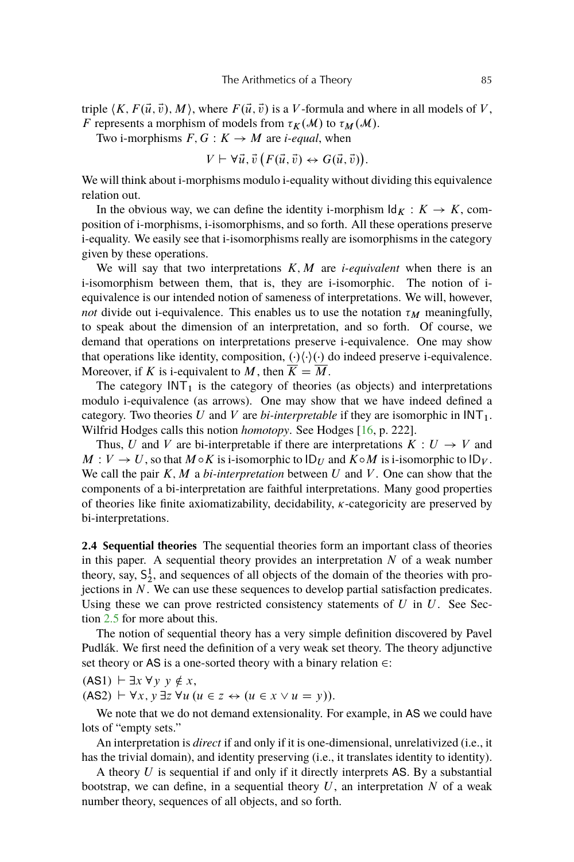<span id="page-4-0"></span>triple  $\langle K, F(\vec{u}, \vec{v}), M \rangle$ , where  $F(\vec{u}, \vec{v})$  is a V-formula and where in all models of V, F represents a morphism of models from  $\tau_K(\mathcal{M})$  to  $\tau_M(\mathcal{M})$ .

Two i-morphisms  $F, G: K \rightarrow M$  are *i-equal*, when

$$
V \vdash \forall \vec{u}, \vec{v} \left( F(\vec{u}, \vec{v}) \leftrightarrow G(\vec{u}, \vec{v}) \right).
$$

We will think about i-morphisms modulo i-equality without dividing this equivalence relation out.

In the obvious way, we can define the identity i-morphism  $\mathrm{Id}_K : K \to K$ , composition of i-morphisms, i-isomorphisms, and so forth. All these operations preserve i-equality. We easily see that i-isomorphisms really are isomorphisms in the category given by these operations.

We will say that two interpretations  $K, M$  are *i-equivalent* when there is an i-isomorphism between them, that is, they are i-isomorphic. The notion of iequivalence is our intended notion of sameness of interpretations. We will, however, *not* divide out i-equivalence. This enables us to use the notation  $\tau_M$  meaningfully, to speak about the dimension of an interpretation, and so forth. Of course, we demand that operations on interpretations preserve i-equivalence. One may show that operations like identity, composition,  $(\cdot)(\cdot)$  do indeed preserve i-equivalence. Moreover, if K is i-equivalent to M, then  $\overline{K} = \overline{M}$ .

The category  $INT<sub>1</sub>$  is the category of theories (as objects) and interpretations modulo i-equivalence (as arrows). One may show that we have indeed defined a category. Two theories U and V are  $bi\text{-}interpretable$  if they are isomorphic in  $INT<sub>1</sub>$ . Wilfrid Hodges calls this notion *homotopy*. See Hodges [\[16,](#page-37-0) p. 222].

Thus, U and V are bi-interpretable if there are interpretations  $K: U \rightarrow V$  and  $M: V \to U$ , so that  $M \circ K$  is i-isomorphic to  $ID_U$  and  $K \circ M$  is i-isomorphic to  $ID_V$ . We call the pair  $K, M$  a *bi-interpretation* between  $U$  and  $V$ . One can show that the components of a bi-interpretation are faithful interpretations. Many good properties of theories like finite axiomatizability, decidability,  $\kappa$ -categoricity are preserved by bi-interpretations.

**2.4 Sequential theories** The sequential theories form an important class of theories in this paper. A sequential theory provides an interpretation  $N$  of a weak number theory, say,  $S_2^1$ , and sequences of all objects of the domain of the theories with projections in  $N$ . We can use these sequences to develop partial satisfaction predicates. Using these we can prove restricted consistency statements of  $U$  in  $U$ . See Section [2.5](#page-5-0) for more about this.

The notion of sequential theory has a very simple definition discovered by Pavel Pudlák. We first need the definition of a very weak set theory. The theory adjunctive set theory or AS is a one-sorted theory with a binary relation  $\in$ :

 $(AS1) \vdash \exists x \forall y \; y \notin x,$  $(AS2) \vdash \forall x, y \exists z \forall u (u \in z \leftrightarrow (u \in x \vee u = y)).$ 

We note that we do not demand extensionality. For example, in AS we could have lots of "empty sets."

An interpretation is *direct* if and only if it is one-dimensional, unrelativized (i.e., it has the trivial domain), and identity preserving (i.e., it translates identity to identity).

A theory  $U$  is sequential if and only if it directly interprets AS. By a substantial bootstrap, we can define, in a sequential theory  $U$ , an interpretation  $N$  of a weak number theory, sequences of all objects, and so forth.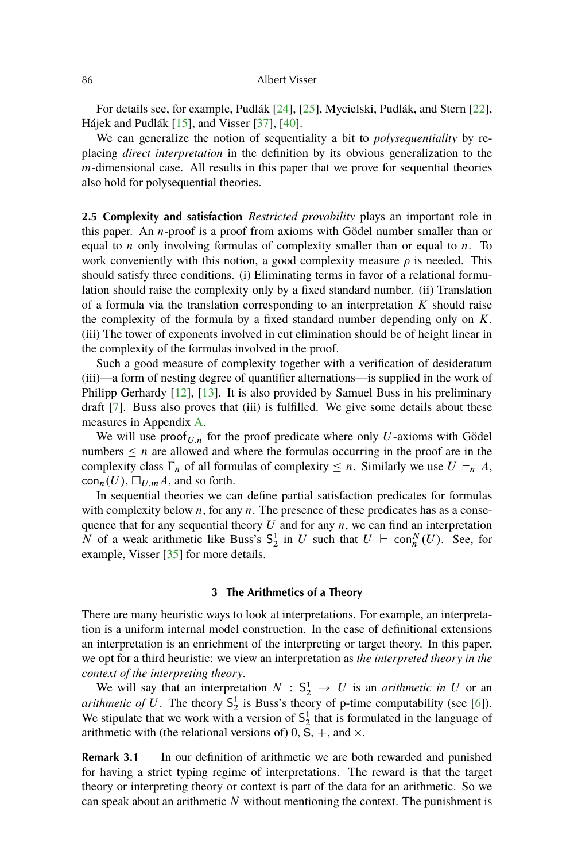<span id="page-5-0"></span>For details see, for example, Pudlák [\[24\]](#page-37-0), [\[25\]](#page-37-0), Mycielski, Pudlák, and Stern [\[22\]](#page-37-0), Hájek and Pudlák [\[15\]](#page-36-0), and Visser [\[37\]](#page-38-0), [\[40\]](#page-38-0).

We can generalize the notion of sequentiality a bit to *polysequentiality* by replacing *direct interpretation* in the definition by its obvious generalization to the  $m$ -dimensional case. All results in this paper that we prove for sequential theories also hold for polysequential theories.

**2.5 Complexity and satisfaction** *Restricted provability* plays an important role in this paper. An n-proof is a proof from axioms with Gödel number smaller than or equal to  $n$  only involving formulas of complexity smaller than or equal to  $n$ . To work conveniently with this notion, a good complexity measure  $\rho$  is needed. This should satisfy three conditions. (i) Eliminating terms in favor of a relational formulation should raise the complexity only by a fixed standard number. (ii) Translation of a formula via the translation corresponding to an interpretation  $K$  should raise the complexity of the formula by a fixed standard number depending only on  $K$ . (iii) The tower of exponents involved in cut elimination should be of height linear in the complexity of the formulas involved in the proof.

Such a good measure of complexity together with a verification of desideratum (iii)—a form of nesting degree of quantifier alternations—is supplied in the work of Philipp Gerhardy [\[12\]](#page-36-0), [\[13\]](#page-36-0). It is also provided by Samuel Buss in his preliminary draft [\[7\]](#page-36-0). Buss also proves that (iii) is fulfilled. We give some details about these measures in Appendix [A.](#page-27-0)

We will use proof  $U_{n,n}$  for the proof predicate where only U-axioms with Gödel numbers  $\leq n$  are allowed and where the formulas occurring in the proof are in the complexity class  $\Gamma_n$  of all formulas of complexity  $\leq n$ . Similarly we use  $U \vdash_n A$ ,  $\text{con}_{n}(U), \Box_{U,m}A$ , and so forth.

In sequential theories we can define partial satisfaction predicates for formulas with complexity below  $n$ , for any  $n$ . The presence of these predicates has as a consequence that for any sequential theory  $U$  and for any  $n$ , we can find an interpretation N of a weak arithmetic like Buss's  $S_2^1$  in U such that  $U \vdash \text{con}_n^N(U)$ . See, for example, Visser [\[35\]](#page-38-0) for more details.

## **3 The Arithmetics of a Theory**

There are many heuristic ways to look at interpretations. For example, an interpretation is a uniform internal model construction. In the case of definitional extensions an interpretation is an enrichment of the interpreting or target theory. In this paper, we opt for a third heuristic: we view an interpretation as *the interpreted theory in the context of the interpreting theory*.

We will say that an interpretation  $N : S_2^1 \rightarrow U$  is an *arithmetic in* U or an *arithmetic of* U. The theory  $S_2^1$  is Buss's theory of p-time computability (see [\[6\]](#page-36-0)). We stipulate that we work with a version of  $S_2^1$  that is formulated in the language of arithmetic with (the relational versions of) 0,  $\overline{S}$ , +, and  $\times$ .

**Remark 3.1** In our definition of arithmetic we are both rewarded and punished for having a strict typing regime of interpretations. The reward is that the target theory or interpreting theory or context is part of the data for an arithmetic. So we can speak about an arithmetic  $N$  without mentioning the context. The punishment is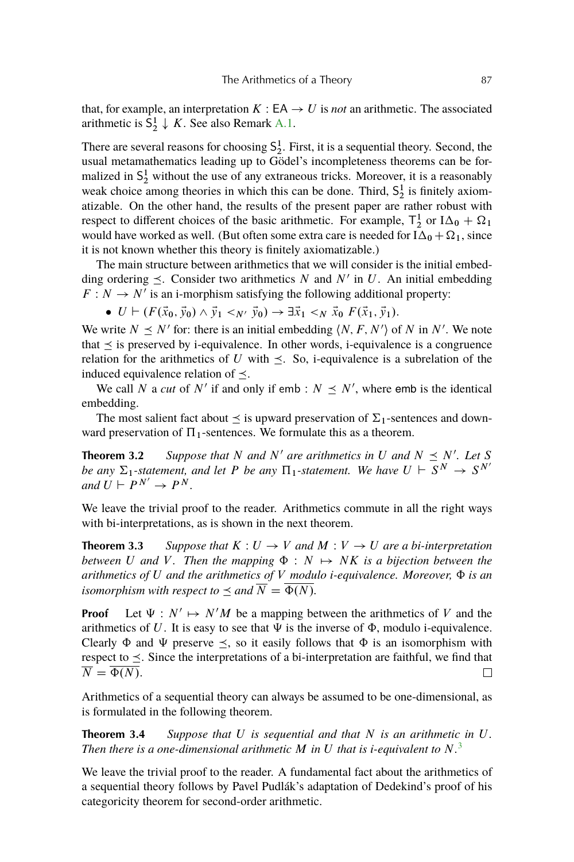<span id="page-6-0"></span>that, for example, an interpretation  $K : EA \rightarrow U$  is *not* an arithmetic. The associated arithmetic is  $S_2^1 \downarrow K$ . See also Remark [A.1.](#page-28-0)

There are several reasons for choosing  $S_2^1$ . First, it is a sequential theory. Second, the usual metamathematics leading up to Gödel's incompleteness theorems can be formalized in  $S_2^1$  without the use of any extraneous tricks. Moreover, it is a reasonably weak choice among theories in which this can be done. Third,  $S_2^1$  is finitely axiomatizable. On the other hand, the results of the present paper are rather robust with respect to different choices of the basic arithmetic. For example,  $T_2^1$  or  $I\Delta_0 + \Omega_1$ would have worked as well. (But often some extra care is needed for  $I\Delta_0 + \Omega_1$ , since it is not known whether this theory is finitely axiomatizable.)

The main structure between arithmetics that we will consider is the initial embedding ordering  $\leq$ . Consider two arithmetics N and N' in U. An initial embedding  $F: N \to N'$  is an i-morphism satisfying the following additional property:

 $\bullet$   $U \vdash (F(\vec{x}_0, \vec{y}_0) \land \vec{y}_1 <_{N'} \vec{y}_0) \rightarrow \exists \vec{x}_1 <_N \vec{x}_0 F(\vec{x}_1, \vec{y}_1).$ 

We write  $N \leq N'$  for: there is an initial embedding  $\langle N, F, N' \rangle$  of N in N'. We note that  $\prec$  is preserved by i-equivalence. In other words, i-equivalence is a congruence relation for the arithmetics of U with  $\leq$ . So, i-equivalence is a subrelation of the induced equivalence relation of  $\prec$ .

We call N a *cut* of N' if and only if emb :  $N \leq N'$ , where emb is the identical embedding.

The most salient fact about  $\leq$  is upward preservation of  $\Sigma_1$ -sentences and downward preservation of  $\Pi_1$ -sentences. We formulate this as a theorem.

**Theorem 3.2** Suppose that N and N' are arithmetics in U and  $N \leq N'$ . Let S *be any*  $\Sigma_1$ -statement, and let P *be any*  $\Pi_1$ -statement. We have  $U \vdash \overline{S}^N \to S^{N'}$ *and*  $U \vdash P^{N'} \rightarrow P^N$ .

We leave the trivial proof to the reader. Arithmetics commute in all the right ways with bi-interpretations, as is shown in the next theorem.

**Theorem 3.3** Suppose that  $K: U \to V$  and  $M: V \to U$  are a bi-interpretation *between* U and V. Then the mapping  $\Phi : N \mapsto NK$  is a bijection between the *arithmetics of*  $U$  *and the arithmetics of*  $V$  *modulo i-equivalence. Moreover,*  $\Phi$  *is an isomorphism with respect to*  $\leq$  *and*  $\overline{N} = \overline{\Phi(N)}$ *.* 

**Proof** Let  $\Psi : N' \mapsto N'M$  be a mapping between the arithmetics of V and the arithmetics of U. It is easy to see that  $\Psi$  is the inverse of  $\Phi$ , modulo i-equivalence. Clearly  $\Phi$  and  $\Psi$  preserve  $\leq$ , so it easily follows that  $\Phi$  is an isomorphism with respect to  $\prec$ . Since the interpretations of a bi-interpretation are faithful, we find that  $\overline{N} = \overline{\Phi(N)}$ .  $\Box$ 

Arithmetics of a sequential theory can always be assumed to be one-dimensional, as is formulated in the following theorem.

**Theorem 3.4** *Suppose that* U *is sequential and that* N *is an arithmetic in* U*. Then there is a one-dimensional arithmetic* M *in* U *that is i-equivalent to* N*.* [3](#page-34-0)

We leave the trivial proof to the reader. A fundamental fact about the arithmetics of a sequential theory follows by Pavel Pudlák's adaptation of Dedekind's proof of his categoricity theorem for second-order arithmetic.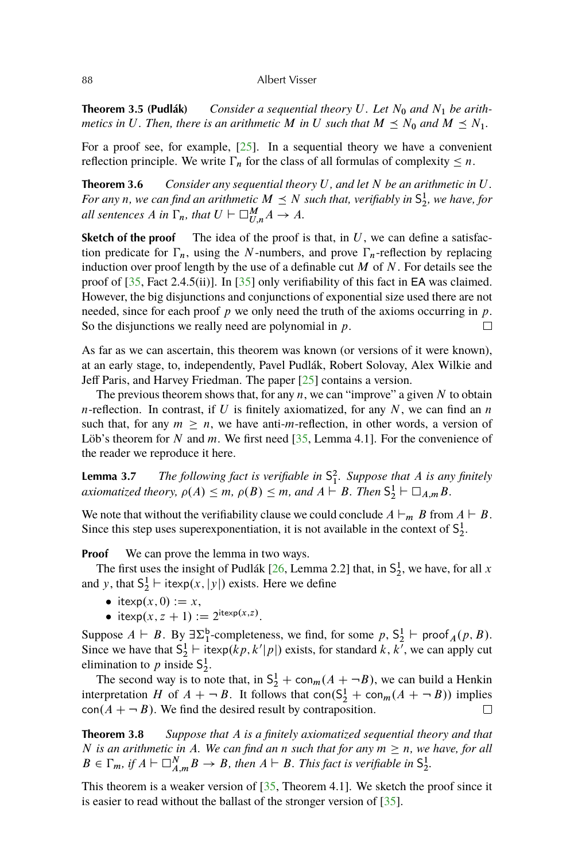<span id="page-7-0"></span>**Theorem 3.5 (Pudlák)** *Consider a sequential theory U. Let*  $N_0$  *and*  $N_1$  *be arithmetics in* U. Then, there is an arithmetic M in U such that  $M \preceq N_0$  and  $M \preceq N_1$ .

For a proof see, for example, [\[25\]](#page-37-0). In a sequential theory we have a convenient reflection principle. We write  $\Gamma_n$  for the class of all formulas of complexity  $\leq n$ .

**Theorem 3.6** *Consider any sequential theory* U*, and let* N *be an arithmetic in* U*. For any n*, we can find an arithmetic  $M \preceq N$  such that, verifiably in  $S_2^1$ , we have, for *all sentences*  $A$  *in*  $\Gamma_n$ *, that*  $U \vdash \Box_{U,n}^M A \rightarrow A$ *.* 

**Sketch of the proof** The idea of the proof is that, in  $U$ , we can define a satisfaction predicate for  $\Gamma_n$ , using the N-numbers, and prove  $\Gamma_n$ -reflection by replacing induction over proof length by the use of a definable cut  $M$  of  $N$ . For details see the proof of  $[35,$  Fact 2.4.5(ii)]. In  $[35]$  only verifiability of this fact in EA was claimed. However, the big disjunctions and conjunctions of exponential size used there are not needed, since for each proof p we only need the truth of the axioms occurring in p. So the disjunctions we really need are polynomial in  $p$ .  $\Box$ 

As far as we can ascertain, this theorem was known (or versions of it were known), at an early stage, to, independently, Pavel Pudlák, Robert Solovay, Alex Wilkie and Jeff Paris, and Harvey Friedman. The paper [\[25\]](#page-37-0) contains a version.

The previous theorem shows that, for any  $n$ , we can "improve" a given  $N$  to obtain *n*-reflection. In contrast, if U is finitely axiomatized, for any N, we can find an n such that, for any  $m \geq n$ , we have anti-m-reflection, in other words, a version of Löb's theorem for N and m. We first need  $[35,$  Lemma 4.1]. For the convenience of the reader we reproduce it here.

**Lemma 3.7** *The following fact is verifiable in* S 2 1 *. Suppose that* A *is any finitely axiomatized theory,*  $\rho(A) \leq m$ ,  $\rho(B) \leq m$ , and  $A \vdash B$ . Then  $\mathsf{S}_2^1 \vdash \Box_{A,m} B$ .

We note that without the verifiability clause we could conclude  $A \vdash_m B$  from  $A \vdash B$ . Since this step uses superexponentiation, it is not available in the context of  $S_2^1$ .

**Proof** We can prove the lemma in two ways.

The first uses the insight of Pudlák [\[26,](#page-37-0) Lemma 2.2] that, in  $S_2^1$ , we have, for all x and y, that  $S_2^1 \vdash \text{itexp}(x, |y|)$  exists. Here we define

- itexp $(x, 0) := x$ ,
- itexp $(x, z + 1) := 2^{i \text{texp}(x, z)}$ .

Suppose  $A \vdash B$ . By  $\exists \Sigma_1^b$ -completeness, we find, for some  $p$ ,  $S_2^1 \vdash \text{proof}_A(p, B)$ . Since we have that  $S_2^1$  + itexp $(kp, k'|p|)$  exists, for standard k, k<sup>7</sup>, we can apply cut elimination to p inside  $S_2^1$ .

The second way is to note that, in  $S_2^1$  + con<sub>m</sub>(A + -B), we can build a Henkin interpretation H of  $A + \neg B$ . It follows that  $con(S_2^1 + con_m(A + \neg B))$  implies  $con(A + \neg B)$ . We find the desired result by contraposition.

**Theorem 3.8** *Suppose that* A *is a finitely axiomatized sequential theory and that* N is an arithmetic in A. We can find an n such that for any  $m \ge n$ , we have, for all  $B \in \Gamma_m$ , if  $A \vdash \Box_{A,m}^N B \to B$ , then  $A \vdash B$ . This fact is verifiable in  $S_2^1$ .

This theorem is a weaker version of  $[35,$  Theorem 4.1]. We sketch the proof since it is easier to read without the ballast of the stronger version of [\[35\]](#page-38-0).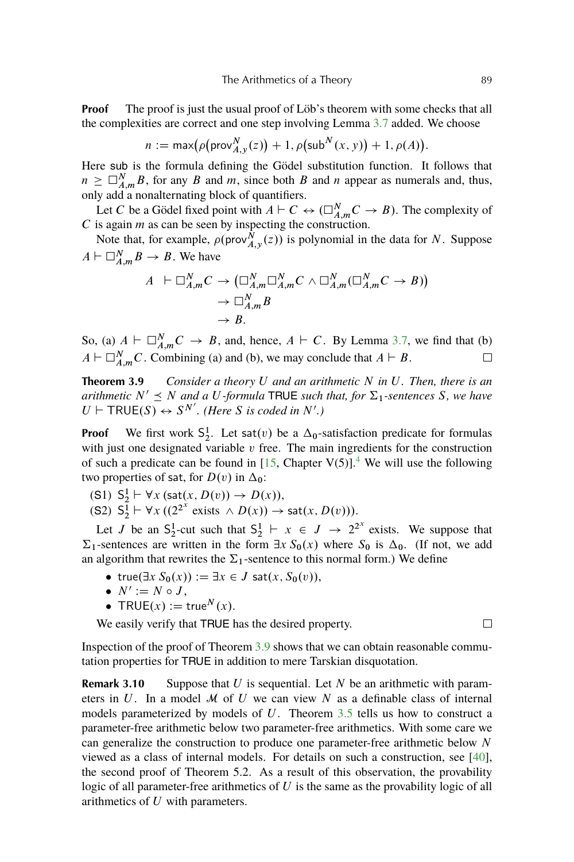<span id="page-8-0"></span>**Proof** The proof is just the usual proof of Löb's theorem with some checks that all the complexities are correct and one step involving Lemma [3.7](#page-7-0) added. We choose

$$
n := \max(\rho(\mathsf{prov}_{A,y}^N(z)) + 1, \rho(\mathsf{sub}^N(x, y)) + 1, \rho(A)).
$$

Here sub is the formula defining the Gödel substitution function. It follows that  $n \geq \Box_{A,m}^N B$ , for any B and m, since both B and n appear as numerals and, thus, only add a nonalternating block of quantifiers.

Let C be a Gödel fixed point with  $A \vdash C \leftrightarrow (\Box_{A,m}^N C \rightarrow B)$ . The complexity of  $C$  is again  $m$  as can be seen by inspecting the construction.

Note that, for example,  $\rho(\text{prov}_{A,y}^N(z))$  is polynomial in the data for N. Suppose  $A \vdash \Box_{A,m}^N B \to B$ . We have

$$
A \vdash \Box_{A,m}^N C \to (\Box_{A,m}^N \Box_{A,m}^N C \land \Box_{A,m}^N (\Box_{A,m}^N C \to B))
$$
  
\n
$$
\to \Box_{A,m}^N B
$$
  
\n
$$
\to B.
$$

So, (a)  $A \vdash \Box_{A,m}^N C \rightarrow B$ , and, hence,  $A \vdash C$ . By Lemma [3.7,](#page-7-0) we find that (b)  $A \vdash \Box_{A,m}^N C$ . Combining (a) and (b), we may conclude that  $A \vdash B$ .  $\Box$ 

**Theorem 3.9** *Consider a theory* U *and an arithmetic* N *in* U*. Then, there is an arithmetic*  $N' \leq N$  *and a* U-formula TRUE *such that, for*  $\Sigma_1$ -sentences S, we have  $U \vdash \textsf{TRUE}(S) \leftrightarrow S^{N'}$ . (Here *S* is coded in *N'*.)

**Proof** We first work  $S_2^1$ . Let sat $(v)$  be a  $\Delta_0$ -satisfaction predicate for formulas with just one designated variable  $v$  free. The main ingredients for the construction of such a predicate can be found in [\[15,](#page-36-0) Chapter V(5)].<sup>[4](#page-34-0)</sup> We will use the following two properties of sat, for  $D(v)$  in  $\Delta_0$ :

- (S1)  $S_2^1 \vdash \forall x (\text{sat}(x, D(v)) \rightarrow D(x)),$
- (S2)  $S_2^{\overline{1}} \vdash \forall x ((2^{2^x} \text{ exists } \wedge D(x)) \rightarrow \text{sat}(x, D(v))).$

Let J be an  $S_2^1$ -cut such that  $S_2^1 \vdash x \in J \rightarrow 2^{2^x}$  exists. We suppose that  $\Sigma_1$ -sentences are written in the form  $\exists x S_0(x)$  where  $S_0$  is  $\Delta_0$ . (If not, we add an algorithm that rewrites the  $\Sigma_1$ -sentence to this normal form.) We define

- true $(\exists x S_0(x)) := \exists x \in J$  sat $(x, S_0(v)),$
- $N' := N \circ J,$
- TRUE $(x) := \text{true}^N(x)$ .

We easily verify that TRUE has the desired property.

Inspection of the proof of Theorem 3.9 shows that we can obtain reasonable commutation properties for TRUE in addition to mere Tarskian disquotation.

**Remark 3.10** Suppose that U is sequential. Let N be an arithmetic with parameters in  $U$ . In a model  $M$  of  $U$  we can view  $N$  as a definable class of internal models parameterized by models of  $U$ . Theorem [3.5](#page-6-0) tells us how to construct a parameter-free arithmetic below two parameter-free arithmetics. With some care we can generalize the construction to produce one parameter-free arithmetic below N viewed as a class of internal models. For details on such a construction, see [\[40\]](#page-38-0), the second proof of Theorem 5.2. As a result of this observation, the provability logic of all parameter-free arithmetics of  $U$  is the same as the provability logic of all arithmetics of U with parameters.

 $\Box$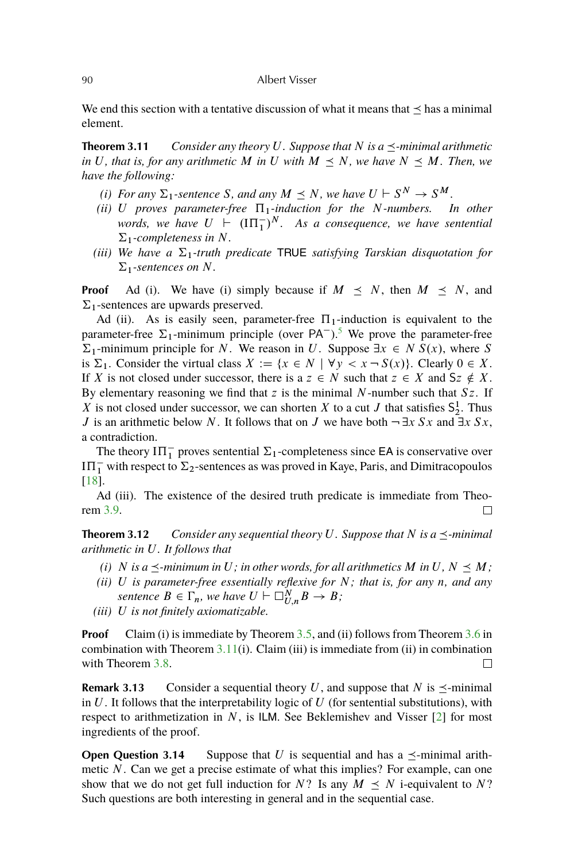<span id="page-9-0"></span>We end this section with a tentative discussion of what it means that  $\leq$  has a minimal element.

**Theorem 3.11** *Consider any theory U. Suppose that* N is  $a \prec$ -minimal arithmetic *in* U, that is, for any arithmetic M in U with  $M \leq N$ , we have  $N \leq M$ . Then, we *have the following:*

- *(i)* For any  $\Sigma_1$ -sentence S, and any  $M \preceq N$ , we have  $U \vdash S^N \rightarrow S^M$ .
- *(ii)*  $U$  proves parameter-free  $\Pi_1$ -induction for the N-numbers. In other words, we have  $U \nvdash (\Pi T_1)^N$ . As a consequence, we have sentential  $\Sigma_1$ -completeness in N.
- *(iii)* We have a  $\Sigma_1$ -truth predicate TRUE *satisfying Tarskian disquotation for*  $\Sigma_1$ -sentences on N.

**Proof** Ad (i). We have (i) simply because if  $M \leq N$ , then  $M \leq N$ , and  $\Sigma_1$ -sentences are upwards preserved.

Ad (ii). As is easily seen, parameter-free  $\Pi_1$ -induction is equivalent to the parameter-free  $\Sigma_1$ -minimum principle (over PA<sup>-</sup>).<sup>[5](#page-34-0)</sup> We prove the parameter-free  $\Sigma_1$ -minimum principle for N. We reason in U. Suppose  $\exists x \in N S(x)$ , where S. is  $\Sigma_1$ . Consider the virtual class  $X := \{x \in N \mid \forall y < x \neg S(x)\}\)$ . Clearly  $0 \in X$ . If X is not closed under successor, there is a  $z \in N$  such that  $z \in X$  and  $Sz \notin X$ . By elementary reasoning we find that z is the minimal N-number such that  $Sz$ . If X is not closed under successor, we can shorten X to a cut J that satisfies  $S_2^1$ . Thus J is an arithmetic below N. It follows that on J we have both  $\neg \exists x Sx$  and  $\exists x Sx$ , a contradiction.

The theory  $I\Pi_1^-$  proves sentential  $\Sigma_1$ -completeness since EA is conservative over  $I\Pi_1^-$  with respect to  $\Sigma_2$ -sentences as was proved in Kaye, Paris, and Dimitracopoulos [\[18\]](#page-37-0).

Ad (iii). The existence of the desired truth predicate is immediate from Theorem [3.9.](#page-8-0)  $\Box$ 

**Theorem 3.12** *Consider any sequential theory U. Suppose that*  $N$  *is a*  $\leq$ -minimal *arithmetic in* U*. It follows that*

- *(i)* N is a  $\prec$ -minimum in U; in other words, for all arithmetics M in U, N  $\prec M$ ;
- *(ii)* U *is parameter-free essentially reflexive for* N*; that is, for any* n*, and any sentence*  $B \in \Gamma_n$ , we have  $U \vdash \Box_{U,n}^N B \rightarrow B$ ;
- *(iii)* U *is not finitely axiomatizable.*

**Proof** Claim (i) is immediate by Theorem [3.5,](#page-6-0) and (ii) follows from Theorem [3.6](#page-7-0) in combination with Theorem  $3.11(i)$ . Claim (iii) is immediate from (ii) in combination with Theorem [3.8.](#page-7-0)  $\Box$ 

**Remark 3.13** Consider a sequential theory U, and suppose that N is  $\prec$ -minimal in  $U$ . It follows that the interpretability logic of  $U$  (for sentential substitutions), with respect to arithmetization in  $N$ , is ILM. See Beklemishev and Visser [\[2\]](#page-36-0) for most ingredients of the proof.

**Open Question 3.14** Suppose that U is sequential and has a  $\preceq$ -minimal arithmetic N. Can we get a precise estimate of what this implies? For example, can one show that we do not get full induction for N? Is any  $M \preceq N$  i-equivalent to N? Such questions are both interesting in general and in the sequential case.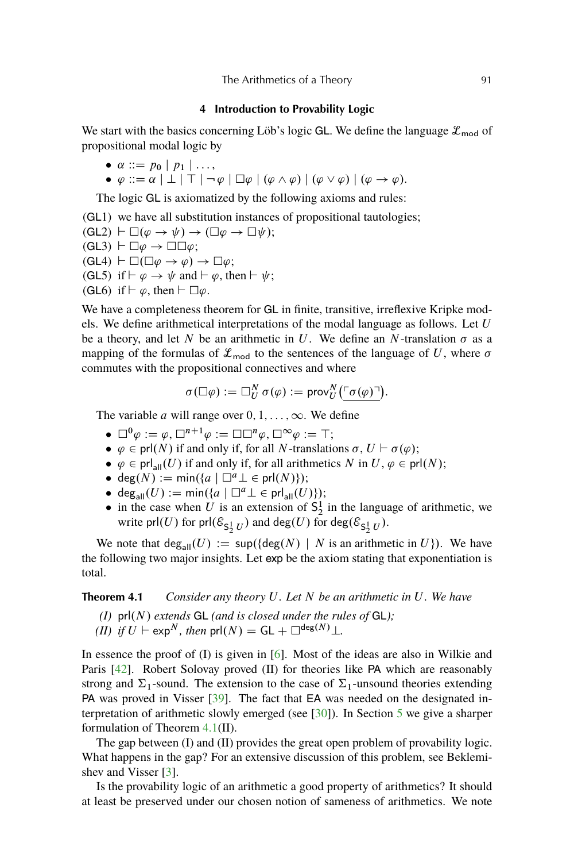#### **4 Introduction to Provability Logic**

<span id="page-10-0"></span>We start with the basics concerning Löb's logic GL. We define the language  $\mathcal{L}_{\text{mod}}$  of propositional modal logic by

$$
\bullet \ \alpha ::= p_0 \mid p_1 \mid \ldots,
$$

 $\bullet \varphi ::= \alpha \mid \perp \mid \top \mid \neg \varphi \mid \Box \varphi \mid (\varphi \wedge \varphi) \mid (\varphi \vee \varphi) \mid (\varphi \rightarrow \varphi).$ 

The logic GL is axiomatized by the following axioms and rules:

(GL1) we have all substitution instances of propositional tautologies;

$$
(\mathsf{GL2}) \vdash \Box(\varphi \to \psi) \to (\Box \varphi \to \Box \psi);
$$

- $(GL3) \vdash \Box \varphi \rightarrow \Box \Box \varphi;$  $(GL4) \vdash \Box(\Box \varphi \rightarrow \varphi) \rightarrow \Box \varphi;$
- (GL5) if  $\vdash \varphi \rightarrow \psi$  and  $\vdash \varphi$ , then  $\vdash \psi$ ;
- (GL6) if  $\vdash \varphi$ , then  $\vdash \Box \varphi$ .

We have a completeness theorem for GL in finite, transitive, irreflexive Kripke models. We define arithmetical interpretations of the modal language as follows. Let  $U$ be a theory, and let N be an arithmetic in U. We define an N-translation  $\sigma$  as a mapping of the formulas of  $\mathcal{L}_{\text{mod}}$  to the sentences of the language of U, where  $\sigma$ commutes with the propositional connectives and where

$$
\sigma(\Box \varphi) := \Box_{U}^{N} \sigma(\varphi) := \text{prov}_{U}^{N}(\ulcorner \sigma(\varphi) \urcorner).
$$

The variable *a* will range over  $0, 1, \ldots, \infty$ . We define

- $\square^0 \varphi := \varphi, \square^{n+1} \varphi := \square \square^n \varphi, \square^{\infty} \varphi := \top;$
- $\bullet \varphi \in \text{prl}(N)$  if and only if, for all N-translations  $\sigma, U \vdash \sigma(\varphi);$
- $\bullet \varphi \in \text{prl}_{\text{all}}(U)$  if and only if, for all arithmetics N in  $U, \varphi \in \text{prl}(N)$ ;
- deg $(N) := \min(\{a \mid \Box^a \bot \in \text{prl}(N)\})$ ;
- deg<sub>all</sub> $(U) := min(\{a \mid \Box^a \bot \in \text{prl}_{all}(U)\});$
- in the case when U is an extension of  $S_2^1$  in the language of arithmetic, we write prl $(U)$  for prl $(\mathcal{E}_{\mathsf{S}_2^1 U})$  and  $\mathsf{deg}(U)$  for  $\mathsf{deg}(\mathcal{E}_{\mathsf{S}_2^1 U})$ .

We note that  $deg_{all}(U) := sup({deg(N) | N$  is an arithmetic in  $U$ ). We have the following two major insights. Let exp be the axiom stating that exponentiation is total.

## **Theorem 4.1** *Consider any theory* U*. Let* N *be an arithmetic in* U*. We have*

- $(I)$  pr $I(N)$  *extends* GL *(and is closed under the rules of GL)*;
- *(II) if*  $U \vdash \exp^N$ *, then*  $prl(N) = GL + \Box^{\deg(N)} \bot$ *.*

In essence the proof of  $(I)$  is given in  $[6]$ . Most of the ideas are also in Wilkie and Paris [\[42\]](#page-38-0). Robert Solovay proved (II) for theories like PA which are reasonably strong and  $\Sigma_1$ -sound. The extension to the case of  $\Sigma_1$ -unsound theories extending PA was proved in Visser [\[39\]](#page-38-0). The fact that EA was needed on the designated interpretation of arithmetic slowly emerged (see [\[30\]](#page-37-0)). In Section [5](#page-12-0) we give a sharper formulation of Theorem 4.1(II).

The gap between (I) and (II) provides the great open problem of provability logic. What happens in the gap? For an extensive discussion of this problem, see Beklemishev and Visser [\[3\]](#page-36-0).

Is the provability logic of an arithmetic a good property of arithmetics? It should at least be preserved under our chosen notion of sameness of arithmetics. We note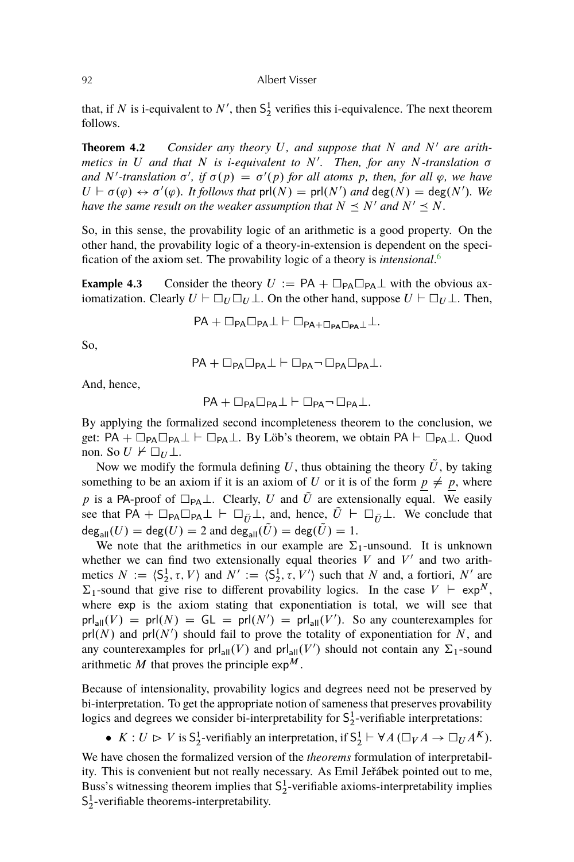<span id="page-11-0"></span>that, if N is i-equivalent to  $N'$ , then  $S_2^1$  verifies this i-equivalence. The next theorem follows.

**Theorem 4.2** *Consider any theory* U, and suppose that N and N' are arithmetics in U and that N is *i-equivalent to* N'. Then, for any N-translation  $\sigma$ and N'-translation  $\sigma'$ , if  $\sigma(p) = \sigma'(p)$  for all atoms p, then, for all  $\varphi$ , we have  $U \vdash \sigma(\varphi) \leftrightarrow \sigma'(\varphi)$ . It follows that  $\text{prl}(N) = \text{prl}(N')$  and  $\text{deg}(N) = \text{deg}(N')$ . We *have the same result on the weaker assumption that*  $N \leq N'$  *and*  $N' \leq N$ *.* 

So, in this sense, the provability logic of an arithmetic is a good property. On the other hand, the provability logic of a theory-in-extension is dependent on the specification of the axiom set. The provability logic of a theory is *intensional*. [6](#page-34-0)

**Example 4.3** Consider the theory  $U := PA + \square_{PA} \square_{PA} \perp$  with the obvious axiomatization. Clearly  $U \vdash \Box_U \Box_U \bot$ . On the other hand, suppose  $U \vdash \Box_U \bot$ . Then,

$$
\mathsf{PA}+\Box_{\mathsf{PA}}\Box_{\mathsf{PA}}\bot\vdash\Box_{\mathsf{PA}+\Box_{\mathsf{PA}}\Box_{\mathsf{PA}}}\bot\bot.
$$

So,

$$
\mathsf{PA}+\Box_{\mathsf{PA}}\Box_{\mathsf{PA}}\bot\vdash\Box_{\mathsf{PA}}\neg\,\Box_{\mathsf{PA}}\Box_{\mathsf{PA}}\bot.
$$

And, hence,

$$
\mathsf{PA}+\Box_{\mathsf{PA}}\Box_{\mathsf{PA}}\bot\vdash\Box_{\mathsf{PA}}\neg\,\Box_{\mathsf{PA}}\bot.
$$

By applying the formalized second incompleteness theorem to the conclusion, we get:  $PA + \Box_{PA} \Box_{PA} \bot \vdash \Box_{PA} \bot$ . By Löb's theorem, we obtain  $PA \vdash \Box_{PA} \bot$ . Quod non. So  $U \not\vdash \Box_U \bot$ .

Now we modify the formula defining U, thus obtaining the theory  $\tilde{U}$ , by taking something to be an axiom if it is an axiom of U or it is of the form  $p \neq p$ , where p is a PA-proof of  $\Box_{PA}\bot$ . Clearly, U and  $\tilde{U}$  are extensionally equal. We easily see that PA +  $\Box_{PA} \Box_{PA} \bot \vdash \Box_{\tilde{U}} \bot$ , and, hence,  $U \vdash \Box_{\tilde{U}} \bot$ . We conclude that  $deg_{all}(U) = deg(U) = 2$  and  $deg_{all}(\tilde{U}) = deg(\tilde{U}) = 1$ .

We note that the arithmetics in our example are  $\Sigma_1$ -unsound. It is unknown whether we can find two extensionally equal theories  $V$  and  $V'$  and two arithmetics  $N := \langle S_2^1, \tau, V \rangle$  and  $N' := \langle S_2^1, \tau, V' \rangle$  such that N and, a fortiori, N' are  $\Sigma_1$ -sound that give rise to different provability logics. In the case  $V \vdash \exp^N$ , where exp is the axiom stating that exponentiation is total, we will see that  $prl_{all}(V) = prl(N) = GL = prl(N') = prl_{all}(V')$ . So any counterexamples for  $prl(N)$  and  $prl(N')$  should fail to prove the totality of exponentiation for N, and any counterexamples for prl<sub>all</sub> $(V)$  and prl<sub>all</sub> $(V')$  should not contain any  $\Sigma_1$ -sound arithmetic M that proves the principle  $\exp^{M}$ .

Because of intensionality, provability logics and degrees need not be preserved by bi-interpretation. To get the appropriate notion of sameness that preserves provability logics and degrees we consider bi-interpretability for  $S_2^1$ -verifiable interpretations:

•  $K: U \rhd V$  is  $S_2^1$ -verifiably an interpretation, if  $S_2^1 \vdash \forall A (\Box_V A \to \Box_U A^K)$ .

We have chosen the formalized version of the *theorems* formulation of interpretability. This is convenient but not really necessary. As Emil Jeřábek pointed out to me, Buss's witnessing theorem implies that  $S_2^1$ -verifiable axioms-interpretability implies  $S_2^1$ -verifiable theorems-interpretability.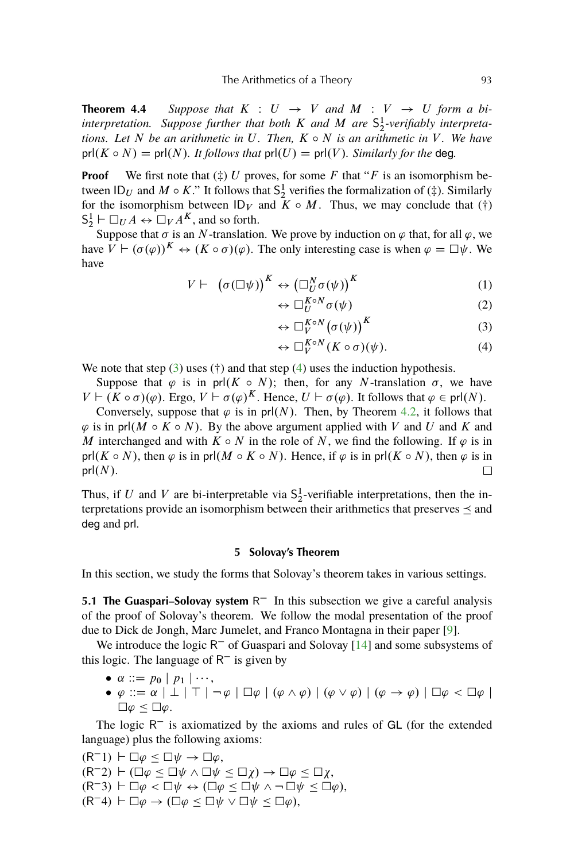<span id="page-12-0"></span>**Theorem 4.4** *Suppose that*  $K : U \rightarrow V$  *and*  $M : V \rightarrow U$  *form a biinterpretation. Suppose further that both* K *and* M *are* S 1 2 *-verifiably interpretations. Let*  $N$  *be an arithmetic in*  $U$ *. Then,*  $K \circ N$  *is an arithmetic in*  $V$ *. We have* prl $(K \circ N) = \text{prl}(N)$ *. It follows that*  $\text{prl}(U) = \text{prl}(V)$ *. Similarly for the deg.* 

**Proof** We first note that  $(\ddagger)$  U proves, for some F that "F is an isomorphism between  $\mathsf{ID}_U$  and  $M \circ K$ ." It follows that  $\mathsf{S}^1_2$  verifies the formalization of  $(\ddag)$ . Similarly for the isomorphism between  $ID_V$  and  $K \circ M$ . Thus, we may conclude that (†)  $S_2^1 \vdash \Box_U A \leftrightarrow \Box_V A^K$ , and so forth.

Suppose that  $\sigma$  is an N-translation. We prove by induction on  $\varphi$  that, for all  $\varphi$ , we have  $V \vdash (\sigma(\varphi))^K \leftrightarrow (K \circ \sigma)(\varphi)$ . The only interesting case is when  $\varphi = \Box \psi$ . We have

$$
V \vdash (\sigma(\Box \psi))^K \leftrightarrow (\Box^N_U \sigma(\psi))^K
$$
(1)  

$$
\Box^{\Box K \circ N} \sigma(\psi)
$$
(2)

$$
\leftrightarrow \Box_{U}^{K \circ N} \sigma(\psi) \tag{2}
$$

$$
\leftrightarrow \Box_V^{K \circ N} (\sigma(\psi))^K \tag{3}
$$

$$
\leftrightarrow \Box_V^{K \circ N}(K \circ \sigma)(\psi). \tag{4}
$$

We note that step  $(3)$  uses  $(†)$  and that step  $(4)$  uses the induction hypothesis.

Suppose that  $\varphi$  is in prl(K  $\circ$  N); then, for any N-translation  $\sigma$ , we have  $V \vdash (K \circ \sigma)(\varphi)$ . Ergo,  $V \vdash \sigma(\varphi)^K$ . Hence,  $U \vdash \sigma(\varphi)$ . It follows that  $\varphi \in \text{prl}(N)$ .

Conversely, suppose that  $\varphi$  is in prl(N). Then, by Theorem [4.2,](#page-11-0) it follows that  $\varphi$  is in prl(M  $\circ$  K  $\circ$  N). By the above argument applied with V and U and K and M interchanged and with  $K \circ N$  in the role of N, we find the following. If  $\varphi$  is in prl(K  $\circ$  N), then  $\varphi$  is in prl(M  $\circ$  K  $\circ$  N). Hence, if  $\varphi$  is in prl(K  $\circ$  N), then  $\varphi$  is in  $prl(N)$ .

Thus, if U and V are bi-interpretable via  $S_2^1$ -verifiable interpretations, then the interpretations provide an isomorphism between their arithmetics that preserves  $\preceq$  and deg and prl.

## **5 Solovay's Theorem**

In this section, we study the forms that Solovay's theorem takes in various settings.

5.1 The Guaspari-Solovay system R<sup>-</sup> In this subsection we give a careful analysis of the proof of Solovay's theorem. We follow the modal presentation of the proof due to Dick de Jongh, Marc Jumelet, and Franco Montagna in their paper [\[9\]](#page-36-0).

We introduce the logic  $R^-$  of Guaspari and Solovay [\[14\]](#page-36-0) and some subsystems of this logic. The language of  $R^-$  is given by

- $\bullet \ \alpha ::= p_0 \mid p_1 \mid \cdots,$
- $\bullet \varphi ::= \alpha \mid \perp \mid \top \mid \neg \varphi \mid \Box \varphi \mid (\varphi \wedge \varphi) \mid (\varphi \vee \varphi) \mid (\varphi \rightarrow \varphi) \mid \Box \varphi < \Box \varphi \mid$  $\Box \varphi \leq \Box \varphi.$

The logic  $R^-$  is axiomatized by the axioms and rules of GL (for the extended language) plus the following axioms:

 $(R^-1) \vdash \Box \varphi \leq \Box \psi \rightarrow \Box \varphi,$  $(R^-2) \vdash (\Box \varphi \leq \Box \psi \land \Box \psi \leq \Box \chi) \rightarrow \Box \varphi \leq \Box \chi,$  $(R^{-}3) \vdash \Box \varphi < \Box \psi \leftrightarrow (\Box \varphi \leq \Box \psi \land \neg \Box \psi \leq \Box \varphi),$  $(R^{-}4) \vdash \Box \varphi \rightarrow (\Box \varphi \leq \Box \psi \vee \Box \psi \leq \Box \varphi),$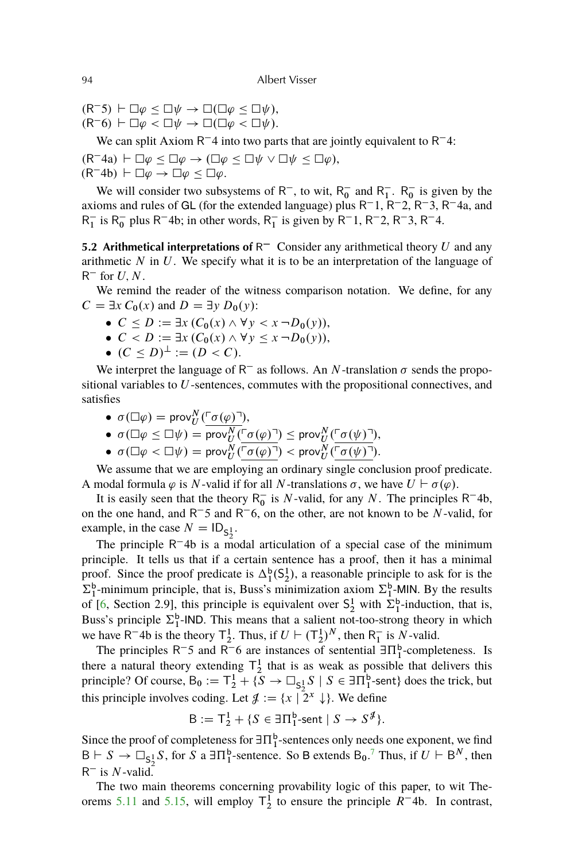$(R<sup>-5</sup>)$   $\vdash \Box \varphi \leq \Box \psi \rightarrow \Box (\Box \varphi \leq \Box \psi),$ 

 $(R^-6) \vdash \Box \varphi < \Box \psi \rightarrow \Box (\Box \varphi < \Box \psi).$ 

We can split Axiom  $R<sup>-4</sup>$  into two parts that are jointly equivalent to  $R<sup>-4</sup>$ :

 $(R^{-}4a) \vdash \Box \varphi \leq \Box \varphi \rightarrow (\Box \varphi \leq \Box \psi \vee \Box \psi \leq \Box \varphi),$  $(R^{-}4b) \vdash \Box \varphi \rightarrow \Box \varphi \leq \Box \varphi.$ 

We will consider two subsystems of  $R^-$ , to wit,  $R_0^-$  and  $R_1^-$ .  $R_0^-$  is given by the axioms and rules of GL (for the extended language) plus  $R^-1$ ,  $R^-2$ ,  $R^-3$ ,  $R^-4a$ , and  $R_1^-$  is  $R_0^-$  plus R<sup>-4</sup>b; in other words,  $R_1^-$  is given by R<sup>-1</sup>, R<sup>-2</sup>, R<sup>-3</sup>, R<sup>-4</sup>.

**5.2 Arithmetical interpretations of**  $R<sup>-</sup>$  Consider any arithmetical theory U and any arithmetic  $N$  in  $U$ . We specify what it is to be an interpretation of the language of  $R^-$  for  $U, N$ .

We remind the reader of the witness comparison notation. We define, for any  $C = \exists x C_0(x)$  and  $D = \exists y D_0(y)$ :

- $\bullet \ \ C \leq D := \exists x \ (C_0(x) \wedge \forall y < x \ \neg D_0(y)),$
- $\bullet \ \ C < D := \exists x \ (C_0(x) \wedge \forall y \leq x \ \neg D_0(y)),$
- $(C < D)^{\perp} := (D < C).$

We interpret the language of  $R^-$  as follows. An N-translation  $\sigma$  sends the propositional variables to U-sentences, commutes with the propositional connectives, and satisfies

- $\sigma(\Box \varphi) = \text{prov}_U^N(\ulcorner \sigma(\varphi) \urcorner),$
- $\sigma(\Box \varphi \leq \Box \psi) = \overline{\text{prov}}_U^N(\Box \sigma(\varphi) \Box) \leq \text{prov}}_U^N(\Box \sigma(\psi) \Box),$
- $\sigma(\Box \varphi < \Box \psi) = \text{prov}_U^N(\ulcorner \sigma(\varphi) \urcorner) < \text{prov}_U^N(\ulcorner \sigma(\psi) \urcorner).$

We assume that we are employing an ordinary single conclusion proof predicate. A modal formula  $\varphi$  is N-valid if for all N-translations  $\sigma$ , we have  $U \vdash \sigma(\varphi)$ .

It is easily seen that the theory  $R_0^-$  is N-valid, for any N. The principles  $R^-4b$ , on the one hand, and  $R^-$ 5 and  $R^-$ 6, on the other, are not known to be N-valid, for example, in the case  $N = ID_{S_2^1}$ .

The principle  $R^{-}$ 4b is a modal articulation of a special case of the minimum principle. It tells us that if a certain sentence has a proof, then it has a minimal proof. Since the proof predicate is  $\Delta_1^b(S_2^1)$ , a reasonable principle to ask for is the  $\Sigma_1^b$ -minimum principle, that is, Buss's minimization axiom  $\Sigma_1^b$ -MIN. By the results of [\[6,](#page-36-0) Section 2.9], this principle is equivalent over  $S_2^1$  with  $\Sigma_1^b$ -induction, that is, Buss's principle  $\Sigma_1^b$ -IND. This means that a salient not-too-strong theory in which we have R<sup>-4</sup>b is the theory  $T_2^1$ . Thus, if  $U \vdash (T_2^1)^N$ , then R<sub>1</sub> is N-valid.

The principles  $R^-$ 5 and  $R^-$ 6 are instances of sentential  $\exists \Pi_1^b$ -completeness. Is there a natural theory extending  $T_2^1$  that is as weak as possible that delivers this principle? Of course,  $B_0 := T_2^1 + \{S \to \Box_{S_2^1} S \mid S \in \exists \Pi_1^b$ -sent} does the trick, but this principle involves coding. Let  $\mathcal{J} := \{x \mid 2^x \downarrow\}$ . We define

$$
B := T_2^1 + \{ S \in \exists \Pi_1^b\text{-sent} \mid S \to S^{\mathcal{J}} \}.
$$

Since the proof of completeness for  $\exists \Pi^b_1$ -sentences only needs one exponent, we find  $B \vdash S \to \Box_{S_2^1} S$ , for S a  $\exists \Pi_1^b$ -sentence. So B extends  $B_0$ .<sup>[7](#page-35-0)</sup> Thus, if  $U \vdash B^N$ , then  $R^-$  is  $N$ -valid.

The two main theorems concerning provability logic of this paper, to wit The-orems [5.11](#page-17-0) and [5.15,](#page-18-0) will employ  $T_2^1$  to ensure the principle  $R^-$ 4b. In contrast,

<span id="page-13-0"></span>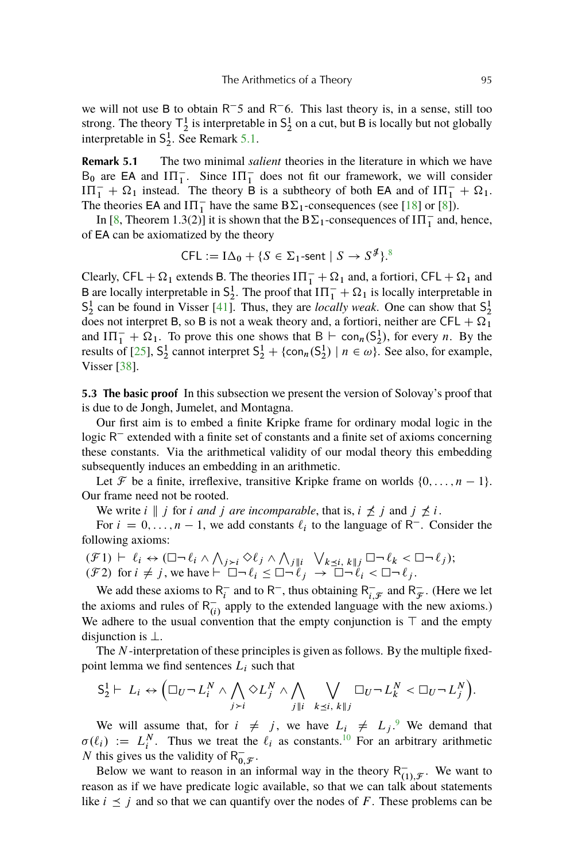<span id="page-14-0"></span>we will not use B to obtain  $R^-$ 5 and  $R^-$ 6. This last theory is, in a sense, still too strong. The theory  $\mathsf{T}^1_2$  is interpretable in  $\mathsf{S}^1_2$  on a cut, but B is locally but not globally interpretable in  $S_2^1$ . See Remark 5.1.

**Remark 5.1** The two minimal *salient* theories in the literature in which we have  $B_0$  are EA and  $\Pi_1^-$ . Since  $\Pi_1^-$  does not fit our framework, we will consider  $\overline{III_1} + \Omega_1$  instead. The theory B is a subtheory of both EA and of  $\overline{III_1} + \Omega_1$ . The theories EA and  $I\Pi_1^-$  have the same  $B\Sigma_1$ -consequences (see [\[18\]](#page-37-0) or [\[8\]](#page-36-0)).

In [\[8,](#page-36-0) Theorem 1.3(2)] it is shown that the  $B\Sigma_1$ -consequences of  $I\Pi_1^-$  and, hence, of EA can be axiomatized by the theory

$$
\mathsf{CFL} := \mathrm{I}\Delta_0 + \{ S \in \Sigma_1\text{-sent} \mid S \to S^{\mathcal{J}} \}.
$$

Clearly, CFL +  $\Omega_1$  extends B. The theories  $I\Pi_1^- + \Omega_1$  and, a fortiori, CFL +  $\Omega_1$  and B are locally interpretable in  $S_2^1$ . The proof that  $I\Pi_1^- + \Omega_1$  is locally interpretable in  $S_2^1$  can be found in Visser [\[41\]](#page-38-0). Thus, they are *locally weak*. One can show that  $S_2^1$ does not interpret B, so B is not a weak theory and, a fortiori, neither are CFL  $+ \Omega_1$ and  $I\Pi_1^- + \Omega_1$ . To prove this one shows that  $B \vdash \text{con}_n(S_2^1)$ , for every *n*. By the results of [\[25\]](#page-37-0),  $S_2^1$  cannot interpret  $S_2^1 + {\text{con}_n(S_2^1) \mid n \in \omega}$ . See also, for example, Visser [\[38\]](#page-38-0).

**5.3 The basic proof** In this subsection we present the version of Solovay's proof that is due to de Jongh, Jumelet, and Montagna.

Our first aim is to embed a finite Kripke frame for ordinary modal logic in the logic  $R^-$  extended with a finite set of constants and a finite set of axioms concerning these constants. Via the arithmetical validity of our modal theory this embedding subsequently induces an embedding in an arithmetic.

Let F be a finite, irreflexive, transitive Kripke frame on worlds  $\{0, \ldots, n-1\}$ . Our frame need not be rooted.

We write  $i \parallel j$  for i *and* j are incomparable, that is,  $i \nleq j$  and  $j \nleq i$ .

For  $i = 0, \ldots, n - 1$ , we add constants  $\ell_i$  to the language of R<sup>-</sup>. Consider the following axioms:

$$
(\mathcal{F}1) \vdash \ell_i \leftrightarrow (\Box \neg \ell_i \land \bigwedge_{j>i} \Diamond \ell_j \land \bigwedge_{j \parallel i} \bigvee_{k \leq i, k \parallel j} \Box \neg \ell_k < \Box \neg \ell_j);
$$
  
( $\mathcal{F}2$ ) for  $i \neq j$ , we have  $\vdash \Box \neg \ell_i \leq \Box \neg \ell_j \rightarrow \Box \neg \ell_i < \Box \neg \ell_j$ .

We add these axioms to  $R_i^ \overline{R}_i^-$  and to R<sup>-</sup>, thus obtaining R<sup>-</sup><sub>i</sub>,  $\bar{i}, \bar{j}$  and R $\bar{j}$  $\frac{1}{\mathcal{F}}$ . (Here we let the axioms and rules of  $R_{(i)}^-$  apply to the extended language with the new axioms.) We adhere to the usual convention that the empty conjunction is  $\top$  and the empty disjunction is  $\perp$ .

The N-interpretation of these principles is given as follows. By the multiple fixedpoint lemma we find sentences  $L_i$  such that

$$
S_2^1 \vdash L_i \leftrightarrow \Big(\Box_U \neg L_i^N \land \bigwedge_{j>i} \Diamond L_j^N \land \bigwedge_{j \parallel i} \bigvee_{k \leq i, k \parallel j} \Box_U \neg L_k^N < \Box_U \neg L_j^N\Big).
$$

We will assume that, for  $i \neq j$ , we have  $L_i \neq L_j$ . We demand that  $\sigma(\ell_i) := L_i^N$ . Thus we treat the  $\ell_i$  as constants.<sup>[10](#page-35-0)</sup> For an arbitrary arithmetic N this gives us the validity of  $R_0^ _{0,\mathcal{F}}^{-}.$ 

Below we want to reason in an informal way in the theory  $R_{11}^{-}$  $\overline{H(1),\mathcal{F}}$ . We want to reason as if we have predicate logic available, so that we can talk about statements like  $i \leq j$  and so that we can quantify over the nodes of F. These problems can be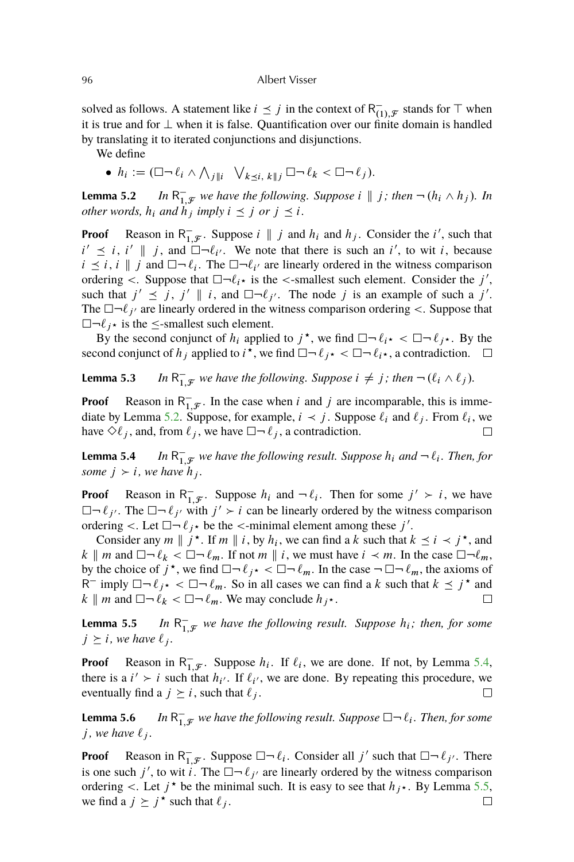solved as follows. A statement like  $i \leq j$  in the context of R<sup>-1</sup>  $\bar{t}_{(1),\mathcal{F}}$  stands for  $\top$  when it is true and for  $\perp$  when it is false. Quantification over our finite domain is handled by translating it to iterated conjunctions and disjunctions.

We define

•  $h_i := (\Box \neg \ell_i \land \bigwedge_{j \parallel i} \bigvee_{k \preceq i, k \parallel j} \Box \neg \ell_k < \Box \neg \ell_j).$ 

**Lemma 5.2**  $\overline{a}$  $\overline{a}_{1,\mathcal{F}}$  we have the following. Suppose  $i \parallel j$ ; then  $\neg (h_i \wedge h_j)$ . In *other words,*  $h_i$  *and*  $h_j$  *imply*  $i \leq j$  *or*  $j \leq i$ *.* 

**Proof** Reason in  $R_1^ \bar{a}_{1,\mathcal{F}}$ . Suppose  $i \parallel j$  and  $h_i$  and  $h_j$ . Consider the i', such that  $i' \leq i, i' \parallel j$ , and  $\Box \neg \ell_{i'}$ . We note that there is such an i', to wit i, because  $i \leq i$ ,  $i \parallel j$  and  $\Box \neg \ell_i$ . The  $\Box \neg \ell_{i'}$  are linearly ordered in the witness comparison ordering  $\lt$ . Suppose that  $\Box \neg \ell_i \star$  is the  $\lt$ -smallest such element. Consider the j', such that  $j' \leq j$ ,  $j' \parallel i$ , and  $\Box \neg \ell_{j'}$ . The node j is an example of such a j'. The  $\Box \neg \ell_{j'}$  are linearly ordered in the witness comparison ordering <. Suppose that  $\Box \neg \ell_i \star$  is the  $\le$ -smallest such element.

By the second conjunct of  $h_i$  applied to  $j^*$ , we find  $\square \neg \ell_{i^*} < \square \neg \ell_{j^*}$ . By the second conjunct of  $h_j$  applied to  $i^*$ , we find  $\Box \neg \ell_{j^*} < \Box \neg \ell_{i^*}$ , a contradiction.  $\mathcal{L}^{\mathcal{A}}$ 

**Lemma 5.3**  $\overline{a}$  $\overline{a}_{1,\mathcal{F}}$  we have the following. Suppose  $i \neq j$ ; then  $\neg (\ell_i \wedge \ell_j)$ .

**Proof** Reason in  $R_1^ _{1,\mathcal{F}}^{-}$ . In the case when i and j are incomparable, this is immediate by Lemma 5.2. Suppose, for example,  $i \prec j$ . Suppose  $\ell_i$  and  $\ell_j$ . From  $\ell_i$ , we have  $\Diamond \ell_i$ , and, from  $\ell_i$ , we have  $\Box \neg \ell_i$ , a contradiction.  $\Box$ 

**Lemma 5.4**  $\overline{a}$  $\bar{1}_{1,\mathcal{F}}$  we have the following result. Suppose  $h_i$  and  $\neg \ell_i$ . Then, for *some*  $j > i$ *, we have*  $h_j$ *.* 

**Proof** Reason in  $R_1^ \bar{1}_{1,\mathcal{F}}$ . Suppose  $h_i$  and  $\neg \ell_i$ . Then for some  $j' \succ i$ , we have  $\Box \neg \ell_{j'}$ . The  $\Box \neg \ell_{j'}$  with  $j' > i$  can be linearly ordered by the witness comparison ordering <. Let  $\Box \neg \ell_j \star$  be the <-minimal element among these j'.

Consider any  $m \parallel j^*$ . If  $m \parallel i$ , by  $h_i$ , we can find a k such that  $k \preceq i \prec j^*$ , and k || m and  $\Box \neg \ell_k < \Box \neg \ell_m$ . If not m || i, we must have  $i \prec m$ . In the case  $\Box \neg \ell_m$ , by the choice of  $j^*$ , we find  $\Box \neg \ell_{j^*} < \Box \neg \ell_m$ . In the case  $\neg \Box \neg \ell_m$ , the axioms of  $R^-$  imply  $\Box \neg \ell_{j^*} < \Box \neg \ell_m$ . So in all cases we can find a k such that  $k \leq j^*$  and  $k \parallel m$  and  $\Box \neg \ell_k < \Box \neg \ell_m$ . We may conclude  $h_{j^*}$ .  $\Box$ 

**Lemma 5.5**  $\overline{\phantom{0}}$  $_{1,\mathcal{F}}^-$  we have the following result. Suppose  $h_i$ ; then, for some  $j \geq i$ , we have  $\ell_j$ .

**Proof** Reason in  $R_1^ _{1,\mathcal{F}}^-$ . Suppose  $h_i$ . If  $\ell_i$ , we are done. If not, by Lemma 5.4, there is a  $i' > i$  such that  $h_{i'}$ . If  $\ell_{i'}$ , we are done. By repeating this procedure, we eventually find a  $j \geq i$ , such that  $\ell_j$ .  $\Box$ 

**Lemma 5.6**  $\overline{a}$  $\bar{1}_{1,\mathcal{F}}$  we have the following result. Suppose  $\Box \neg \ell_i$ . Then, for some  $j$ *, we have*  $\ell_i$ *.* 

**Proof** Reason in  $R_1^ \overline{1}_{,x}$ . Suppose  $\Box \neg \ell_i$ . Consider all j' such that  $\Box \neg \ell_j$ . There is one such j', to wit i. The  $\Box \neg \ell_{j'}$  are linearly ordered by the witness comparison ordering <. Let  $j^*$  be the minimal such. It is easy to see that  $h_{j^*}$ . By Lemma 5.5, we find a  $j \geq j^*$  such that  $\ell_j$ .  $\Box$ 

<span id="page-15-0"></span>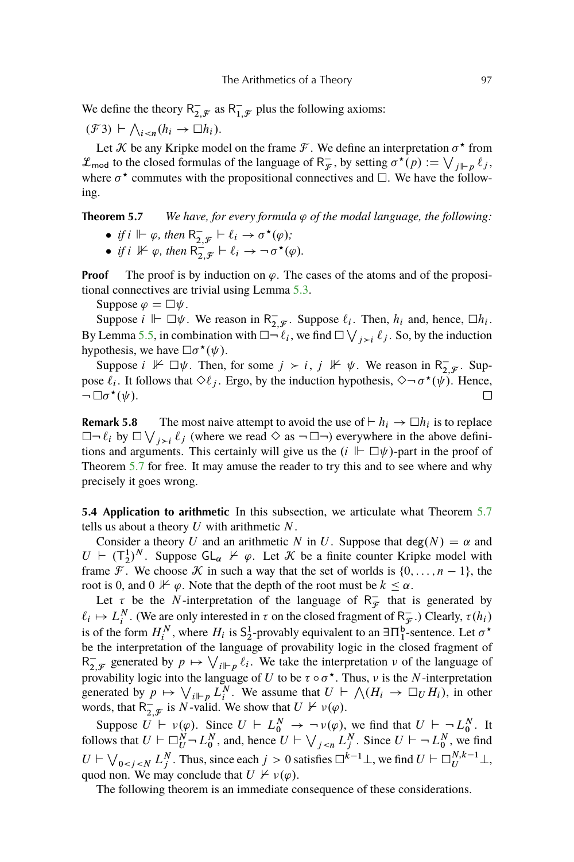<span id="page-16-0"></span>We define the theory  $R_2^ _{2,\mathcal{F}}^{-}$  as R<sub>1</sub>  $\overline{1}, \mathcal{F}$  plus the following axioms:

 $(\mathcal{F}3) \vdash \bigwedge_{i < n} (h_i \to \Box h_i).$ 

Let *K* be any Kripke model on the frame *F*. We define an interpretation  $\sigma^*$  from  $\mathcal{L}_{\text{mod}}$  to the closed formulas of the language of  $R_{\mathcal{F}}^ \overline{\mathcal{F}}$ , by setting  $\sigma^{\star}(p) := \bigvee_{j \Vdash p} \ell_j$ , where  $\sigma^*$  commutes with the propositional connectives and  $\Box$ . We have the following.

## **Theorem 5.7** *We have, for every formula*  $\varphi$  *of the modal language, the following:*

- *if*  $i \Vdash \varphi$ *, then*  $R_2^ \frac{1}{2,\mathcal{F}} \vdash \ell_i \to \sigma^\star(\varphi);$
- *if*  $i \nvDash \varphi$ , then  $R_2^2$ .  $\frac{1}{2, \mathcal{F}} \vdash \ell_i \rightarrow \neg \sigma^{\star}(\varphi).$

**Proof** The proof is by induction on  $\varphi$ . The cases of the atoms and of the propositional connectives are trivial using Lemma [5.3.](#page-15-0)

Suppose  $\varphi = \Box \psi$ .

Suppose  $i \Vdash \Box \psi$ . We reason in R<sub>2</sub>  $\overline{z}_{i}$ . Suppose  $\ell_{i}$ . Then,  $h_{i}$  and, hence,  $\Box h_{i}$ . By Lemma [5.5,](#page-15-0) in combination with  $\Box \neg \ell_i$ , we find  $\Box \bigvee_{j>i} \ell_j$ . So, by the induction hypothesis, we have  $\Box \sigma^{\star}(\psi)$ .

Suppose  $i \not\vdash \Box \psi$ . Then, for some  $j \succ i$ ,  $j \not\vdash \psi$ . We reason in R<sub>7</sub>  $_{2,\mathcal{F}}^{-}$ . Suppose  $\ell_i$ . It follows that  $\Diamond \ell_j$ . Ergo, by the induction hypothesis,  $\Diamond \neg \sigma^*(\psi)$ . Hence,  $\neg \Box \sigma^{\star}(\psi)$ .  $\Box$ 

**Remark 5.8** The most naive attempt to avoid the use of  $\vdash h_i \rightarrow \Box h_i$  is to replace  $\Box \neg \ell_i$  by  $\Box \bigvee_{j>i} \ell_j$  (where we read  $\Diamond$  as  $\neg \Box \neg$ ) everywhere in the above definitions and arguments. This certainly will give us the  $(i \Vdash \Box \psi)$ -part in the proof of Theorem 5.7 for free. It may amuse the reader to try this and to see where and why precisely it goes wrong.

**5.4 Application to arithmetic** In this subsection, we articulate what Theorem 5.7 tells us about a theory  $U$  with arithmetic  $N$ .

Consider a theory U and an arithmetic N in U. Suppose that  $deg(N) = \alpha$  and  $U \vdash (\mathsf{T}_2^1)^N$ . Suppose  $\mathsf{GL}_\alpha \not\vDash \varphi$ . Let  $\mathcal K$  be a finite counter Kripke model with frame F. We choose K in such a way that the set of worlds is  $\{0, \ldots, n-1\}$ , the root is 0, and  $0 \not\vdash \varphi$ . Note that the depth of the root must be  $k \leq \alpha$ .

Let  $\tau$  be the N-interpretation of the language of R<sub> $\tau$ </sub>  $\overline{\mathcal{F}}$  that is generated by  $\ell_i \mapsto L_i^N$ . (We are only interested in  $\tau$  on the closed fragment of  $R_{\mathcal{F}}^ \bar{x}$ .) Clearly,  $\tau(h_i)$ is of the form  $H_i^N$ , where  $H_i$  is  $S_2^1$ -provably equivalent to an  $\exists \Pi_1^b$ -sentence. Let  $\sigma^*$ be the interpretation of the language of provability logic in the closed fragment of  $R_2^ \bar{z}_{i,\mathcal{F}}$  generated by  $p \mapsto \bigvee_{i \models p} \ell_i$ . We take the interpretation  $\nu$  of the language of provability logic into the language of U to be  $\tau \circ \sigma^*$ . Thus, v is the N-interpretation generated by  $p \mapsto \bigvee_{i \mid \vdash p} L_i^N$ . We assume that  $U \vdash \bigwedge (H_i \to \Box_U H_i)$ , in other words, that  $R_2$  $\overline{C}_{2,\mathcal{F}}$  is *N*-valid. We show that  $U \not\vdash \nu(\varphi)$ .

Suppose  $U \vdash \nu(\varphi)$ . Since  $U \vdash L_0^N \rightarrow \neg \nu(\varphi)$ , we find that  $U \vdash \neg L_0^N$ . It follows that  $U \vdash \Box_U^N \neg L_0^N$ , and, hence  $U \vdash \bigvee_{j \leq n} L_j^N$ . Since  $U \vdash \neg L_0^N$ , we find  $U \vdash \bigvee_{0 \le j \le N} L_j^N$ . Thus, since each  $j > 0$  satisfies  $\Box^{k-1} \bot$ , we find  $U \vdash \Box_{U}^{N,k-1} \bot$ , quod non. We may conclude that  $U \not\vdash \nu(\varphi)$ .

The following theorem is an immediate consequence of these considerations.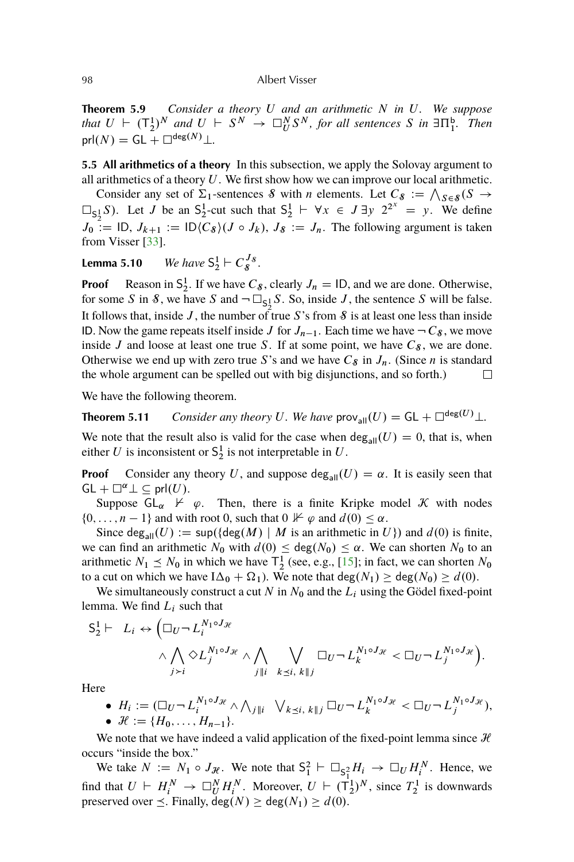<span id="page-17-0"></span>**Theorem 5.9** *Consider a theory* U *and an arithmetic* N *in* U*. We suppose* that  $U \vdash (\mathsf{T}_2^1)^N$  and  $U \vdash S^N \rightarrow \Box_{U}^N S^N$ , for all sentences S in  $\exists \Pi_1^{\mathsf{b}}$ . Then  $prl(N) = GL + \Box^{deg(N)} \bot$ .

**5.5 All arithmetics of a theory** In this subsection, we apply the Solovay argument to all arithmetics of a theory  $U$ . We first show how we can improve our local arithmetic.

Consider any set of  $\Sigma_1$ -sentences S with n elements. Let  $C_8 := \bigwedge_{S \in \mathcal{S}} (S \to \mathcal{S})$  $\Box_{5,1} S$ ). Let J be an S<sub>2</sub>-cut such that  $S_2^1 \vdash \forall x \in J \exists y \; 2^{2^x} = y$ . We define  $J_0$   $:=$  ID,  $J_{k+1} :=$  ID $(C_8)(J \circ J_k)$ ,  $J_8 := J_n$ . The following argument is taken from Visser [\[33\]](#page-38-0).

**Lemma 5.10** *We have*  $S_2^1 \vdash C_s^{J_s}$ .

**Proof** Reason in  $S_2^1$ . If we have  $C_8$ , clearly  $J_n = I_D$ , and we are done. Otherwise, for some S in S, we have S and  $\neg \Box_{S_2^1} S$ . So, inside J, the sentence S will be false. It follows that, inside J, the number of true S's from  $\mathcal S$  is at least one less than inside ID. Now the game repeats itself inside J for  $J_{n-1}$ . Each time we have  $-C_8$ , we move inside J and loose at least one true S. If at some point, we have  $C_8$ , we are done. Otherwise we end up with zero true S's and we have  $C_8$  in  $J_n$ . (Since *n* is standard the whole argument can be spelled out with big disjunctions, and so forth.)  $\Box$ 

We have the following theorem.

**Theorem 5.11** *Consider any theory U. We have*  $\text{prov}_{\text{all}}(U) = \text{GL} + \Box^{\text{deg}(U)} \bot$ *.* 

We note that the result also is valid for the case when  $\deg_{all}(U) = 0$ , that is, when either U is inconsistent or  $S_2^1$  is not interpretable in U.

**Proof** Consider any theory U, and suppose deg<sub>all</sub> $(U) = \alpha$ . It is easily seen that  $GL + \square^{\alpha} \bot \subseteq prl(U)$ .

Suppose  $GL_{\alpha} \not\vdash \varphi$ . Then, there is a finite Kripke model K with nodes  $\{0, \ldots, n-1\}$  and with root 0, such that  $0 \not\vdash \varphi$  and  $d(0) \leq \alpha$ .

Since deg<sub>all</sub> $(U) := \sup(\{\deg(M) \mid M \text{ is an arithmetic in } U\})$  and  $d(0)$  is finite, we can find an arithmetic  $N_0$  with  $d(0) \leq deg(N_0) \leq \alpha$ . We can shorten  $N_0$  to an arithmetic  $N_1 \le N_0$  in which we have  $\mathsf{T}_2^1$  (see, e.g., [\[15\]](#page-36-0); in fact, we can shorten  $N_0$ to a cut on which we have  $I\Delta_0 + \Omega_1$ ). We note that  $deg(N_1) \geq deg(N_0) \geq d(0)$ .

We simultaneously construct a cut N in  $N_0$  and the  $L_i$  using the Gödel fixed-point lemma. We find  $L_i$  such that

$$
S_2^1 \vdash L_i \leftrightarrow \left(\Box_U \neg L_i^{N_1 \circ J_{\mathcal{H}}} \wedge \bigwedge_{j>i} \bigvee_{j \mid i} L_i^{N_1 \circ J_{\mathcal{H}}} \wedge \bigwedge_{j \mid i} \bigvee_{k \leq i, k \mid j} \Box_U \neg L_k^{N_1 \circ J_{\mathcal{H}}} < \Box_U \neg L_j^{N_1 \circ J_{\mathcal{H}}} \right).
$$

Here

\n- \n
$$
H_i := (\Box_U \neg L_i^{N_1 \circ J_{\mathcal{H}}} \land \bigwedge_{j \parallel i} \bigvee_{k \leq i, k \parallel j} \Box_U \neg L_k^{N_1 \circ J_{\mathcal{H}}} < \Box_U \neg L_j^{N_1 \circ J_{\mathcal{H}}},
$$
\n
\n- \n
$$
\mathcal{H} := \{H_0, \ldots, H_{n-1}\}.
$$
\n
\n

We note that we have indeed a valid application of the fixed-point lemma since  $H$ occurs "inside the box."

We take  $N := N_1 \circ J_{\mathcal{H}}$ . We note that  $S_1^2 \vdash \Box_{S_1^2} H_i \to \Box_U H_i^N$ . Hence, we find that  $U \vdash H_i^N \to \Box_U^N H_i^N$ . Moreover,  $U \vdash (\mathsf{T}_2^1)^N$ , since  $T_2^1$  is downwards preserved over  $\leq$ . Finally,  $deg(N) \geq deg(N_1) \geq d(0)$ .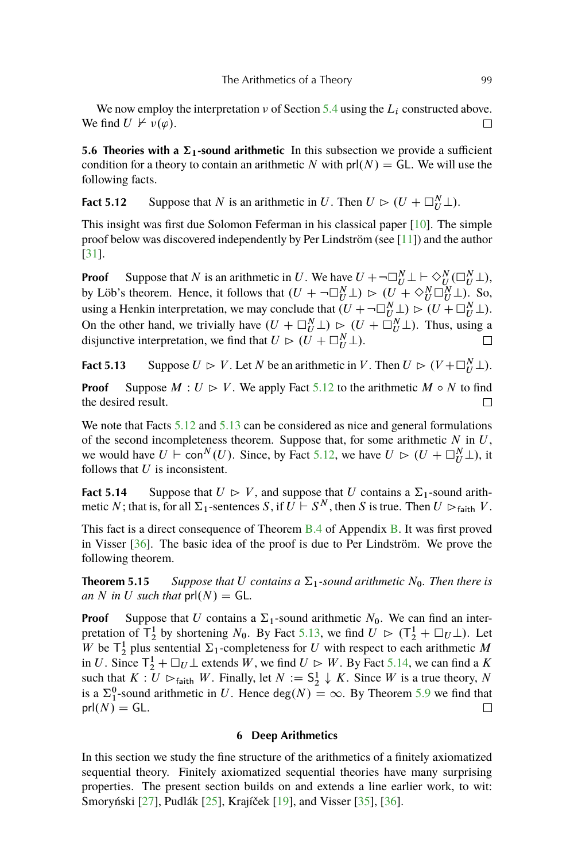<span id="page-18-0"></span>We now employ the interpretation  $\nu$  of Section [5.4](#page-16-0) using the  $L_i$  constructed above. We find  $U \not\vdash \nu(\varphi)$ .  $\Box$ 

**5.6 Theories with a**  $\Sigma_1$ **-sound arithmetic** In this subsection we provide a sufficient condition for a theory to contain an arithmetic N with  $prl(N) = GL$ . We will use the following facts.

**Fact 5.12** Suppose that N is an arithmetic in U. Then  $U \rhd (U + \square_{U}^{N} \bot)$ .

This insight was first due Solomon Feferman in his classical paper [\[10\]](#page-36-0). The simple proof below was discovered independently by Per Lindström (see [\[11\]](#page-36-0)) and the author [\[31\]](#page-37-0).

**Proof** Suppose that N is an arithmetic in U. We have  $U + \neg \Box_U^N \bot \vdash \Diamond_U^N (\Box_U^N \bot)$ , by Löb's theorem. Hence, it follows that  $(U + \neg \Box_U^N \bot) \rhd (U + \Diamond_U^N \Box_U^N \bot)$ . So, using a Henkin interpretation, we may conclude that  $(U + \neg \Box_{U}^{N} \bot) \rhd (U + \Box_{U}^{N} \bot)$ . On the other hand, we trivially have  $(U + \square_{U}^{N} \bot) \triangleright (U + \square_{U}^{N} \bot)$ . Thus, using a disjunctive interpretation, we find that  $U \rhd (U + \square_{U}^{N} \bot)$ .  $\Box$ 

**Fact 5.13** Suppose  $U \rhd V$ . Let N be an arithmetic in V. Then  $U \rhd (V + \square_{U}^{N} \bot)$ .

**Proof** Suppose  $M: U \rhd V$ . We apply Fact 5.12 to the arithmetic  $M \circ N$  to find the desired result.

We note that Facts 5.12 and 5.13 can be considered as nice and general formulations of the second incompleteness theorem. Suppose that, for some arithmetic  $N$  in  $U$ , we would have  $U \vdash \text{con}^N(U)$ . Since, by Fact 5.12, we have  $U \rhd (U + \square_{U}^N \bot)$ , it follows that  $U$  is inconsistent.

**Fact 5.14** Suppose that  $U \supset V$ , and suppose that U contains a  $\Sigma_1$ -sound arithmetic N; that is, for all  $\Sigma_1$ -sentences S, if  $\overline{U} \vdash S^N$ , then S is true. Then  $U \rhd_{\text{faith}} V$ .

This fact is a direct consequence of Theorem [B.4](#page-34-0) of Appendix [B.](#page-32-0) It was first proved in Visser [\[36\]](#page-38-0). The basic idea of the proof is due to Per Lindström. We prove the following theorem.

**Theorem 5.15** Suppose that U contains a  $\Sigma_1$ -sound arithmetic  $N_0$ . Then there is *an* N in U such that  $prl(N) = GL$ .

**Proof** Suppose that U contains a  $\Sigma_1$ -sound arithmetic  $N_0$ . We can find an interpretation of  $\overline{T}_2^1$  by shortening  $N_0$ . By Fact 5.13, we find  $U \rhd (\overline{T}_2^1 + \Box_U \bot)$ . Let W be  $T_2^1$  plus sentential  $\Sigma_1$ -completeness for U with respect to each arithmetic M in U. Since  $T_2^1 + \Box_U \bot$  extends W, we find  $U \triangleright W$ . By Fact 5.14, we can find a K such that  $K: U \rhd_{\text{faith}} W$ . Finally, let  $N := \mathsf{S}_2^1 \downarrow K$ . Since W is a true theory, N is a  $\Sigma_1^0$ -sound arithmetic in U. Hence deg $(N) = \infty$ . By Theorem [5.9](#page-16-0) we find that  $prl(N) = GL.$  $\Box$ 

#### **6 Deep Arithmetics**

In this section we study the fine structure of the arithmetics of a finitely axiomatized sequential theory. Finitely axiomatized sequential theories have many surprising properties. The present section builds on and extends a line earlier work, to wit: Smoryński [\[27\]](#page-37-0), Pudlák [\[25\]](#page-37-0), Krajíček [\[19\]](#page-37-0), and Visser [\[35\]](#page-38-0), [\[36\]](#page-38-0).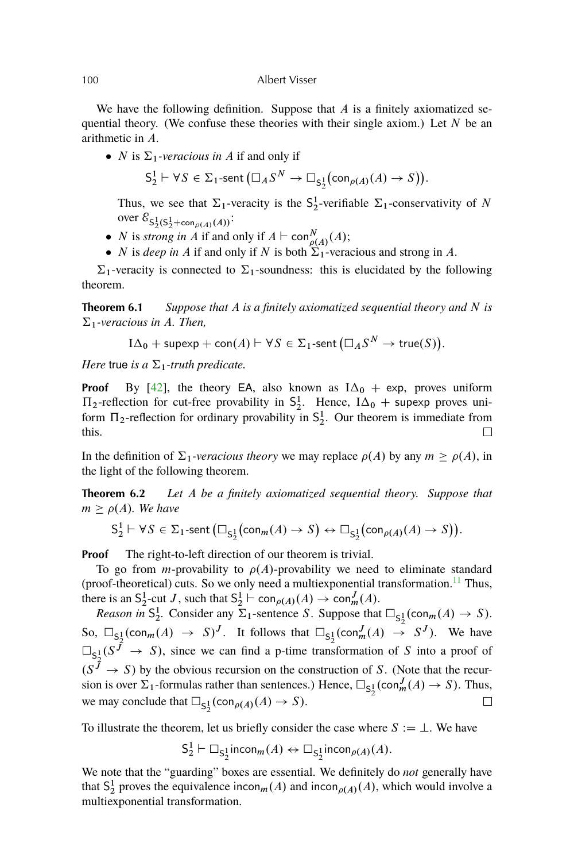<span id="page-19-0"></span>We have the following definition. Suppose that  $A$  is a finitely axiomatized sequential theory. (We confuse these theories with their single axiom.) Let  $N$  be an arithmetic in A.

• *N* is  $\Sigma_1$ -veracious in *A* if and only if

$$
S_2^1 \vdash \forall S \in \Sigma_1\text{-sent}(\square_A S^N \to \square_{S_2^1}(\text{con}_{\rho(A)}(A) \to S)).
$$

Thus, we see that  $\Sigma_1$ -veracity is the  $S_2^1$ -verifiable  $\Sigma_1$ -conservativity of N over  $\mathcal{E}_{\mathsf{S}_2^1(\mathsf{S}_2^1 + \mathsf{con}_{\rho(A)}(A))}$ :

- *N* is *strong in A* if and only if  $A \vdash \text{con}^N_{\rho(A)}(A);$
- *N* is *deep in A* if and only if *N* is both  $\Sigma_1$ -veracious and strong in *A*.

 $\Sigma_1$ -veracity is connected to  $\Sigma_1$ -soundness: this is elucidated by the following theorem.

**Theorem 6.1** *Suppose that* A *is a finitely axiomatized sequential theory and* N *is*  $\Sigma_1$ -veracious in A. Then,

$$
I\Delta_0 + \text{supexp} + \text{con}(A) \vdash \forall S \in \Sigma_1 \text{-sent} \left(\square_A S^N \to \text{true}(S)\right).
$$

*Here* true *is a*  $\Sigma_1$ -truth predicate.

**Proof** By [\[42\]](#page-38-0), the theory EA, also known as  $I\Delta_0$  + exp, proves uniform  $\Pi_2$ -reflection for cut-free provability in  $S_2^1$ . Hence,  $I\Delta_0$  + supexp proves uniform  $\Pi_2$ -reflection for ordinary provability in  $S_2^1$ . Our theorem is immediate from this.  $\Box$ 

In the definition of  $\Sigma_1$ -veracious theory we may replace  $\rho(A)$  by any  $m \ge \rho(A)$ , in the light of the following theorem.

**Theorem 6.2** *Let* A *be a finitely axiomatized sequential theory. Suppose that*  $m > \rho(A)$ *. We have* 

$$
\mathsf{S}^1_2\vdash \forall S\in\Sigma_1\text{-sent}\left(\square_{\mathsf{S}^1_2}\bigl(\mathsf{con}_m(A)\to S\bigr)\leftrightarrow\square_{\mathsf{S}^1_2}\bigl(\mathsf{con}_{\rho(A)}(A)\to S\bigr)\right).
$$

**Proof** The right-to-left direction of our theorem is trivial.

To go from *m*-provability to  $\rho(A)$ -provability we need to eliminate standard (proof-theoretical) cuts. So we only need a multiexponential transformation.<sup>[11](#page-35-0)</sup> Thus, there is an  $S_2^1$ -cut J, such that  $S_2^1 \vdash \text{con}_{\rho(A)}(A) \to \text{con}_m^J(A)$ .

*Reason in*  $S_2^1$ . Consider any  $\Sigma_1$ -sentence S. Suppose that  $\square_{S_2^1}(\text{con}_m(A) \to S)$ . So,  $\Box_{S^1_2}(\text{con}_m(A) \rightarrow S)^J$ . It follows that  $\Box_{S^1_2}(\text{con}_m^J(A) \rightarrow S^J)$ . We have  $\square_{\mathsf{S}_2^1}(S^{\bar{J}} \to S)$ , since we can find a p-time transformation of S into a proof of  $(S^{\bar{J}} \rightarrow S)$  by the obvious recursion on the construction of S. (Note that the recursion is over  $\Sigma_1$ -formulas rather than sentences.) Hence,  $\square_{S_2^1}(\text{con}_m^J(A) \to S)$ . Thus, we may conclude that  $\Box_{S_2^1}(\mathrm{con}_{\rho(A)}(A) \to S)$ .  $\Box$ 

To illustrate the theorem, let us briefly consider the case where  $S := \bot$ . We have

$$
\mathsf{S}_2^1 \vdash \Box_{\mathsf{S}_2^1} \mathsf{incon}_m(A) \leftrightarrow \Box_{\mathsf{S}_2^1} \mathsf{incon}_{\rho(A)}(A).
$$

We note that the "guarding" boxes are essential. We definitely do *not* generally have that  $S_2^1$  proves the equivalence incon<sub>m</sub>(A) and incon<sub>p(A)</sub>(A), which would involve a multiexponential transformation.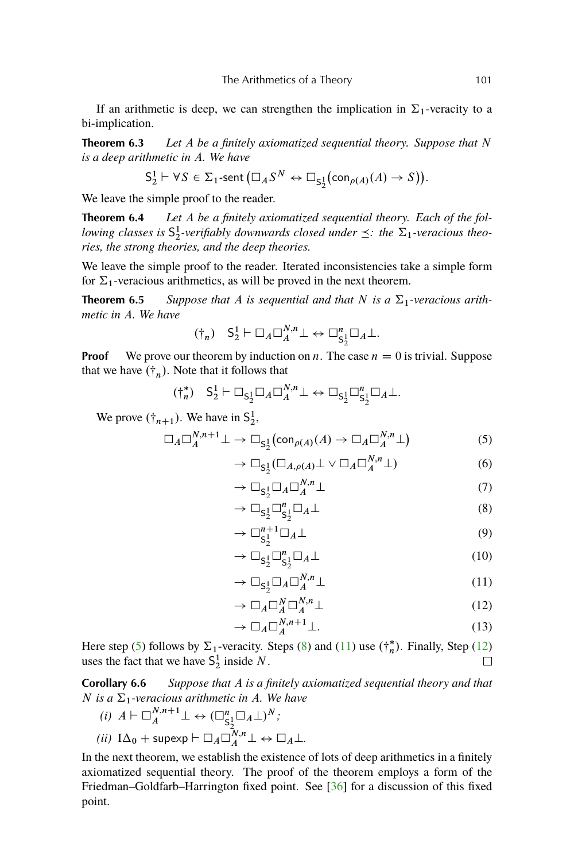<span id="page-20-0"></span>If an arithmetic is deep, we can strengthen the implication in  $\Sigma_1$ -veracity to a bi-implication.

**Theorem 6.3** *Let* A *be a finitely axiomatized sequential theory. Suppose that* N *is a deep arithmetic in* A*. We have*

$$
S_2^1 \vdash \forall S \in \Sigma_1\text{-sent}\left(\square_A S^N \leftrightarrow \square_{S_2^1}(\text{con}_{\rho(A)}(A) \to S)\right).
$$

We leave the simple proof to the reader.

**Theorem 6.4** *Let* A *be a finitely axiomatized sequential theory. Each of the following classes is*  $S_2^1$ -verifiably downwards closed under  $\preceq$ : the  $\Sigma_1$ -veracious theo*ries, the strong theories, and the deep theories.*

We leave the simple proof to the reader. Iterated inconsistencies take a simple form for  $\Sigma_1$ -veracious arithmetics, as will be proved in the next theorem.

**Theorem 6.5** *Suppose that* A *is sequential and that* N *is a*  $\Sigma_1$ -veracious arith*metic in* A*. We have*

$$
(\dagger_n) \quad S_2^1 \vdash \Box_A \Box_A^{N,n} \bot \leftrightarrow \Box_{S_2^1}^n \Box_A \bot.
$$

**Proof** We prove our theorem by induction on n. The case  $n = 0$  is trivial. Suppose that we have  $(\dagger_n)$ . Note that it follows that

$$
(\dagger_n^*) \quad S_2^1 \vdash \Box_{S_2^1} \Box_A \Box_A^{N,n} \bot \leftrightarrow \Box_{S_2^1} \Box_{S_2^1}^n \Box_A \bot.
$$

We prove  $(\dagger_{n+1})$ . We have in  $S_2^1$ ,

$$
\Box_A \Box_A^{N,n+1} \bot \to \Box_{\mathsf{S}_2^1}(\mathsf{con}_{\rho(A)}(A) \to \Box_A \Box_A^{N,n} \bot)
$$
 (5)

$$
\rightarrow \Box_{S_2^1} (\Box_{A,\rho(A)} \bot \vee \Box_A \Box_A^{N,n} \bot) \tag{6}
$$

$$
\rightarrow \Box_{S_2^1} \Box_A \Box_A^{N,n} \bot \tag{7}
$$

$$
\rightarrow \Box_{S_2^1} \Box_{S_2^1}^n \Box_A \bot \tag{8}
$$

$$
\rightarrow \Box_{S_2^1}^{n+1} \Box_A \bot \tag{9}
$$

$$
\rightarrow \Box_{S_2^1} \Box_{S_2^1}^n \Box_A \bot \tag{10}
$$

$$
\rightarrow \Box_{\mathsf{S}_2^1} \Box_A \Box_A^{N,n} \bot \tag{11}
$$

$$
\rightarrow \Box_A \Box_A^N \Box_A^{N,n} \bot \tag{12}
$$

$$
\rightarrow \Box_A \Box_A^{N,n+1} \bot. \tag{13}
$$

Here step (5) follows by  $\Sigma_1$ -veracity. Steps (8) and (11) use  $(\dagger_n^*)$ . Finally, Step (12) uses the fact that we have  $S_2^1$  inside N.  $\Box$ 

**Corollary 6.6** *Suppose that* A *is a finitely axiomatized sequential theory and that* N is a  $\Sigma_1$ -veracious arithmetic in A. We have

(i) 
$$
A \vdash \Box_A^{N,n+1} \bot \leftrightarrow (\Box_{S_2^1}^n \Box_A \bot)^N;
$$
  
(ii)  $I\Delta_0 + \text{supexp} \vdash \Box_A \Box_A^{N,n} \bot \leftrightarrow \Box_A \bot.$ 

In the next theorem, we establish the existence of lots of deep arithmetics in a finitely axiomatized sequential theory. The proof of the theorem employs a form of the Friedman–Goldfarb–Harrington fixed point. See [\[36\]](#page-38-0) for a discussion of this fixed point.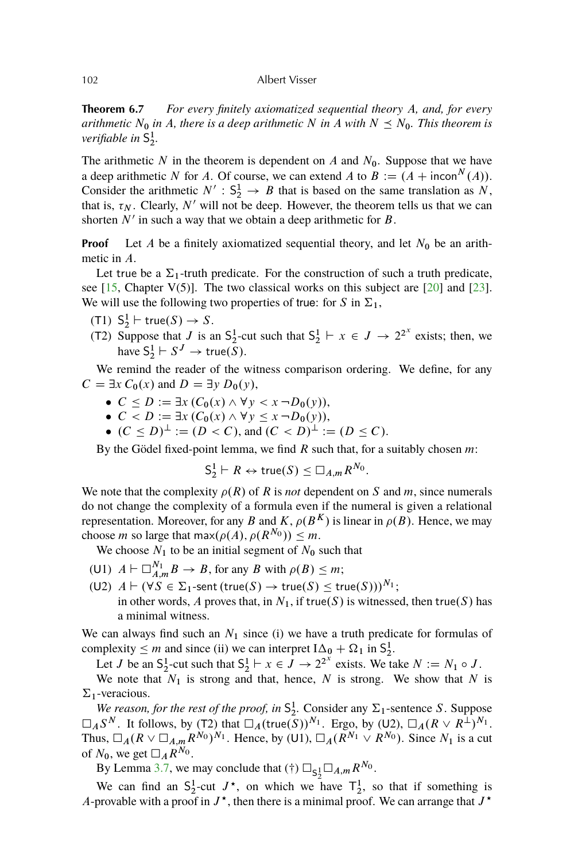<span id="page-21-0"></span>**Theorem 6.7** *For every finitely axiomatized sequential theory* A*, and, for every arithmetic*  $N_0$  *in* A, there is a deep arithmetic N in A with  $N \leq N_0$ . This theorem is *verifiable in* S 1 2 *.*

The arithmetic N in the theorem is dependent on A and  $N_0$ . Suppose that we have a deep arithmetic N for A. Of course, we can extend A to  $B := (A + incon^N(A)).$ Consider the arithmetic  $N' : S_2^1 \to B$  that is based on the same translation as N, that is,  $\tau_N$ . Clearly, N' will not be deep. However, the theorem tells us that we can shorten  $N'$  in such a way that we obtain a deep arithmetic for  $B$ .

**Proof** Let A be a finitely axiomatized sequential theory, and let  $N_0$  be an arithmetic in A.

Let true be a  $\Sigma_1$ -truth predicate. For the construction of such a truth predicate, see [\[15,](#page-36-0) Chapter V(5)]. The two classical works on this subject are [\[20\]](#page-37-0) and [\[23\]](#page-37-0). We will use the following two properties of true: for S in  $\Sigma_1$ ,

- (T1)  $S_2^1 \vdash \text{true}(S) \to S$ .
- (T2) Suppose that J is an  $S_2^1$ -cut such that  $S_2^1 \vdash x \in J \rightarrow 2^{2^x}$  exists; then, we have  $S_2^1 \vdash S^J \to \text{true}(\overline{S}).$

We remind the reader of the witness comparison ordering. We define, for any  $C = \exists x C_0(x)$  and  $D = \exists y D_0(y)$ ,

- $\bullet \ \ C \leq D := \exists x \ (C_0(x) \wedge \forall y < x \ \neg D_0(y)),$
- $\bullet \ \ C \leq D := \exists x \ (C_0(x) \wedge \forall y \leq x \ \neg D_0(y)),$
- $(C \le D)^{\perp} := (D < C)$ , and  $(C < D)^{\perp} := (D \le C)$ .

By the Gödel fixed-point lemma, we find  $R$  such that, for a suitably chosen  $m$ :

$$
S_2^1 \vdash R \leftrightarrow \mathsf{true}(S) \leq \Box_{A,m} R^{N_0}.
$$

We note that the complexity  $\rho(R)$  of R is *not* dependent on S and m, since numerals do not change the complexity of a formula even if the numeral is given a relational representation. Moreover, for any B and K,  $\rho(B^K)$  is linear in  $\rho(B)$ . Hence, we may choose *m* so large that max $(\rho(A), \rho(R^{N_0})) \leq m$ .

We choose  $N_1$  to be an initial segment of  $N_0$  such that

- (U1)  $A \vdash \Box_{A,m}^{N_1} B \to B$ , for any B with  $\rho(B) \leq m$ ;
- (U2)  $A \vdash (\forall S \in \Sigma_1\text{-sent}(true(S) \rightarrow true(S) \le true(S)))^{N_1};$ in other words, A proves that, in  $N_1$ , if true(S) is witnessed, then true(S) has a minimal witness.

We can always find such an  $N_1$  since (i) we have a truth predicate for formulas of complexity  $\leq m$  and since (ii) we can interpret  $I\Delta_0 + \Omega_1$  in  $S_2^1$ .

Let *J* be an S<sub>2</sub><sup>-</sup>cut such that  $S_2^1 \vdash x \in J \to 2^{2^x}$  exists. We take  $N := N_1 \circ J$ .

We note that  $N_1$  is strong and that, hence, N is strong. We show that N is  $\Sigma_1$ -veracious.

*We reason, for the rest of the proof, in*  $S_2^1$ . Consider any  $\Sigma_1$ -sentence S. Suppose  $\Box_A S^N$ . It follows, by (T2) that  $\Box_A(\text{true}(S))^{N_1}$ . Ergo, by (U2),  $\Box_A (R \vee R^{\perp})^{N_1}$ . Thus,  $\Box_A (R \lor \Box_{A,m} R^{N_0})^{N_1}$ . Hence, by (U1),  $\Box_A (R^{N_1} \lor R^{N_0})$ . Since  $N_1$  is a cut of  $N_0$ , we get  $\Box_A R^{N_0}$ .

By Lemma [3.7,](#page-7-0) we may conclude that (†)  $\Box_{S_2^1}\Box_{A,m}R^{N_0}$ .

We can find an  $S_2^1$ -cut  $J^*$ , on which we have  $T_2^1$ , so that if something is A-provable with a proof in  $J^*$ , then there is a minimal proof. We can arrange that  $J^*$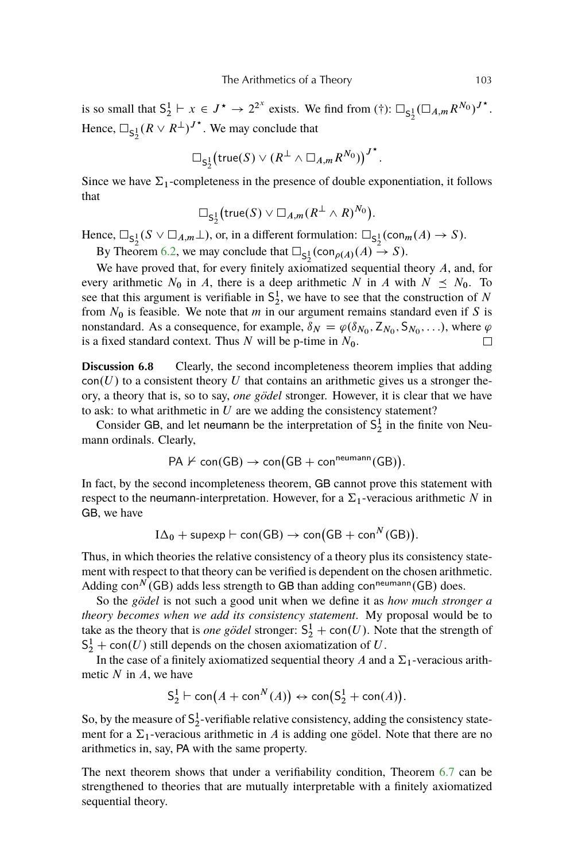<span id="page-22-0"></span>is so small that  $S_2^1 \vdash x \in J^* \to 2^{2^x}$  exists. We find from  $(\dagger)$ :  $\square_{S_2^1} (\square_{A,m} R^{N_0})^{J^*}$ . Hence,  $\Box_{S_2^1}(R \lor R^{\perp})^{J^*}$ . We may conclude that

$$
\Box_{S_2^1}(\mathsf{true}(S) \vee (R^{\perp} \wedge \Box_{A,m} R^{N_0}))^{J^*}.
$$

Since we have  $\Sigma_1$ -completeness in the presence of double exponentiation, it follows that

$$
\Box_{\mathsf{S}_2^1}(\mathsf{true}(S) \vee \Box_{A,m}(R^\perp \wedge R)^{N_0}).
$$

Hence,  $\Box_{S_2^1}(S \lor \Box_{A,m}\bot)$ , or, in a different formulation:  $\Box_{S_2^1}(\mathrm{con}_{m}(A) \to S)$ .

By Theorem [6.2,](#page-19-0) we may conclude that  $\square_{S^1_2}(\text{con}_{\rho(A)}(A) \stackrel{\sim}{\rightarrow} S)$ .

We have proved that, for every finitely axiomatized sequential theory A, and, for every arithmetic  $N_0$  in A, there is a deep arithmetic N in A with  $N \leq N_0$ . To see that this argument is verifiable in  $S_2^1$ , we have to see that the construction of N from  $N_0$  is feasible. We note that m in our argument remains standard even if S is nonstandard. As a consequence, for example,  $\delta_N = \varphi(\delta_{N_0}, Z_{N_0}, S_{N_0}, \ldots)$ , where  $\varphi$ is a fixed standard context. Thus  $N$  will be p-time in  $N_0$ .  $\Box$ 

**Discussion 6.8** Clearly, the second incompleteness theorem implies that adding  $con(U)$  to a consistent theory U that contains an arithmetic gives us a stronger theory, a theory that is, so to say, *one gödel* stronger. However, it is clear that we have to ask: to what arithmetic in  $U$  are we adding the consistency statement?

Consider GB, and let neumann be the interpretation of  $S_2^1$  in the finite von Neumann ordinals. Clearly,

$$
PA \nvdash con(GB) \rightarrow con(GB + conneumann(GB)).
$$

In fact, by the second incompleteness theorem, GB cannot prove this statement with respect to the neumann-interpretation. However, for a  $\Sigma_1$ -veracious arithmetic N in GB, we have

$$
I\Delta_0 + \text{supexp} \vdash \text{con}(GB) \rightarrow \text{con}(GB + \text{con}^N(GB)).
$$

Thus, in which theories the relative consistency of a theory plus its consistency statement with respect to that theory can be verified is dependent on the chosen arithmetic. Adding con<sup>N</sup> (GB) adds less strength to GB than adding con<sup>neumann</sup> (GB) does.

So the *gödel* is not such a good unit when we define it as *how much stronger a theory becomes when we add its consistency statement*. My proposal would be to take as the theory that is *one gödel* stronger:  $S_2^1$  + con(U). Note that the strength of  $S_2^1$  + con(U) still depends on the chosen axiomatization of U.

In the case of a finitely axiomatized sequential theory A and a  $\Sigma_1$ -veracious arithmetic  $N$  in  $A$ , we have

$$
S_2^1 \vdash \text{con}(A + \text{con}^N(A)) \leftrightarrow \text{con}(S_2^1 + \text{con}(A)).
$$

So, by the measure of  $S_2^1$ -verifiable relative consistency, adding the consistency statement for a  $\Sigma_1$ -veracious arithmetic in A is adding one gödel. Note that there are no arithmetics in, say, PA with the same property.

The next theorem shows that under a verifiability condition, Theorem [6.7](#page-21-0) can be strengthened to theories that are mutually interpretable with a finitely axiomatized sequential theory.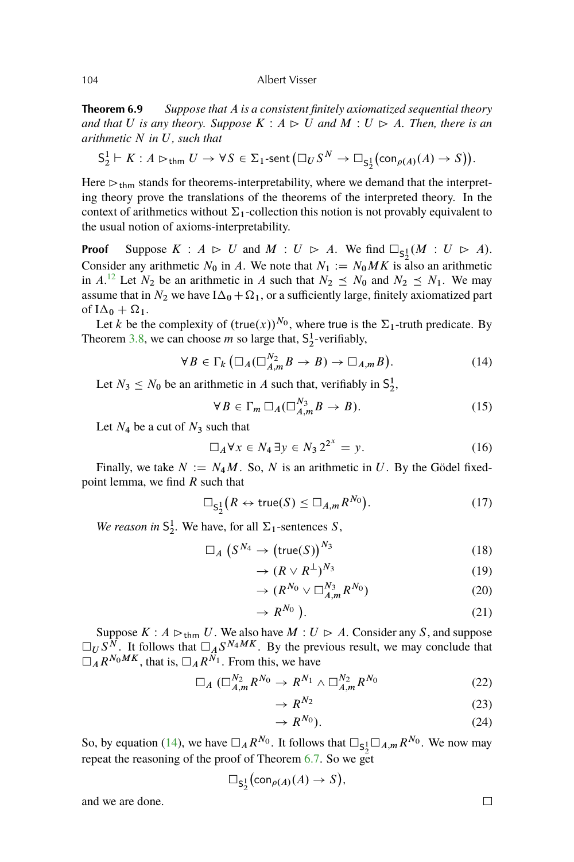**Theorem 6.9** *Suppose that* A *is a consistent finitely axiomatized sequential theory and that* U *is any theory.* Suppose  $K : A \triangleright U$  *and*  $M : U \triangleright A$ *. Then, there is an arithmetic* N *in* U*, such that*

$$
S_2^1 \vdash K : A \rhd_{\mathsf{thm}} U \to \forall S \in \Sigma_1\text{-sent }(\Box_U S^N \to \Box_{S_2^1}(\mathrm{con}_{\rho(A)}(A) \to S)).
$$

Here  $\triangleright$ <sub>thm</sub> stands for theorems-interpretability, where we demand that the interpreting theory prove the translations of the theorems of the interpreted theory. In the context of arithmetics without  $\Sigma_1$ -collection this notion is not provably equivalent to the usual notion of axioms-interpretability.

**Proof** Suppose  $K : A \rhd U$  and  $M : U \rhd A$ . We find  $\square_{\mathsf{S}_2^1}(M : U \rhd A)$ . Consider any arithmetic  $N_0$  in A. We note that  $N_1 := N_0MK$  is also an arithmetic in A.<sup>[12](#page-35-0)</sup> Let  $N_2$  be an arithmetic in A such that  $N_2 \le N_0$  and  $N_2 \le N_1$ . We may assume that in  $N_2$  we have  $I\Delta_0 + \Omega_1$ , or a sufficiently large, finitely axiomatized part of  $I\Delta_0 + \Omega_1$ .

Let k be the complexity of  $(\text{true}(x))^{N_0}$ , where true is the  $\Sigma_1$ -truth predicate. By Theorem [3.8,](#page-7-0) we can choose *m* so large that,  $S_2^1$ -verifiably,

$$
\forall B \in \Gamma_k \left( \Box_A (\Box_{A,m}^{N_2} B \to B) \to \Box_{A,m} B \right). \tag{14}
$$

Let  $N_3 \le N_0$  be an arithmetic in A such that, verifiably in  $S_2^1$ ,

$$
\forall B \in \Gamma_m \, \Box_A (\Box_{A,m}^{N_3} B \to B). \tag{15}
$$

Let  $N_4$  be a cut of  $N_3$  such that

$$
\Box_A \forall x \in N_4 \,\exists y \in N_3 \, 2^{2^x} = y. \tag{16}
$$

Finally, we take  $N := N_4M$ . So, N is an arithmetic in U. By the Gödel fixedpoint lemma, we find  $R$  such that

$$
\Box_{S_2^1}(R \leftrightarrow \text{true}(S) \le \Box_{A,m} R^{N_0}). \tag{17}
$$

We reason in  $S_2^1$ . We have, for all  $\Sigma_1$ -sentences S,

$$
\Box_A \left( S^{N_4} \to \left( \text{true}(S) \right)^{N_3} \right) \tag{18}
$$

$$
\rightarrow (R \vee R^{\perp})^{N_3} \tag{19}
$$

$$
\rightarrow (R^{N_0} \vee \square_{A,m}^{N_3} R^{N_0}) \tag{20}
$$

$$
\rightarrow R^{N_0} \tag{21}
$$

Suppose  $K : A \rhd_{\text{thm}} U$ . We also have  $M : U \rhd A$ . Consider any S, and suppose  $\square_U S^N$ . It follows that  $\square_A S^{N_A M K}$ . By the previous result, we may conclude that  $\Box_A R^{N_0MK}$ , that is,  $\Box_A R^{N_1}$ . From this, we have

$$
\Box_A \left( \Box_{A,m}^{N_2} R^{N_0} \to R^{N_1} \wedge \Box_{A,m}^{N_2} R^{N_0} \right) \tag{22}
$$

$$
\rightarrow R^{N_2} \tag{23}
$$

$$
\rightarrow R^{N_0}).\tag{24}
$$

So, by equation (14), we have  $\Box_A R^{N_0}$ . It follows that  $\Box_{S_2^1} \Box_{A,m} R^{N_0}$ . We now may repeat the reasoning of the proof of Theorem [6.7.](#page-21-0) So we get

$$
\Box_{\mathsf{S}_2^1}(\mathrm{con}_{\rho(A)}(A) \to S),
$$

and we are done.

$$
\Box
$$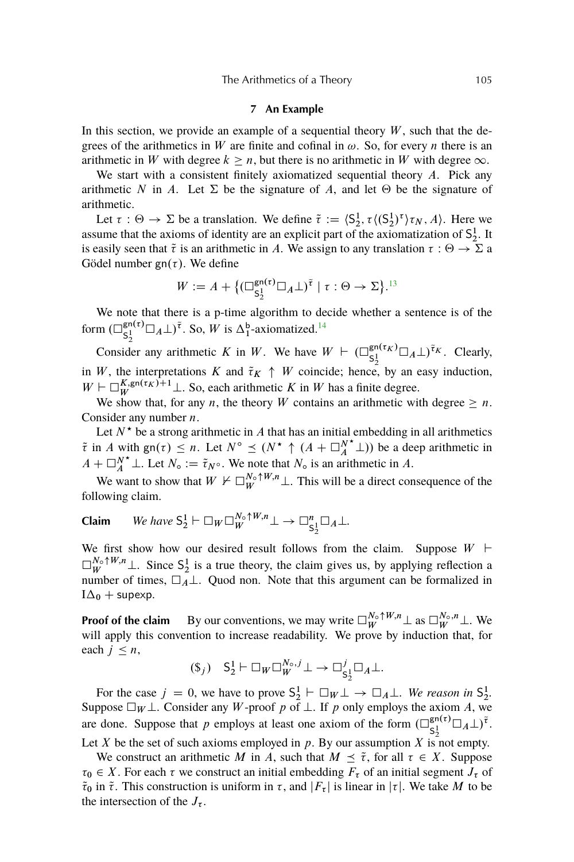#### **7 An Example**

<span id="page-24-0"></span>In this section, we provide an example of a sequential theory  $W$ , such that the degrees of the arithmetics in W are finite and cofinal in  $\omega$ . So, for every n there is an arithmetic in W with degree  $k \geq n$ , but there is no arithmetic in W with degree  $\infty$ .

We start with a consistent finitely axiomatized sequential theory  $A$ . Pick any arithmetic N in A. Let  $\Sigma$  be the signature of A, and let  $\Theta$  be the signature of arithmetic.

Let  $\tau : \Theta \to \Sigma$  be a translation. We define  $\tilde{\tau} := \langle S_2^1, \tau \langle (S_2^1)^\tau \rangle \tau_N, A \rangle$ . Here we assume that the axioms of identity are an explicit part of the axiomatization of  $S_2^1$ . It is easily seen that  $\tilde{\tau}$  is an arithmetic in A. We assign to any translation  $\tau : \Theta \to \Sigma$  a Gödel number  $gn(\tau)$ . We define

$$
W := A + \{ (\Box_{\mathsf{S}_2^1}^{\mathsf{gn}(\tau)} \Box_A \bot)^\tau \mid \tau : \Theta \to \Sigma \}.
$$
<sup>13</sup>

We note that there is a p-time algorithm to decide whether a sentence is of the form  $\left(\Box_{c1}^{\text{gn}(\tau)}\right)$  $\mathsf{S}_2^{\mathsf{in}(\tau)} \square_A \bot \tilde{\mathsf{I}}^{\tau}$ . So, *W* is  $\Delta_1^{\mathsf{b}}$ -axiomatized.<sup>[14](#page-35-0)</sup>

Consider any arithmetic K in W. We have  $W \vdash (\Box_{c_1}^{\text{gn}(\tau_K)})$  $\mathsf{S}_2^{\mathsf{in}(\tau_K)}\square_A\bot$ )<sup> $\tilde{\tau}_K$ </sup>. Clearly, in W, the interpretations K and  $\tilde{\tau}_K \uparrow W$  coincide; hence, by an easy induction,  $W \vdash \Box_{W}^{K, \text{gn}(\tau_K)+1} \bot$ . So, each arithmetic K in W has a finite degree.

We show that, for any *n*, the theory *W* contains an arithmetic with degree  $\geq n$ . Consider any number n.

Let  $N^*$  be a strong arithmetic in A that has an initial embedding in all arithmetics  $\tilde{\tau}$  in A with gn( $\tau$ )  $\leq n$ . Let  $N^{\circ} \leq (N^{\star} \uparrow (A + \square_{A}^{N^{\star}} \bot))$  be a deep arithmetic in  $A + \square_A^{N^*} \bot$ . Let  $N_{\circ} := \tilde{\tau}_{N^{\circ}}$ . We note that  $N_{\circ}$  is an arithmetic in A.

We want to show that  $W \nvDash \Box_{W}^{N_{\circ} \uparrow W, n} \bot$ . This will be a direct consequence of the following claim.

**Claim** We have 
$$
S_2^1 \vdash \Box_W \Box_W^{N_{\circ} \uparrow W, n} \bot \rightarrow \Box_{S_2^1}^n \Box_A \bot
$$
.

We first show how our desired result follows from the claim. Suppose  $W \vdash$  $\Box_W^{N_{\circ} \uparrow W, n}$   $\bot$ . Since  $S_2^1$  is a true theory, the claim gives us, by applying reflection a number of times,  $\Box \tilde{A} \bot$ . Quod non. Note that this argument can be formalized in  $I\Delta_0$  + supexp.

**Proof of the claim** By our conventions, we may write  $\Box_{W}^{N_{\circ} \uparrow W, n} \bot$  as  $\Box_{W}^{N_{\circ}, n} \bot$ . We will apply this convention to increase readability. We prove by induction that, for each  $j \leq n$ ,

$$
(\$_j) \quad \ \ \mathsf{S}_2^1 \vdash \Box_W \Box_W^{N_{\circ},j} \bot \to \Box_{\mathsf{S}_2^1}^j \Box_A \bot.
$$

For the case  $j = 0$ , we have to prove  $S_2^1 \vdash \Box_W \bot \rightarrow \Box_A \bot$ . We reason in  $S_2^1$ . Suppose  $\Box_W \bot$ . Consider any W-proof p of  $\bot$ . If p only employs the axiom A, we are done. Suppose that p employs at least one axiom of the form  $\left(\bigcup_{\substack{e=1\\e\neq i}}^{\text{gn}(\tau)}\right)$  $\mathsf{S}_2^{\mathsf{in}(\tau)}\Box_A\bot)^{\widetilde{\tau}}.$ 

Let X be the set of such axioms employed in  $p$ . By our assumption X is not empty.

We construct an arithmetic M in A, such that  $M \leq \tilde{\tau}$ , for all  $\tau \in X$ . Suppose  $\tau_0 \in X$ . For each  $\tau$  we construct an initial embedding  $F_{\tau}$  of an initial segment  $J_{\tau}$  of  $\tilde{\tau}_0$  in  $\tilde{\tau}$ . This construction is uniform in  $\tau$ , and  $|F_\tau|$  is linear in  $|\tau|$ . We take M to be the intersection of the  $J_{\tau}$ .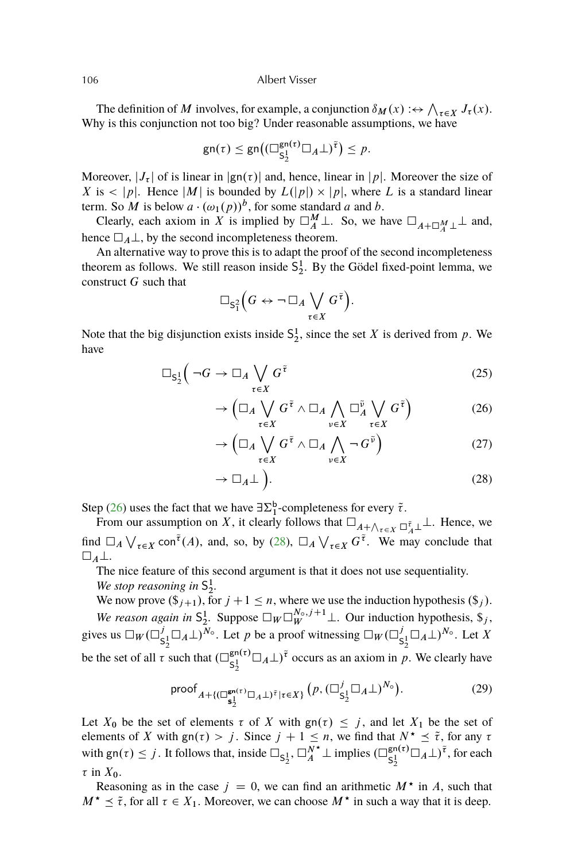The definition of M involves, for example, a conjunction  $\delta_M(x) : \leftrightarrow \bigwedge_{\tau \in X} J_\tau(x)$ . Why is this conjunction not too big? Under reasonable assumptions, we have

$$
\mathsf{gn}(\tau) \leq \mathsf{gn}\big((\Box_{\mathsf{S}_2^1}^{\mathsf{gn}(\tau)}\Box_A\bot)^{\widetilde{\tau}}\big) \leq p.
$$

Moreover,  $|J_{\tau}|$  of is linear in  $|g_n(\tau)|$  and, hence, linear in  $|p|$ . Moreover the size of X is  $\langle |p|$ . Hence  $|M|$  is bounded by  $L(|p|) \times |p|$ , where L is a standard linear term. So M is below  $a \cdot (\omega_1(p))^b$ , for some standard a and b.

Clearly, each axiom in X is implied by  $\Box_A^M \bot$ . So, we have  $\Box_{A+\Box_A^M} \bot$  and, hence  $\Box_A \bot$ , by the second incompleteness theorem.

An alternative way to prove this is to adapt the proof of the second incompleteness theorem as follows. We still reason inside  $S_2^1$ . By the Gödel fixed-point lemma, we construct  $G$  such that

$$
\Box_{S_1^2}\Big(G \leftrightarrow \neg \Box_A \bigvee_{\tau \in X} G^{\tilde{\tau}}\Big).
$$

Note that the big disjunction exists inside  $S_2^1$ , since the set X is derived from p. We have

$$
\Box_{S^1_2} \Big( \neg G \to \Box_A \bigvee_{\tau \in X} G^{\tilde{\tau}} \tag{25}
$$

$$
\to \left(\Box_A \bigvee_{\tau \in X} G^{\tilde{\tau}} \wedge \Box_A \bigwedge_{\nu \in X} \Box_A^{\tilde{\nu}} \bigvee_{\tau \in X} G^{\tilde{\tau}}\right) \tag{26}
$$

$$
\rightarrow \left(\Box_A \bigvee_{\tau \in X} G^{\tilde{\tau}} \wedge \Box_A \bigwedge_{\nu \in X} \neg G^{\tilde{\nu}}\right) \tag{27}
$$

$$
\rightarrow \Box_A \bot \bigg). \tag{28}
$$

Step (26) uses the fact that we have  $\exists \Sigma_1^{\mathsf{b}}$ -completeness for every  $\tilde{\tau}$ .

From our assumption on X, it clearly follows that  $\Box_{A+\bigwedge_{\tau\in X}\Box_A^{\tilde\tau}\bot}$ . Hence, we find  $\Box_A \bigvee_{\tau \in X} \text{con}^{\tilde{\tau}}(A)$ , and, so, by (28),  $\Box_A \bigvee_{\tau \in X} G^{\tilde{\tau}}$ . We may conclude that  $\square_A\bot.$ 

The nice feature of this second argument is that it does not use sequentiality. We stop reasoning in  $S_2^1$ .

We now prove  $(\mathcal{S}_{j+1}),$  for  $j+1 \leq n$ , where we use the induction hypothesis  $(\mathcal{S}_j)$ . *We reason again in*  $S_2^1$ . Suppose  $\Box_W \Box_W^{N_o,j+1} \bot$ . Our induction hypothesis,  $\hat{\mathfrak{s}}_j$ , gives us  $\Box_W (\Box^j_{\mathsf{c}}$  $S_2^j \square_A \bot)^{N_\circ}$ . Let p be a proof witnessing  $\square_W (\square_g^j)$  $S_2^j \square_A \bot)^{N_{\circ}}$ . Let X be the set of all  $\tau$  such that  $(\Box_{c_1}^{gn(\tau)})$  $\mathsf{g}_{2}^{\mathsf{gn}(\tau)}\Box_{A}\bot)^{\tilde{\tau}}$  occurs as an axiom in p. We clearly have

$$
\text{proof}_{A+\{(\Box_{\mathbf{S}_{2}}^{\mathbf{g}_{\mathsf{n}}(\tau)}\Box_{A}\bot)^{\tilde{\tau}}|\tau\in X\}}(p, (\Box_{\mathbf{S}_{2}^{1}}^{j}\Box_{A}\bot)^{N_{\circ}}). \tag{29}
$$

Let  $X_0$  be the set of elements  $\tau$  of X with  $\text{gn}(\tau) \leq j$ , and let  $X_1$  be the set of elements of X with gn( $\tau$ ) > j. Since  $j + 1 \leq n$ , we find that  $N^* \leq \tilde{\tau}$ , for any  $\tau$ with  $\text{gn}(\tau) \leq j$ . It follows that, inside  $\square_{\mathsf{S}_2^1}$ ,  $\square_A^{N^*} \bot$  implies  $(\square_{\mathsf{S}_2^1}^{\mathsf{gn}(\tau)})$  $\mathsf{S}_2^{\mathsf{in}(\tau)}\square_A\bot$ )<sup> $\tilde{\tau}$ </sup>, for each  $\tau$  in  $X_0$ .

Reasoning as in the case  $j = 0$ , we can find an arithmetic  $M^*$  in A, such that  $M^{\star} \leq \tilde{\tau}$ , for all  $\tau \in X_1$ . Moreover, we can choose  $M^{\star}$  in such a way that it is deep.

<span id="page-25-0"></span>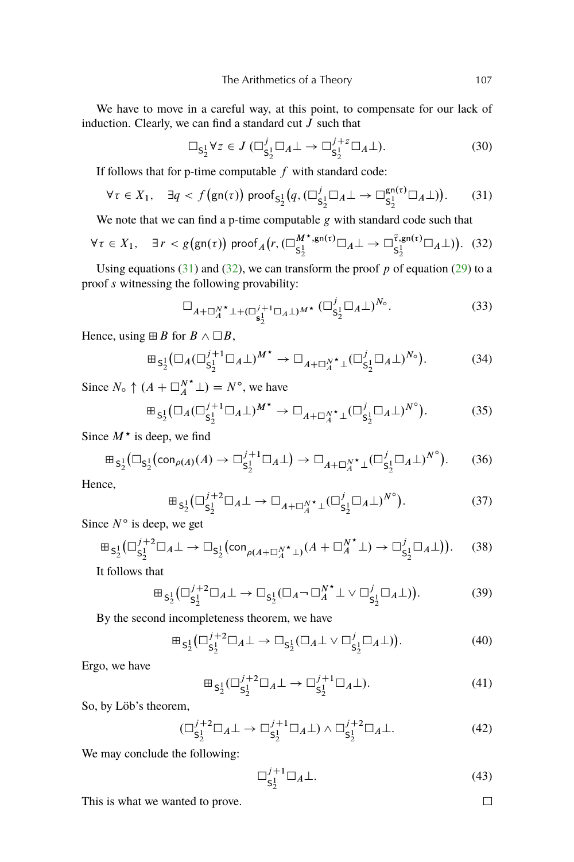We have to move in a careful way, at this point, to compensate for our lack of induction. Clearly, we can find a standard cut  $J$  such that

$$
\Box_{\mathsf{S}_2^1} \forall z \in J \; (\Box_{\mathsf{S}_2^1}^j \Box_A \bot \to \Box_{\mathsf{S}_2^1}^{j+z} \Box_A \bot). \tag{30}
$$

If follows that for p-time computable  $f$  with standard code:

$$
\forall \tau \in X_1, \quad \exists q < f\left(\text{gn}(\tau)\right) \text{ proof}_{S_2^1}\left(q, \left(\Box_{S_2^1}^j \Box_A \bot \to \Box_{S_2^1}^{\text{gn}(\tau)} \Box_A \bot\right)\right). \tag{31}
$$

We note that we can find a p-time computable  $g$  with standard code such that

$$
\forall \tau \in X_1, \quad \exists \, r < g\left(\text{gn}(\tau)\right) \text{ proof}_A\left(r, \left(\square_{\mathsf{S}_2^1}^{M^\star, \text{gn}(\tau)} \square_A \bot \rightarrow \square_{\mathsf{S}_2^1}^{\tilde{\tau}, \text{gn}(\tau)} \square_A \bot\right)\right). \tag{32}
$$

Using equations (31) and (32), we can transform the proof  $p$  of equation [\(29\)](#page-25-0) to a proof s witnessing the following provability:

$$
\Box_{A+\Box_A^{N^\star}\bot+(\Box_A^{j+1}\Box_A\bot)^{M^\star}}\,(\Box_{S_2^1}^j\Box_A\bot)^{N_\circ}.\tag{33}
$$

Hence, using  $\boxplus B$  for  $B \wedge \Box B$ ,

$$
\mathbb{E}_{S_2^1}(\Box_A (\Box_{S_2^1}^{j+1} \Box_A \bot)^{M^*} \to \Box_{A+\Box_A^{N^*} \bot} (\Box_{S_2^1}^j \Box_A \bot)^{N_0}).
$$
 (34)

Since  $N_{\circ} \uparrow (A + \square_A^{N^*} \bot) = N^{\circ}$ , we have

$$
\mathbb{H}_{S_2^1}(\Box_A(\Box_{S_2^1}^{j+1}\Box_A\bot)^{M^*}\to\Box_{A+\Box_A^{N^*}\bot}(\Box_{S_2^1}^j\Box_A\bot)^{N^o}).\tag{35}
$$

Since  $M^*$  is deep, we find

$$
\mathbb{H}_{S_2^1}(\Box_{S_2^1}(\operatorname{con}_{\rho(A)}(A) \to \Box_{S_2^1}^{j+1} \Box_A \bot) \to \Box_{A+\Box_A^{N^*}\bot}(\Box_{S_2^1}^j \Box_A \bot)^{N^{\circ}}). \tag{36}
$$

Hence,

$$
\mathbb{E}_{S_2^1}(\Box_{S_2^1}^{j+2}\Box_A \bot \to \Box_{A+\Box_A^{N^*}\bot}(\Box_{S_2^1}^j\Box_A \bot)^{N^{\circ}}). \tag{37}
$$

Since  $N^{\circ}$  is deep, we get

$$
\mathbb{E}_{\mathsf{S}_2^1}(\Box_{\mathsf{S}_2^1}^{j+2}\Box_A \bot \to \Box_{\mathsf{S}_2^1}(\mathrm{con}_{\rho(A+\Box_A^{N^\star}\bot)}(A+\Box_A^{N^\star}\bot) \to \Box_{\mathsf{S}_2^1}^j\Box_A \bot)).\tag{38}
$$

It follows that

$$
\mathbb{E}_{\mathsf{S}_2^1}(\Box_{\mathsf{S}_2^1}^{j+2}\Box_A \bot \to \Box_{\mathsf{S}_2^1}(\Box_A \neg \Box_A^{N^*} \bot \lor \Box_{\mathsf{S}_2^1}^j \Box_A \bot)).\tag{39}
$$

By the second incompleteness theorem, we have

$$
\mathbb{E}_{S_2^1}(\Box_{S_2^1}^{j+2} \Box_A \bot \to \Box_{S_2^1}(\Box_A \bot \lor \Box_{S_2^1}^j \Box_A \bot)). \tag{40}
$$

Ergo, we have

$$
\mathbb{E}_{S_2^1}(\square_{S_2^1}^{j+2}\square_A\bot \to \square_{S_2^1}^{j+1}\square_A\bot). \tag{41}
$$

So, by Löb's theorem,

$$
(\Box_{\mathsf{S}_2^1}^{j+2} \Box_A \bot \to \Box_{\mathsf{S}_2^1}^{j+1} \Box_A \bot) \land \Box_{\mathsf{S}_2^1}^{j+2} \Box_A \bot. \tag{42}
$$

We may conclude the following:

$$
\Box_{\mathsf{S}_2^1}^{j+1} \Box_A \bot. \tag{43}
$$

This is what we wanted to prove.

 $\Box$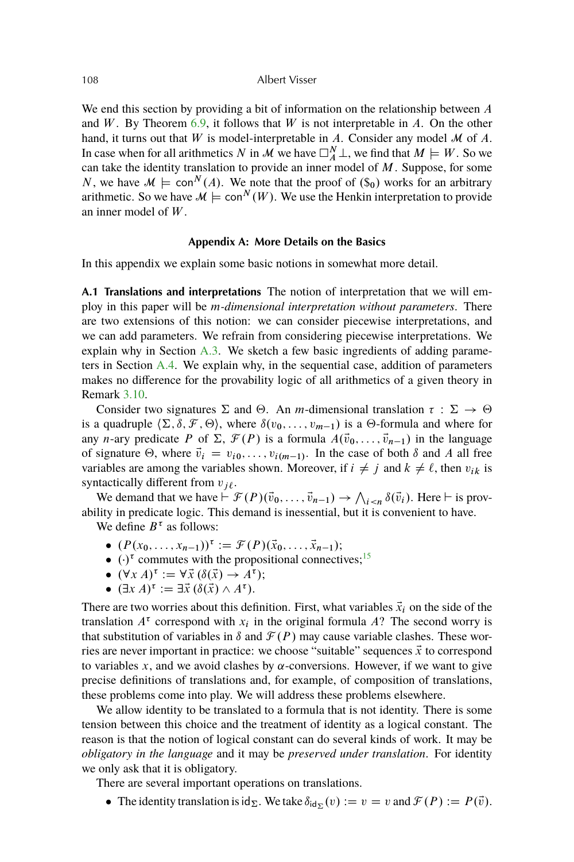<span id="page-27-0"></span>We end this section by providing a bit of information on the relationship between A and W. By Theorem  $6.9$ , it follows that W is not interpretable in A. On the other hand, it turns out that W is model-interpretable in A. Consider any model  $\mathcal M$  of A. In case when for all arithmetics N in M we have  $\Box_A^N \bot$ , we find that  $M \models W$ . So we can take the identity translation to provide an inner model of  $M$ . Suppose, for some N, we have  $\mathcal{M} \models \text{con}^N(A)$ . We note that the proof of  $(\hat{\mathcal{S}}_0)$  works for an arbitrary arithmetic. So we have  $\mathcal{M} \models \text{con}^N(W)$ . We use the Henkin interpretation to provide an inner model of W .

## **Appendix A: More Details on the Basics**

In this appendix we explain some basic notions in somewhat more detail.

**A.1 Translations and interpretations** The notion of interpretation that we will employ in this paper will be m*-dimensional interpretation without parameters*. There are two extensions of this notion: we can consider piecewise interpretations, and we can add parameters. We refrain from considering piecewise interpretations. We explain why in Section [A.3.](#page-30-0) We sketch a few basic ingredients of adding parameters in Section [A.4.](#page-30-0) We explain why, in the sequential case, addition of parameters makes no difference for the provability logic of all arithmetics of a given theory in Remark [3.10.](#page-8-0)

Consider two signatures  $\Sigma$  and  $\Theta$ . An *m*-dimensional translation  $\tau : \Sigma \to \Theta$ is a quadruple  $\langle \Sigma, \delta, \mathcal{F}, \Theta \rangle$ , where  $\delta(v_0, \ldots, v_{m-1})$  is a  $\Theta$ -formula and where for any n-ary predicate P of  $\Sigma$ ,  $\mathcal{F}(P)$  is a formula  $A(\vec{v}_0, \ldots, \vec{v}_{n-1})$  in the language of signature  $\Theta$ , where  $\vec{v}_i = v_{i0}, \dots, v_{i(m-1)}$ . In the case of both  $\delta$  and A all free variables are among the variables shown. Moreover, if  $i \neq j$  and  $k \neq \ell$ , then  $v_{ik}$  is syntactically different from  $v_{i\ell}$ .

We demand that we have  $\vdash \mathcal{F}(P)(\vec{v}_0,\ldots,\vec{v}_{n-1}) \to \bigwedge_{i\leq n} \delta(\vec{v}_i)$ . Here  $\vdash$  is provability in predicate logic. This demand is inessential, but it is convenient to have.

We define  $B^{\tau}$  as follows:

- $(P(x_0, ..., x_{n-1}))^{\tau} := \mathcal{F}(P)(\vec{x}_0, ..., \vec{x}_{n-1});$
- $\bullet$   $(\cdot)^\tau$  commutes with the propositional connectives;<sup>[15](#page-35-0)</sup>
- $(\forall x A)^{\tau} := \forall \vec{x} (\delta(\vec{x}) \rightarrow A^{\tau});$
- $(\exists x A)^{\tau} := \exists \vec{x} (\delta(\vec{x}) \wedge A^{\tau}).$

There are two worries about this definition. First, what variables  $\vec{x}_i$  on the side of the translation  $A^{\tau}$  correspond with  $x_i$  in the original formula A? The second worry is that substitution of variables in  $\delta$  and  $\mathcal{F}(P)$  may cause variable clashes. These worries are never important in practice: we choose "suitable" sequences  $\vec{x}$  to correspond to variables x, and we avoid clashes by  $\alpha$ -conversions. However, if we want to give precise definitions of translations and, for example, of composition of translations, these problems come into play. We will address these problems elsewhere.

We allow identity to be translated to a formula that is not identity. There is some tension between this choice and the treatment of identity as a logical constant. The reason is that the notion of logical constant can do several kinds of work. It may be *obligatory in the language* and it may be *preserved under translation*. For identity we only ask that it is obligatory.

There are several important operations on translations.

• The identity translation is  $\mathrm{id}_{\Sigma}$ . We take  $\delta_{\mathrm{id}_{\Sigma}}(v) := v = v$  and  $\mathcal{F}(P) := P(\vec{v})$ .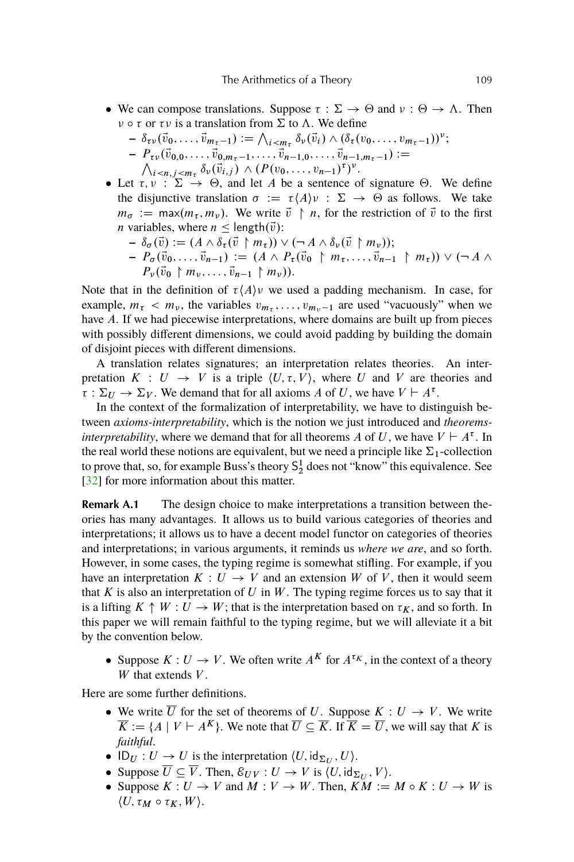- <span id="page-28-0"></span>• We can compose translations. Suppose  $\tau : \Sigma \to \Theta$  and  $\nu : \Theta \to \Lambda$ . Then  $\nu \circ \tau$  or  $\tau \nu$  is a translation from  $\Sigma$  to  $\Lambda$ . We define
	- $\delta_{\tau\nu}(\vec{v}_0, \ldots, \vec{v}_{m_{\tau}-1}) := \bigwedge_{i \leq m_{\tau}} \delta_{\nu}(\vec{v}_i) \wedge (\delta_{\tau}(v_0, \ldots, v_{m_{\tau}-1}))^{\nu};$  $P_{\tau\nu}(\vec{v}_{0,0},\ldots,\vec{v}_{0,m_{\tau}-1},\ldots,\vec{v}_{n-1,0},\ldots,\vec{v}_{n-1,m_{\tau}-1}):=\n\lambda_{i\leq n}\sum_{j\leq m}\delta_{\nu}(\vec{v}_{i,j})\wedge(P(v_0,\ldots,v_{n-1})^{\tau})^{\nu}.$  $_{i \le n, j \le m_{\tau}} \delta_{\nu}(\vec{v}_{i,j}) \wedge (P(v_0, \ldots, v_{n-1})^{\tau})^{\nu}.$
- Let  $\tau, \nu : \Sigma \to \Theta$ , and let A be a sentence of signature  $\Theta$ . We define the disjunctive translation  $\sigma := \tau \langle A \rangle v : \Sigma \to \Theta$  as follows. We take  $m_{\sigma} := \max(m_{\tau}, m_{\nu})$ . We write  $\vec{v} \restriction n$ , for the restriction of  $\vec{v}$  to the first *n* variables, where  $n \leq \text{length}(\vec{v})$ :
	- $-\delta_{\sigma}(\vec{v}) := (A \wedge \delta_{\tau}(\vec{v} \upharpoonright m_{\tau})) \vee (\neg A \wedge \delta_{\nu}(\vec{v} \upharpoonright m_{\nu}))$ ;  $P_{\sigma}(\vec{v}_0, \ldots, \vec{v}_{n-1}) := (A \wedge P_{\tau}(\vec{v}_0 \upharpoonright m_{\tau}, \ldots, \vec{v}_{n-1} \upharpoonright m_{\tau})) \vee (\neg A \wedge \vec{v}_0$  $P_{\nu}(\vec{v}_0 \upharpoonright m_{\nu}, \ldots, \vec{v}_{n-1} \upharpoonright m_{\nu}).$

Note that in the definition of  $\tau \langle A \rangle v$  we used a padding mechanism. In case, for example,  $m_{\tau} < m_{\nu}$ , the variables  $v_{m_{\tau}}, \ldots, v_{m_{\nu}-1}$  are used "vacuously" when we have A. If we had piecewise interpretations, where domains are built up from pieces with possibly different dimensions, we could avoid padding by building the domain of disjoint pieces with different dimensions.

A translation relates signatures; an interpretation relates theories. An interpretation  $K : U \to V$  is a triple  $\langle U, \tau, V \rangle$ , where U and V are theories and  $\overline{\tau} : \Sigma_U \to \Sigma_V$ . We demand that for all axioms A of U, we have  $V \vdash A^{\tau}$ .

In the context of the formalization of interpretability, we have to distinguish between *axioms-interpretability*, which is the notion we just introduced and *theoremsinterpretability*, where we demand that for all theorems A of U, we have  $V \vdash A^{\tau}$ . In the real world these notions are equivalent, but we need a principle like  $\Sigma_1$ -collection to prove that, so, for example Buss's theory  $S_2^1$  does not "know" this equivalence. See [\[32\]](#page-37-0) for more information about this matter.

**Remark A.1** The design choice to make interpretations a transition between theories has many advantages. It allows us to build various categories of theories and interpretations; it allows us to have a decent model functor on categories of theories and interpretations; in various arguments, it reminds us *where we are*, and so forth. However, in some cases, the typing regime is somewhat stifling. For example, if you have an interpretation  $K: U \to V$  and an extension W of V, then it would seem that  $K$  is also an interpretation of  $U$  in  $W$ . The typing regime forces us to say that it is a lifting  $K \uparrow W : U \to W$ ; that is the interpretation based on  $\tau_K$ , and so forth. In this paper we will remain faithful to the typing regime, but we will alleviate it a bit by the convention below.

• Suppose  $K: U \to V$ . We often write  $A^K$  for  $A^{\tau_K}$ , in the context of a theory W that extends  $V$ .

Here are some further definitions.

- We write  $\overline{U}$  for the set of theorems of U. Suppose  $K: U \rightarrow V$ . We write  $\overline{K} := \{ A \mid V \vdash A^K \}.$  We note that  $\overline{U} \subseteq \overline{K}$ . If  $\overline{K} = \overline{U}$ , we will say that K is *faithful*.
- $ID_U: U \to U$  is the interpretation  $\langle U, id_{\Sigma_U}, U \rangle$ .
- Suppose  $\overline{U} \subseteq \overline{V}$ . Then,  $\mathcal{E}_{UV} : U \to V$  is  $\langle U, id_{\Sigma_U}, V \rangle$ .
- Suppose  $K: U \to V$  and  $M: V \to W$ . Then,  $KM := M \circ K : U \to W$  is  $\langle U, \tau_M \circ \tau_K, W \rangle$ .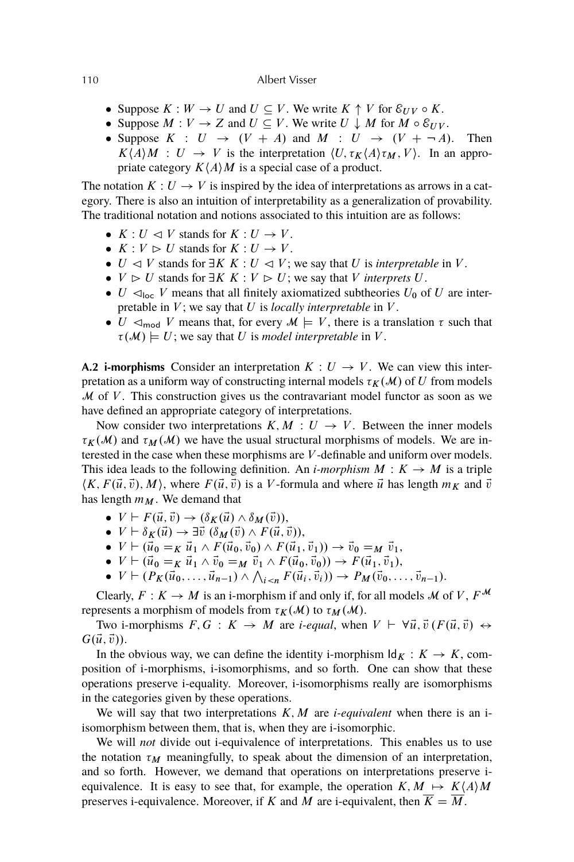- Suppose  $K : W \to U$  and  $U \subseteq V$ . We write  $K \uparrow V$  for  $\mathcal{E}_{UV} \circ K$ .
- Suppose  $M: V \to Z$  and  $U \subseteq V$ . We write  $U \downarrow M$  for  $M \circ \mathcal{E}_{UV}$ .
- Suppose  $K : U \rightarrow (V + A)$  and  $M : U \rightarrow (V + \neg A)$ . Then  $K\langle A \rangle M$  :  $U \rightarrow V$  is the interpretation  $\langle U, \tau_K \langle A \rangle \tau_M, V \rangle$ . In an appropriate category  $K\langle A \rangle M$  is a special case of a product.

The notation  $K: U \to V$  is inspired by the idea of interpretations as arrows in a category. There is also an intuition of interpretability as a generalization of provability. The traditional notation and notions associated to this intuition are as follows:

- $K: U \vartriangleleft V$  stands for  $K: U \to V$ .
- $K: V \triangleright U$  stands for  $K: U \to V$ .
- $\bullet$  U  $\triangleleft$  V stands for  $\exists K K : U \triangleleft V$ ; we say that U is *interpretable* in V.
- $V \supset U$  stands for  $\exists K K : V \supset U$ ; we say that V *interprets* U.
- $\bullet$  U  $\lhd_{\text{loc}}$  V means that all finitely axiomatized subtheories U<sub>0</sub> of U are interpretable in  $V$ ; we say that  $U$  is *locally interpretable* in  $V$ .
- $\bullet$  U  $\lhd_{\text{mod}}$  V means that, for every  $\mathcal{M} \models V$ , there is a translation  $\tau$  such that  $\tau(M) \models U$ ; we say that U is *model interpretable* in V.

**A.2 i-morphisms** Consider an interpretation  $K: U \rightarrow V$ . We can view this interpretation as a uniform way of constructing internal models  $\tau_K(\mathcal{M})$  of U from models  $M$  of  $V$ . This construction gives us the contravariant model functor as soon as we have defined an appropriate category of interpretations.

Now consider two interpretations  $K, M : U \rightarrow V$ . Between the inner models  $\tau_K(\mathcal{M})$  and  $\tau_M(\mathcal{M})$  we have the usual structural morphisms of models. We are interested in the case when these morphisms are V -definable and uniform over models. This idea leads to the following definition. An *i-morphism*  $M : K \to M$  is a triple  $\langle K, F(\vec{u}, \vec{v}), M \rangle$ , where  $F(\vec{u}, \vec{v})$  is a V-formula and where  $\vec{u}$  has length  $m_K$  and  $\vec{v}$ has length  $m_M$ . We demand that

- $V \vdash F(\vec{u}, \vec{v}) \rightarrow (\delta_K(\vec{u}) \wedge \delta_M(\vec{v})),$
- $V \vdash \delta_K(\vec{u}) \rightarrow \exists \vec{v} \; (\delta_M(\vec{v}) \wedge F(\vec{u}, \vec{v})),$
- $V \vdash (\vec{u}_0 =_K \vec{u}_1 \wedge F(\vec{u}_0, \vec{v}_0) \wedge F(\vec{u}_1, \vec{v}_1)) \rightarrow \vec{v}_0 =_M \vec{v}_1,$
- $V \vdash (\vec{u}_0 =_K \vec{u}_1 \wedge \vec{v}_0 =_M \vec{v}_1 \wedge F(\vec{u}_0, \vec{v}_0)) \rightarrow F(\vec{u}_1, \vec{v}_1),$
- $V \vdash (P_K(\vec{u}_0, \ldots, \vec{u}_{n-1}) \land \bigwedge_{i \leq n} F(\vec{u}_i, \vec{v}_i)) \rightarrow P_M(\vec{v}_0, \ldots, \vec{v}_{n-1}).$

Clearly,  $F: K \to M$  is an i-morphism if and only if, for all models M of V,  $F^{\mathcal{M}}$ represents a morphism of models from  $\tau_K(\mathcal{M})$  to  $\tau_M(\mathcal{M})$ .

Two i-morphisms  $F, G : K \to M$  are *i-equal*, when  $V \vdash \forall \vec{u}, \vec{v} (F(\vec{u}, \vec{v}) \leftrightarrow$  $G(\vec{u}, \vec{v})$ .

In the obvious way, we can define the identity i-morphism  $\mathrm{Id}_K : K \to K$ , composition of i-morphisms, i-isomorphisms, and so forth. One can show that these operations preserve i-equality. Moreover, i-isomorphisms really are isomorphisms in the categories given by these operations.

We will say that two interpretations  $K, M$  are *i-equivalent* when there is an *i*isomorphism between them, that is, when they are i-isomorphic.

We will *not* divide out i-equivalence of interpretations. This enables us to use the notation  $\tau_M$  meaningfully, to speak about the dimension of an interpretation, and so forth. However, we demand that operations on interpretations preserve iequivalence. It is easy to see that, for example, the operation  $K, M \mapsto K\langle A \rangle M$ preserves i-equivalence. Moreover, if K and M are i-equivalent, then  $\overline{K} = \overline{M}$ .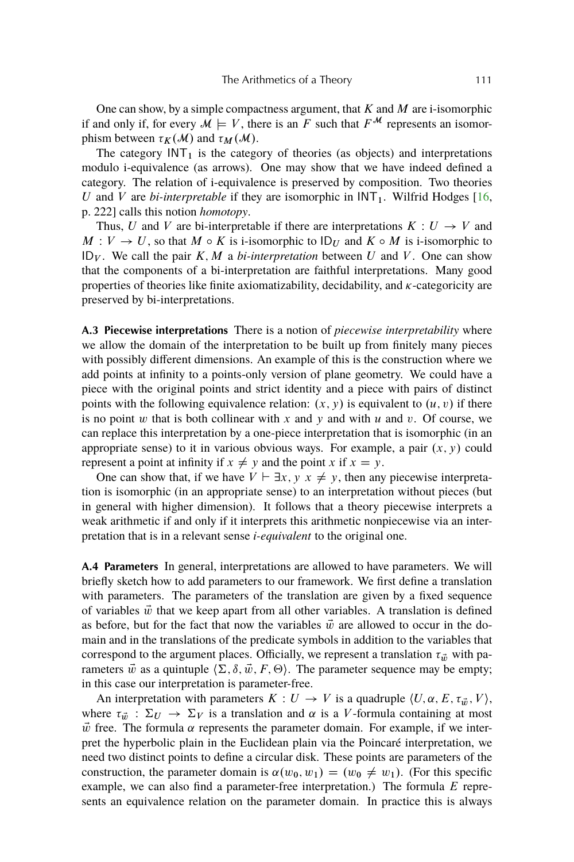<span id="page-30-0"></span>One can show, by a simple compactness argument, that  $K$  and  $M$  are i-isomorphic if and only if, for every  $\mathcal{M} \models V$ , there is an F such that  $F^{\mathcal{M}}$  represents an isomorphism between  $\tau_K(\mathcal{M})$  and  $\tau_M(\mathcal{M})$ .

The category  $INT<sub>1</sub>$  is the category of theories (as objects) and interpretations modulo i-equivalence (as arrows). One may show that we have indeed defined a category. The relation of i-equivalence is preserved by composition. Two theories U and V are *bi-interpretable* if they are isomorphic in  $INT<sub>1</sub>$ . Wilfrid Hodges [\[16,](#page-37-0) p. 222] calls this notion *homotopy*.

Thus, U and V are bi-interpretable if there are interpretations  $K: U \rightarrow V$  and  $M: V \to U$ , so that  $M \circ K$  is i-isomorphic to  $ID_U$  and  $K \circ M$  is i-isomorphic to ID<sub>V</sub>. We call the pair  $K, M$  a *bi-interpretation* between U and V. One can show that the components of a bi-interpretation are faithful interpretations. Many good properties of theories like finite axiomatizability, decidability, and  $\kappa$ -categoricity are preserved by bi-interpretations.

**A.3 Piecewise interpretations** There is a notion of *piecewise interpretability* where we allow the domain of the interpretation to be built up from finitely many pieces with possibly different dimensions. An example of this is the construction where we add points at infinity to a points-only version of plane geometry. We could have a piece with the original points and strict identity and a piece with pairs of distinct points with the following equivalence relation:  $(x, y)$  is equivalent to  $(u, v)$  if there is no point  $w$  that is both collinear with  $x$  and  $y$  and with  $u$  and  $v$ . Of course, we can replace this interpretation by a one-piece interpretation that is isomorphic (in an appropriate sense) to it in various obvious ways. For example, a pair  $(x, y)$  could represent a point at infinity if  $x \neq y$  and the point x if  $x = y$ .

One can show that, if we have  $V \vdash \exists x, y \; x \neq y$ , then any piecewise interpretation is isomorphic (in an appropriate sense) to an interpretation without pieces (but in general with higher dimension). It follows that a theory piecewise interprets a weak arithmetic if and only if it interprets this arithmetic nonpiecewise via an interpretation that is in a relevant sense *i-equivalent* to the original one.

**A.4 Parameters** In general, interpretations are allowed to have parameters. We will briefly sketch how to add parameters to our framework. We first define a translation with parameters. The parameters of the translation are given by a fixed sequence of variables  $\vec{w}$  that we keep apart from all other variables. A translation is defined as before, but for the fact that now the variables  $\vec{w}$  are allowed to occur in the domain and in the translations of the predicate symbols in addition to the variables that correspond to the argument places. Officially, we represent a translation  $\tau_{\vec{w}}$  with parameters  $\vec{w}$  as a quintuple  $\langle \Sigma, \delta, \vec{w}, F, \Theta \rangle$ . The parameter sequence may be empty; in this case our interpretation is parameter-free.

An interpretation with parameters  $K: U \to V$  is a quadruple  $\langle U, \alpha, E, \tau_{\vec{w}}, V \rangle$ , where  $\tau_{\vec{w}} : \Sigma_U \to \Sigma_V$  is a translation and  $\alpha$  is a V-formula containing at most  $\vec{w}$  free. The formula  $\alpha$  represents the parameter domain. For example, if we interpret the hyperbolic plain in the Euclidean plain via the Poincaré interpretation, we need two distinct points to define a circular disk. These points are parameters of the construction, the parameter domain is  $\alpha(w_0, w_1) = (w_0 \neq w_1)$ . (For this specific example, we can also find a parameter-free interpretation.) The formula  $E$  represents an equivalence relation on the parameter domain. In practice this is always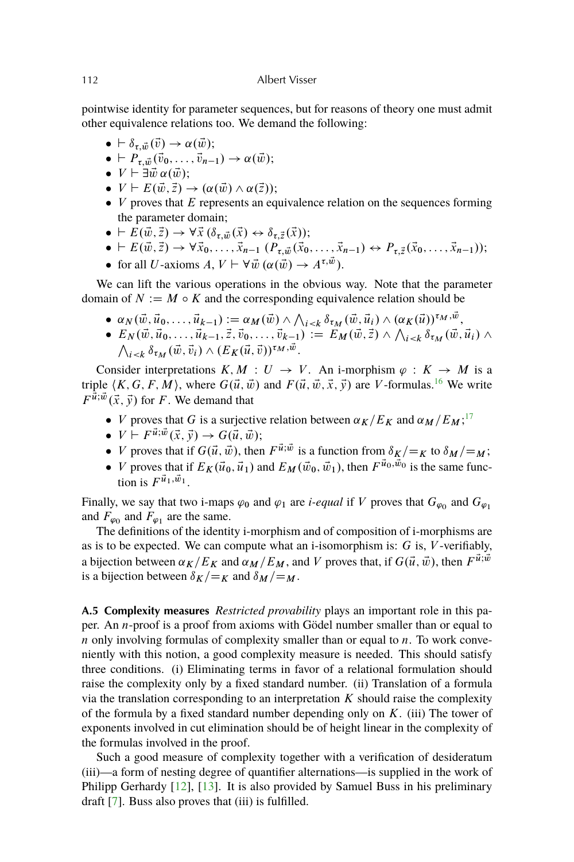<span id="page-31-0"></span>pointwise identity for parameter sequences, but for reasons of theory one must admit other equivalence relations too. We demand the following:

- $\bullet \vdash \delta_{\tau,\vec{w}}(\vec{v}) \rightarrow \alpha(\vec{w});$
- $\bullet \vdash P_{\tau,\vec{w}}(\vec{v}_0,\ldots,\vec{v}_{n-1}) \to \alpha(\vec{w});$
- $V \vdash \exists \vec{w} \, \alpha(\vec{w});$
- $\bullet \, V \vdash E(\vec{w}, \vec{z}) \rightarrow (\alpha(\vec{w}) \wedge \alpha(\vec{z}))$ ;
- $\bullet$  V proves that E represents an equivalence relation on the sequences forming the parameter domain;
- $\bullet \vdash \overline{E}(\vec{w}, \vec{z}) \rightarrow \forall \vec{x} \, (\delta_{\tau, \vec{w}}(\vec{x}) \leftrightarrow \delta_{\tau, \vec{z}}(\vec{x}));$
- $\bullet \vdash E(\vec{w}, \vec{z}) \to \forall \vec{x}_0, \ldots, \vec{x}_{n-1} (P_{\tau, \vec{w}}(\vec{x}_0, \ldots, \vec{x}_{n-1}) \leftrightarrow P_{\tau, \vec{z}}(\vec{x}_0, \ldots, \vec{x}_{n-1}));$
- for all U-axioms  $A, V \vdash \forall \vec{w}$   $(\alpha(\vec{w}) \rightarrow A^{\tau, \vec{w}})$ .

We can lift the various operations in the obvious way. Note that the parameter domain of  $N := M \circ K$  and the corresponding equivalence relation should be

- $\alpha_N(\vec{w}, \vec{u}_0, \ldots, \vec{u}_{k-1}) := \alpha_M(\vec{w}) \wedge \bigwedge_{i < k} \delta_{\tau_M}(\vec{w}, \vec{u}_i) \wedge (\alpha_K(\vec{u}))^{\tau_M, \vec{w}},$
- $E_N(\vec{w}, \vec{u}_0, \ldots, \vec{u}_{k-1}, \vec{z}, \vec{v}_0, \ldots, \vec{v}_{k-1}) := E_M(\vec{w}, \vec{z}) \wedge \bigwedge_{i \leq k} \delta_{\tau_M}(\vec{w}, \vec{u}_i) \wedge$  $\bigwedge_{i \leq k} \delta_{\tau_M}(\vec{w}, \vec{v}_i) \wedge (E_K(\vec{u}, \vec{v}))^{\tau_M, \vec{w}}.$

Consider interpretations  $K, M : U \to V$ . An i-morphism  $\varphi : K \to M$  is a triple  $\langle K, G, F, M \rangle$ , where  $G(\vec{u}, \vec{w})$  and  $F(\vec{u}, \vec{w}, \vec{x}, \vec{y})$  are V-formulas.<sup>[16](#page-35-0)</sup> We write  $F^{\vec{u};\vec{w}}(\vec{x},\vec{y})$  for F. We demand that

- *V* proves that *G* is a surjective relation between  $\alpha_K/E_K$  and  $\alpha_M/E_M$ ;<sup>[17](#page-35-0)</sup>
- $\bullet \ \ V \vdash F^{\vec{u}; \vec{w}}(\vec{x}, \vec{y}) \rightarrow G(\vec{u}, \vec{w});$
- *V* proves that if  $G(\vec{u}, \vec{w})$ , then  $F^{\vec{u}; \vec{w}}$  is a function from  $\delta_K / =_K$  to  $\delta_M / =_M$ ;
- *V* proves that if  $E_K(\vec{u}_0, \vec{u}_1)$  and  $E_M(\vec{w}_0, \vec{w}_1)$ , then  $F^{\vec{u}_0, \vec{w}_0}$  is the same function is  $F^{\vec{u}_1, \vec{w}_1}$ .

Finally, we say that two i-maps  $\varphi_0$  and  $\varphi_1$  are *i-equal* if V proves that  $G_{\varphi_0}$  and  $G_{\varphi_1}$ and  $F_{\varphi_0}$  and  $F_{\varphi_1}$  are the same.

The definitions of the identity i-morphism and of composition of i-morphisms are as is to be expected. We can compute what an i-isomorphism is:  $G$  is,  $V$ -verifiably, a bijection between  $\alpha_K/E_K$  and  $\alpha_M/E_M$ , and V proves that, if  $G(\vec{u}, \vec{w})$ , then  $F^{\vec{u}; \vec{w}}$ is a bijection between  $\delta_K/\mathcal{F}_K$  and  $\delta_M/\mathcal{F}_M$ .

**A.5 Complexity measures** *Restricted provability* plays an important role in this paper. An n-proof is a proof from axioms with Gödel number smaller than or equal to  $n$  only involving formulas of complexity smaller than or equal to  $n$ . To work conveniently with this notion, a good complexity measure is needed. This should satisfy three conditions. (i) Eliminating terms in favor of a relational formulation should raise the complexity only by a fixed standard number. (ii) Translation of a formula via the translation corresponding to an interpretation  $K$  should raise the complexity of the formula by a fixed standard number depending only on  $K$ . (iii) The tower of exponents involved in cut elimination should be of height linear in the complexity of the formulas involved in the proof.

Such a good measure of complexity together with a verification of desideratum (iii)—a form of nesting degree of quantifier alternations—is supplied in the work of Philipp Gerhardy [\[12\]](#page-36-0), [\[13\]](#page-36-0). It is also provided by Samuel Buss in his preliminary draft [\[7\]](#page-36-0). Buss also proves that (iii) is fulfilled.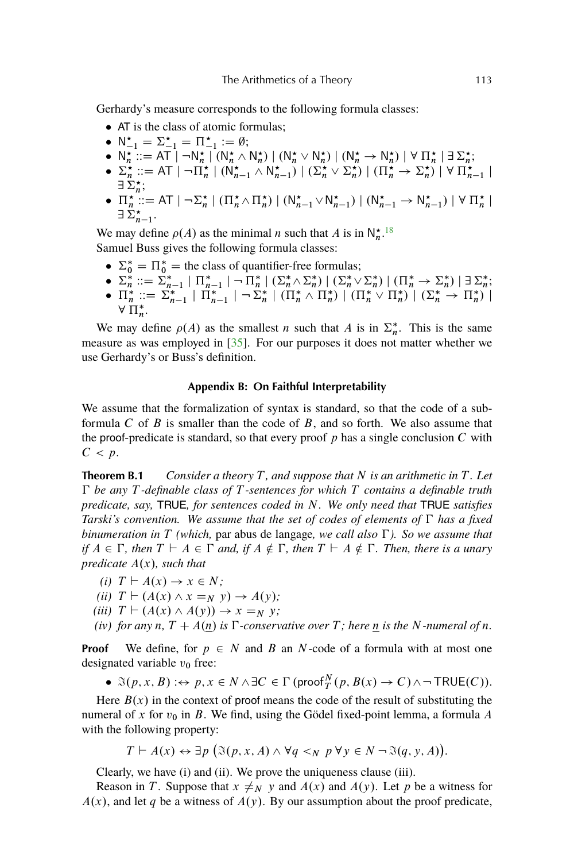<span id="page-32-0"></span>Gerhardy's measure corresponds to the following formula classes:

- AT is the class of atomic formulas;
- $N_{-1}^* = \Sigma_{-1}^* = \Pi_{-1}^* := \emptyset;$
- $N_n^* ::= AT \rceil \rceil N_n^* \rceil (N_n^* \wedge N_n^*) \rceil (N_n^* \vee N_n^*) \rceil (N_n^* \rightarrow N_n^*) \rceil \forall \rceil_n^* \rceil \exists \Sigma_n^*$
- $\Sigma_n^{\star} ::= AT \mid \neg \Pi_n^{\star} \mid (\mathsf{N}_{n-1}^{\star} \wedge \mathsf{N}_{n-1}^{\star}) \mid (\Sigma_n^{\star} \vee \Sigma_n^{\star}) \mid (\Pi_n^{\star} \to \Sigma_n^{\star}) \mid \forall \Pi_{n-1}^{\star} \mid$  $\exists$   $\sum_{n}^{\ldots}$
- $\exists \ \mathcal{L}_n$ ,<br>■  $\Pi_n^* ::= A\top | \neg \Sigma_n^* | (\Pi_n^* \wedge \Pi_n^*) | (N_{n-1}^* \vee N_{n-1}^*) | (N_{n-1}^* \rightarrow N_{n-1}^*) | \forall \ \Pi_n^* |$  $\exists \ddot{\Sigma}_{n-1}^{\star}.$

We may define  $\rho(A)$  as the minimal n such that A is in  $\mathsf{N}_{n}^{\star}$ .<sup>[18](#page-35-0)</sup> Samuel Buss gives the following formula classes:

- $\Sigma_0^* = \Pi_0^* =$  the class of quantifier-free formulas;
- $\Sigma_n^* ::= \Sigma_{n-1}^* | \Pi_{n-1}^* | \neg \Pi_n^* | (\Sigma_n^* \wedge \Sigma_n^*) | (\Sigma_n^* \vee \Sigma_n^*) | (\Pi_n^* \rightarrow \Sigma_n^*) | \exists \Sigma_n^*$ •  $\Pi_n^* ::= \sum_{n=1}^n |\Pi_{n-1}^*| - \sum_n^* | (\Pi_n^* \wedge \Pi_n^*) | (\Pi_n^* \vee \Pi_n^*) | (\Sigma_n^* \rightarrow \Pi_n^*) |$  $\forall \prod_{n=1}^{\infty}$ n .

We may define  $\rho(A)$  as the smallest n such that A is in  $\Sigma_n^*$ . This is the same measure as was employed in [\[35\]](#page-38-0). For our purposes it does not matter whether we use Gerhardy's or Buss's definition.

## **Appendix B: On Faithful Interpretability**

We assume that the formalization of syntax is standard, so that the code of a subformula C of B is smaller than the code of B, and so forth. We also assume that the proof-predicate is standard, so that every proof  $p$  has a single conclusion  $C$  with  $C < p$ .

**Theorem B.1** *Consider a theory* T *, and suppose that* N *is an arithmetic in* T *. Let be any* T *-definable class of* T *-sentences for which* T *contains a definable truth predicate, say,* TRUE*, for sentences coded in* N*. We only need that* TRUE *satisfies Tarski's convention. We assume that the set of codes of elements of*  $\Gamma$  *has a fixed binumeration in* T *(which,* par abus de langage*, we call also ). So we assume that if*  $A \in \Gamma$ , then  $T \vdash A \in \Gamma$  and, if  $A \notin \Gamma$ , then  $T \vdash A \notin \Gamma$ . Then, there is a unary *predicate*  $A(x)$ *, such that* 

- *(i)*  $T \vdash A(x) \rightarrow x \in N$ ;
- *(ii)*  $T \vdash (A(x) \land x =_N y) \rightarrow A(y);$
- *(iii)*  $T \vdash (A(x) \land A(y)) \rightarrow x =_N y;$
- *(iv) for any n,*  $T + A(n)$  *is*  $\Gamma$ *-conservative over*  $T$ *; here* <u>n</u> *is the* N*-numeral of n.*

**Proof** We define, for  $p \in N$  and B an N-code of a formula with at most one designated variable  $v_0$  free:

•  $\Im(p, x, B) : \leftrightarrow p, x \in N \wedge \exists C \in \Gamma \text{ (proof}^N_T(p, B(x) \to C) \wedge \neg \text{ TRUE}(C)).$ 

Here  $B(x)$  in the context of proof means the code of the result of substituting the numeral of x for  $v_0$  in B. We find, using the Gödel fixed-point lemma, a formula A with the following property:

 $T \vdash A(x) \leftrightarrow \exists p \ (\Im(p, x, A) \land \forall q <_N p \forall y \in N \neg \Im(q, y, A)).$ 

Clearly, we have (i) and (ii). We prove the uniqueness clause (iii).

Reason in T. Suppose that  $x \neq_N y$  and  $A(x)$  and  $A(y)$ . Let p be a witness for  $A(x)$ , and let q be a witness of  $A(y)$ . By our assumption about the proof predicate,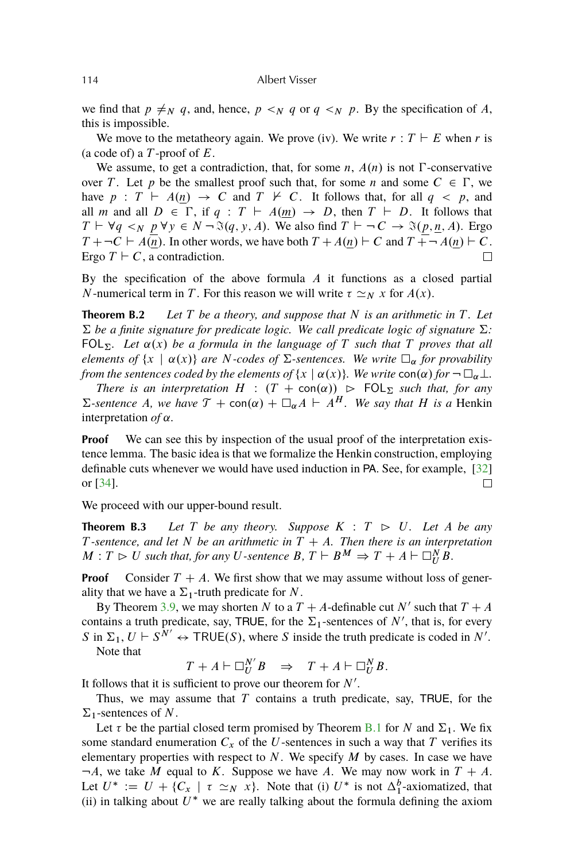<span id="page-33-0"></span>we find that  $p \neq_N q$ , and, hence,  $p \lt_N q$  or  $q \lt_N p$ . By the specification of A, this is impossible.

We move to the metatheory again. We prove (iv). We write  $r : T \vdash E$  when r is (a code of) a  $T$ -proof of  $E$ .

We assume, to get a contradiction, that, for some n,  $A(n)$  is not  $\Gamma$ -conservative over T. Let p be the smallest proof such that, for some n and some  $C \in \Gamma$ , we have  $p : T \vdash A(n) \rightarrow C$  and  $T \not\vdash C$ . It follows that, for all  $q \lt p$ , and all m and all  $D \in \Gamma$ , if  $q : T \vdash A(m) \rightarrow D$ , then  $T \vdash D$ . It follows that  $T \vdash \forall q \leq_N p \forall y \in N \neg \Im(q, y, A)$ . We also find  $T \vdash \neg C \rightarrow \Im(p, \underline{n}, A)$ . Ergo  $T + \neg C \vdash A(n)$ . In other words, we have both  $T + A(n) \vdash C$  and  $T + \neg A(n) \vdash C$ . Ergo  $T \vdash C$ , a contradiction.  $\Box$ 

By the specification of the above formula  $A$  it functions as a closed partial N-numerical term in T. For this reason we will write  $\tau \simeq_N x$  for  $A(x)$ .

**Theorem B.2** *Let* T *be a theory, and suppose that* N *is an arithmetic in* T *. Let*  $\Sigma$  be a finite signature for predicate logic. We call predicate logic of signature  $\Sigma$ : FOL<sub> $\Sigma$ </sub>. Let  $\alpha(x)$  be a formula in the language of T such that T proves that all *elements of*  $\{x \mid \alpha(x)\}$  *are N*-codes of  $\Sigma$ -sentences. We write  $\square_{\alpha}$  for provability *from the sentences coded by the elements of*  $\{x \mid \alpha(x)\}$ *. We write* con $(\alpha)$  *for*  $\neg \Box_{\alpha} \bot$ *.* 

*There is an interpretation*  $H : (T + \text{con}(\alpha)) \geq \text{FOL}_{\Sigma}$  *such that, for any*  $\Sigma$ -sentence A, we have  $\mathcal{T}$  + con( $\alpha$ ) +  $\square_{\alpha}$ A +  $\overline{A}^H$ . We say that H is a Henkin interpretation  $of \alpha$ .

**Proof** We can see this by inspection of the usual proof of the interpretation existence lemma. The basic idea is that we formalize the Henkin construction, employing definable cuts whenever we would have used induction in PA. See, for example, [\[32\]](#page-37-0) or [\[34\]](#page-38-0).  $\Box$ 

We proceed with our upper-bound result.

**Theorem B.3** Let T be any theory. Suppose  $K : T \geq U$ . Let A be any T-sentence, and let N be an arithmetic in  $T + A$ . Then there is an interpretation  $M: T \rhd U$  such that, for any U-sentence  $B, T \vdash B^M \Rightarrow T + A \vdash \Box_{U}^{N} \hat{B}.$ 

**Proof** Consider  $T + A$ . We first show that we may assume without loss of generality that we have a  $\Sigma_1$ -truth predicate for N.

By Theorem [3.9,](#page-8-0) we may shorten N to a  $T + A$ -definable cut N' such that  $T + A$ contains a truth predicate, say, TRUE, for the  $\Sigma_1$ -sentences of N', that is, for every S in  $\Sigma_1$ ,  $U \vdash S^{N'} \leftrightarrow \text{TRUE}(S)$ , where S inside the truth predicate is coded in N'. Note that

 $T + A \vdash \Box_{U}^{N'} B \Rightarrow T + A \vdash \Box_{U}^{N} B.$ 

It follows that it is sufficient to prove our theorem for  $N'$ .

Thus, we may assume that  $T$  contains a truth predicate, say, TRUE, for the  $\Sigma_1$ -sentences of N.

Let  $\tau$  be the partial closed term promised by Theorem [B.1](#page-32-0) for N and  $\Sigma_1$ . We fix some standard enumeration  $C_x$  of the U-sentences in such a way that T verifies its elementary properties with respect to  $N$ . We specify  $M$  by cases. In case we have  $\neg A$ , we take M equal to K. Suppose we have A. We may now work in  $T + A$ . Let  $U^* := U + \{C_x \mid \tau \simeq_N x\}$ . Note that (i)  $U^*$  is not  $\Delta_1^b$ -axiomatized, that (ii) in talking about  $U^*$  we are really talking about the formula defining the axiom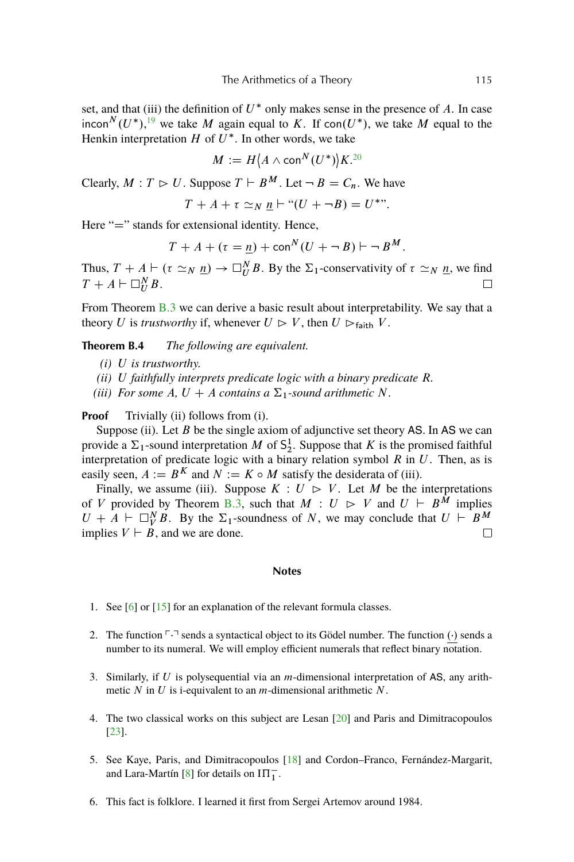<span id="page-34-0"></span>set, and that (iii) the definition of  $U^*$  only makes sense in the presence of A. In case incon $^{N}(U^*)$ , <sup>[19](#page-35-0)</sup> we take M again equal to K. If con $(U^*)$ , we take M equal to the Henkin interpretation  $H$  of  $U^*$ . In other words, we take

$$
M := H\langle A \wedge \text{con}^N(U^*)\rangle K^{20}
$$

Clearly,  $M: T \rhd U$ . Suppose  $T \vdash B^M$ . Let  $\neg B = C_n$ . We have

$$
T + A + \tau \simeq_N \underline{n} \vdash ``(U + \neg B) = U^*".
$$

Here " $=$ " stands for extensional identity. Hence,

$$
T + A + (\tau = \underline{n}) + \text{con}^N(U + \neg B) \vdash \neg B^M.
$$

Thus,  $T + A \vdash (\tau \simeq_N \underline{n}) \rightarrow \Box_{U}^{N} B$ . By the  $\Sigma_1$ -conservativity of  $\tau \simeq_N \underline{n}$ , we find  $T + A \vdash \Box_U^N B$ .  $\Box$ 

From Theorem [B.3](#page-33-0) we can derive a basic result about interpretability. We say that a theory U is *trustworthy* if, whenever  $U \rhd V$ , then  $U \rhd_{\text{faith}} V$ .

## **Theorem B.4** *The following are equivalent.*

- *(i)* U *is trustworthy.*
- *(ii)* U *faithfully interprets predicate logic with a binary predicate* R*.*
- *(iii) For some A, U + A contains a*  $\Sigma_1$ *-sound arithmetic N.*

## **Proof** Trivially (ii) follows from (i).

Suppose (ii). Let  $B$  be the single axiom of adjunctive set theory AS. In AS we can provide a  $\Sigma_1$ -sound interpretation M of  $\mathsf{S}_2^1$ . Suppose that K is the promised faithful interpretation of predicate logic with a binary relation symbol  $R$  in  $U$ . Then, as is easily seen,  $A := B^K$  and  $N := K \circ M$  satisfy the desiderata of (iii).

Finally, we assume (iii). Suppose  $K : U \triangleright V$ . Let M be the interpretations of V provided by Theorem [B.3,](#page-33-0) such that  $M : U \rhd V$  and  $U \rhd B^{\tilde{M}}$  implies  $U + A \vdash \Box_{V}^{N} B$ . By the  $\Sigma_{1}$ -soundness of N, we may conclude that  $U \vdash B^{M}$ implies  $V \vdash B$ , and we are done.

#### **Notes**

- 1. See [\[6\]](#page-36-0) or [\[15\]](#page-36-0) for an explanation of the relevant formula classes.
- 2. The function  $\ulcorner\cdot\urcorner$  sends a syntactical object to its Gödel number. The function  $(\cdot)$  sends a number to its numeral. We will employ efficient numerals that reflect binary notation.
- 3. Similarly, if U is polysequential via an  $m$ -dimensional interpretation of AS, any arithmetic  $N$  in  $U$  is i-equivalent to an  $m$ -dimensional arithmetic  $N$ .
- 4. The two classical works on this subject are Lesan [\[20\]](#page-37-0) and Paris and Dimitracopoulos [\[23\]](#page-37-0).
- 5. See Kaye, Paris, and Dimitracopoulos [\[18\]](#page-37-0) and Cordon–Franco, Fernández-Margarit, and Lara-Martín [\[8\]](#page-36-0) for details on  $I\Pi_1^-$ .
- 6. This fact is folklore. I learned it first from Sergei Artemov around 1984.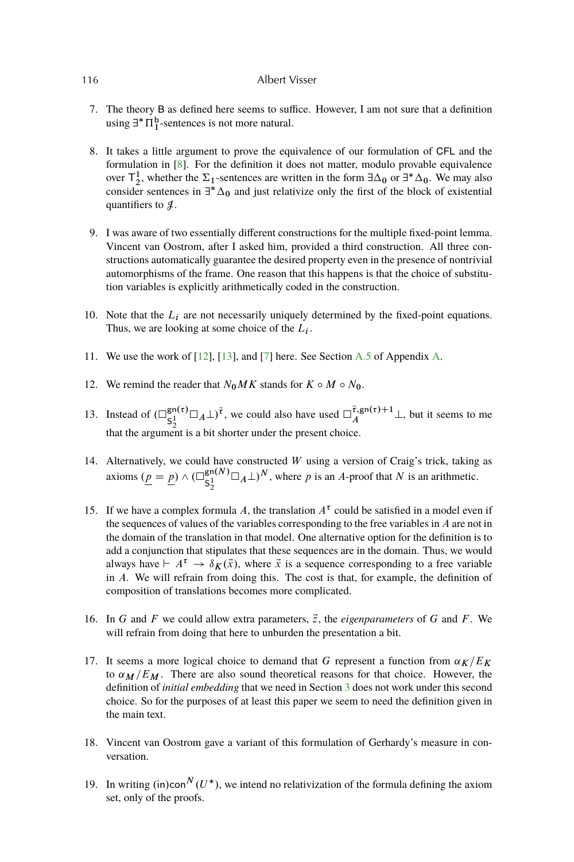- 7. The theory B as defined here seems to suffice. However, I am not sure that a definition using  $\exists^* \Pi_1^b$ -sentences is not more natural.
- 8. It takes a little argument to prove the equivalence of our formulation of CFL and the formulation in [\[8\]](#page-36-0). For the definition it does not matter, modulo provable equivalence over  $T_2^1$ , whether the  $\Sigma_1$ -sentences are written in the form  $\exists \Delta_0$  or  $\exists^* \Delta_0$ . We may also consider sentences in  $\exists^* \Delta_0$  and just relativize only the first of the block of existential quantifiers to  $\mathcal{J}$ .
- 9. I was aware of two essentially different constructions for the multiple fixed-point lemma. Vincent van Oostrom, after I asked him, provided a third construction. All three constructions automatically guarantee the desired property even in the presence of nontrivial automorphisms of the frame. One reason that this happens is that the choice of substitution variables is explicitly arithmetically coded in the construction.
- 10. Note that the  $L_i$  are not necessarily uniquely determined by the fixed-point equations. Thus, we are looking at some choice of the  $L_i$ .
- 11. We use the work of [\[12\]](#page-36-0), [\[13\]](#page-36-0), and [\[7\]](#page-36-0) here. See Section [A.5](#page-31-0) of Appendix [A.](#page-27-0)
- 12. We remind the reader that  $N_0MK$  stands for  $K \circ M \circ N_0$ .
- 13. Instead of  $\left(\Box_{c1}^{\text{gn}(\tau)}\right)$  $\int_{S_2^1}$   $\sum_{\tau=1}^{\infty}$  and  $\tau$  and  $\tau$  are used  $\prod_{A}^{\tau}$ ,  $\int_A$  but it seems to me that the argument is a bit shorter under the present choice.
- 14. Alternatively, we could have constructed  $W$  using a version of Craig's trick, taking as axioms  $(p = p) \wedge (\Box_{c1}^{\text{gn}(N)})$  $\int_{S_2^1}$   $\bigcup_{A}$   $\bigcup$   $N$ , where p is an A-proof that N is an arithmetic.
- 15. If we have a complex formula A, the translation  $A^{\tau}$  could be satisfied in a model even if the sequences of values of the variables corresponding to the free variables in A are not in the domain of the translation in that model. One alternative option for the definition is to add a conjunction that stipulates that these sequences are in the domain. Thus, we would always have  $\vdash A^{\tau} \to \delta_K(\vec{x})$ , where  $\vec{x}$  is a sequence corresponding to a free variable in A. We will refrain from doing this. The cost is that, for example, the definition of composition of translations becomes more complicated.
- 16. In G and F we could allow extra parameters,  $\vec{z}$ , the *eigenparameters* of G and F. We will refrain from doing that here to unburden the presentation a bit.
- 17. It seems a more logical choice to demand that G represent a function from  $\alpha_K/E_K$ to  $\alpha_M/E_M$ . There are also sound theoretical reasons for that choice. However, the definition of *initial embedding* that we need in Section [3](#page-5-0) does not work under this second choice. So for the purposes of at least this paper we seem to need the definition given in the main text.
- 18. Vincent van Oostrom gave a variant of this formulation of Gerhardy's measure in conversation.
- 19. In writing (in)con<sup>N</sup>  $(U^*)$ , we intend no relativization of the formula defining the axiom set, only of the proofs.

<span id="page-35-0"></span>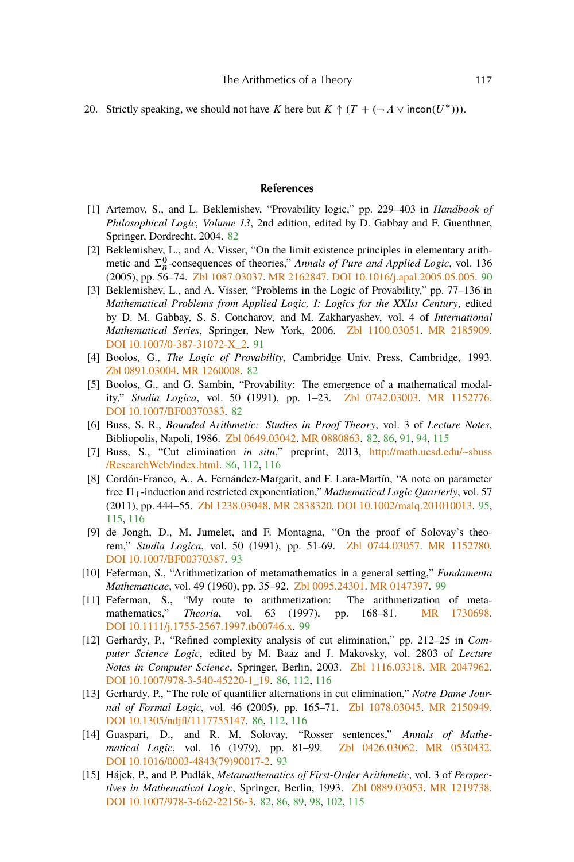<span id="page-36-0"></span>20. Strictly speaking, we should not have K here but  $K \uparrow (T + (-A \vee incon(U^*)))$ .

#### **References**

- [1] Artemov, S., and L. Beklemishev, "Provability logic," pp. 229–403 in *Handbook of Philosophical Logic, Volume 13*, 2nd edition, edited by D. Gabbay and F. Guenthner, Springer, Dordrecht, 2004. [82](#page-1-0)
- [2] Beklemishev, L., and A. Visser, "On the limit existence principles in elementary arithmetic and  $\Sigma_n^0$ -consequences of theories," *Annals of Pure and Applied Logic*, vol. 136 (2005), pp. 56–74. [Zbl 1087.03037.](http://www.emis.de/cgi-bin/MATH-item?1087.03037) [MR 2162847.](http://www.ams.org/mathscinet-getitem?mr=2162847) [DOI 10.1016/j.apal.2005.05.005.](http://dx.doi.org/10.1016/j.apal.2005.05.005) [90](#page-9-0)
- [3] Beklemishev, L., and A. Visser, "Problems in the Logic of Provability," pp. 77–136 in *Mathematical Problems from Applied Logic, I: Logics for the XXIst Century*, edited by D. M. Gabbay, S. S. Concharov, and M. Zakharyashev, vol. 4 of *International Mathematical Series*, Springer, New York, 2006. [Zbl 1100.03051.](http://www.emis.de/cgi-bin/MATH-item?1100.03051) [MR 2185909.](http://www.ams.org/mathscinet-getitem?mr=2185909) [DOI 10.1007/0-387-31072-X\\_2.](http://dx.doi.org/10.1007/0-387-31072-X_2) [91](#page-10-0)
- [4] Boolos, G., *The Logic of Provability*, Cambridge Univ. Press, Cambridge, 1993. [Zbl 0891.03004.](http://www.emis.de/cgi-bin/MATH-item?0891.03004) [MR 1260008.](http://www.ams.org/mathscinet-getitem?mr=1260008) [82](#page-1-0)
- [5] Boolos, G., and G. Sambin, "Provability: The emergence of a mathematical modality," *Studia Logica*, vol. 50 (1991), pp. 1–23. [Zbl 0742.03003.](http://www.emis.de/cgi-bin/MATH-item?0742.03003) [MR 1152776.](http://www.ams.org/mathscinet-getitem?mr=1152776) [DOI 10.1007/BF00370383.](http://dx.doi.org/10.1007/BF00370383) [82](#page-1-0)
- [6] Buss, S. R., *Bounded Arithmetic: Studies in Proof Theory*, vol. 3 of *Lecture Notes*, Bibliopolis, Napoli, 1986. [Zbl 0649.03042.](http://www.emis.de/cgi-bin/MATH-item?0649.03042) [MR 0880863.](http://www.ams.org/mathscinet-getitem?mr=0880863) [82,](#page-1-0) [86,](#page-5-0) [91,](#page-10-0) [94,](#page-13-0) [115](#page-34-0)
- [7] Buss, S., "Cut elimination *in situ*," preprint, 2013, [http://math.ucsd.edu/~sbuss](http://math.ucsd.edu/~sbuss/ResearchWeb/index.html) [/ResearchWeb/index.html.](http://math.ucsd.edu/~sbuss/ResearchWeb/index.html) [86,](#page-5-0) [112,](#page-31-0) [116](#page-35-0)
- [8] Cordón-Franco, A., A. Fernández-Margarit, and F. Lara-Martín, "A note on parameter free  $\Pi_1$ -induction and restricted exponentiation," *Mathematical Logic Quarterly*, vol. 57 (2011), pp. 444–55. [Zbl 1238.03048.](http://www.emis.de/cgi-bin/MATH-item?1238.03048) [MR 2838320.](http://www.ams.org/mathscinet-getitem?mr=2838320) [DOI 10.1002/malq.201010013.](http://dx.doi.org/10.1002/malq.201010013) [95,](#page-14-0) [115,](#page-34-0) [116](#page-35-0)
- [9] de Jongh, D., M. Jumelet, and F. Montagna, "On the proof of Solovay's theorem," *Studia Logica*, vol. 50 (1991), pp. 51-69. [Zbl 0744.03057.](http://www.emis.de/cgi-bin/MATH-item?0744.03057) [MR 1152780.](http://www.ams.org/mathscinet-getitem?mr=1152780) [DOI 10.1007/BF00370387.](http://dx.doi.org/10.1007/BF00370387) [93](#page-12-0)
- [10] Feferman, S., "Arithmetization of metamathematics in a general setting," *Fundamenta Mathematicae*, vol. 49 (1960), pp. 35–92. [Zbl 0095.24301.](http://www.emis.de/cgi-bin/MATH-item?0095.24301) [MR 0147397.](http://www.ams.org/mathscinet-getitem?mr=0147397) [99](#page-18-0)
- [11] Feferman, S., "My route to arithmetization: The arithmetization of metamathematics," *Theoria*, vol. 63 (1997), pp. 168–81. [MR 1730698.](http://www.ams.org/mathscinet-getitem?mr=1730698) [DOI 10.1111/j.1755-2567.1997.tb00746.x.](http://dx.doi.org/10.1111/j.1755-2567.1997.tb00746.x) [99](#page-18-0)
- [12] Gerhardy, P., "Refined complexity analysis of cut elimination," pp. 212–25 in *Computer Science Logic*, edited by M. Baaz and J. Makovsky, vol. 2803 of *Lecture Notes in Computer Science*, Springer, Berlin, 2003. [Zbl 1116.03318.](http://www.emis.de/cgi-bin/MATH-item?1116.03318) [MR 2047962.](http://www.ams.org/mathscinet-getitem?mr=2047962) [DOI 10.1007/978-3-540-45220-1\\_19.](http://dx.doi.org/10.1007/978-3-540-45220-1_19) [86,](#page-5-0) [112,](#page-31-0) [116](#page-35-0)
- [13] Gerhardy, P., "The role of quantifier alternations in cut elimination," *Notre Dame Journal of Formal Logic*, vol. 46 (2005), pp. 165–71. [Zbl 1078.03045.](http://www.emis.de/cgi-bin/MATH-item?1078.03045) [MR 2150949.](http://www.ams.org/mathscinet-getitem?mr=2150949) [DOI 10.1305/ndjfl/1117755147.](http://dx.doi.org/10.1305/ndjfl/1117755147) [86,](#page-5-0) [112,](#page-31-0) [116](#page-35-0)
- [14] Guaspari, D., and R. M. Solovay, "Rosser sentences," *Annals of Mathematical Logic*, vol. 16 (1979), pp. 81–99. [Zbl 0426.03062.](http://www.emis.de/cgi-bin/MATH-item?0426.03062) [MR 0530432.](http://www.ams.org/mathscinet-getitem?mr=0530432) [DOI 10.1016/0003-4843\(79\)90017-2.](http://dx.doi.org/10.1016/0003-4843(79)90017-2) [93](#page-12-0)
- [15] Hájek, P., and P. Pudlák, *Metamathematics of First-Order Arithmetic*, vol. 3 of *Perspectives in Mathematical Logic*, Springer, Berlin, 1993. [Zbl 0889.03053.](http://www.emis.de/cgi-bin/MATH-item?0889.03053) [MR 1219738.](http://www.ams.org/mathscinet-getitem?mr=1219738) [DOI 10.1007/978-3-662-22156-3.](http://dx.doi.org/10.1007/978-3-662-22156-3) [82,](#page-1-0) [86,](#page-5-0) [89,](#page-8-0) [98,](#page-17-0) [102,](#page-21-0) [115](#page-34-0)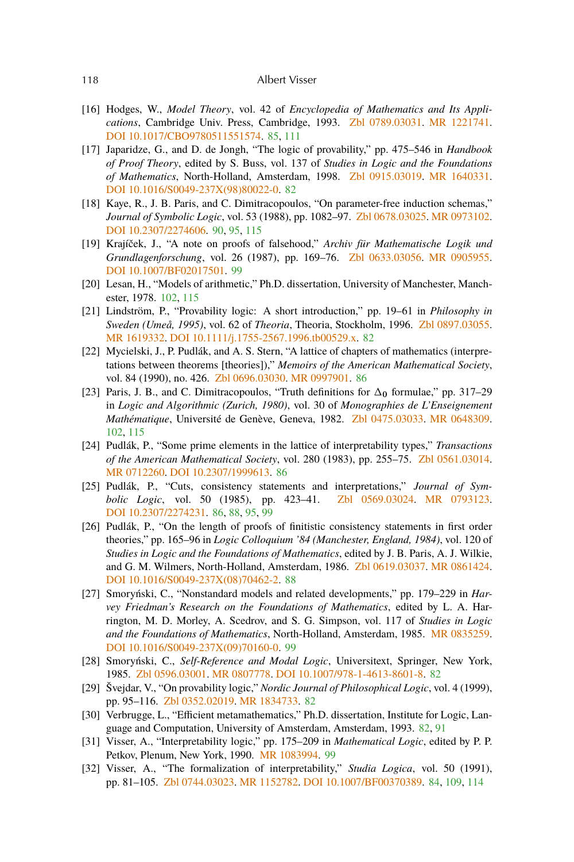- <span id="page-37-0"></span>[16] Hodges, W., *Model Theory*, vol. 42 of *Encyclopedia of Mathematics and Its Applications*, Cambridge Univ. Press, Cambridge, 1993. [Zbl 0789.03031.](http://www.emis.de/cgi-bin/MATH-item?0789.03031) [MR 1221741.](http://www.ams.org/mathscinet-getitem?mr=1221741) [DOI 10.1017/CBO9780511551574.](http://dx.doi.org/10.1017/CBO9780511551574) [85,](#page-4-0) [111](#page-30-0)
- [17] Japaridze, G., and D. de Jongh, "The logic of provability," pp. 475–546 in *Handbook of Proof Theory*, edited by S. Buss, vol. 137 of *Studies in Logic and the Foundations of Mathematics*, North-Holland, Amsterdam, 1998. [Zbl 0915.03019.](http://www.emis.de/cgi-bin/MATH-item?0915.03019) [MR 1640331.](http://www.ams.org/mathscinet-getitem?mr=1640331) [DOI 10.1016/S0049-237X\(98\)80022-0.](http://dx.doi.org/10.1016/S0049-237X(98)80022-0) [82](#page-1-0)
- [18] Kaye, R., J. B. Paris, and C. Dimitracopoulos, "On parameter-free induction schemas," *Journal of Symbolic Logic*, vol. 53 (1988), pp. 1082–97. [Zbl 0678.03025.](http://www.emis.de/cgi-bin/MATH-item?0678.03025) [MR 0973102.](http://www.ams.org/mathscinet-getitem?mr=0973102) [DOI 10.2307/2274606.](http://dx.doi.org/10.2307/2274606) [90,](#page-9-0) [95,](#page-14-0) [115](#page-34-0)
- [19] Krajíček, J., "A note on proofs of falsehood," *Archiv für Mathematische Logik und Grundlagenforschung*, vol. 26 (1987), pp. 169–76. [Zbl 0633.03056.](http://www.emis.de/cgi-bin/MATH-item?0633.03056) [MR 0905955.](http://www.ams.org/mathscinet-getitem?mr=0905955) [DOI 10.1007/BF02017501.](http://dx.doi.org/10.1007/BF02017501) [99](#page-18-0)
- [20] Lesan, H., "Models of arithmetic," Ph.D. dissertation, University of Manchester, Manchester, 1978. [102,](#page-21-0) [115](#page-34-0)
- [21] Lindström, P., "Provability logic: A short introduction," pp. 19–61 in *Philosophy in Sweden (Umeå, 1995)*, vol. 62 of *Theoria*, Theoria, Stockholm, 1996. [Zbl 0897.03055.](http://www.emis.de/cgi-bin/MATH-item?0897.03055) [MR 1619332.](http://www.ams.org/mathscinet-getitem?mr=1619332) [DOI 10.1111/j.1755-2567.1996.tb00529.x.](http://dx.doi.org/10.1111/j.1755-2567.1996.tb00529.x) [82](#page-1-0)
- [22] Mycielski, J., P. Pudlák, and A. S. Stern, "A lattice of chapters of mathematics (interpretations between theorems [theories])," *Memoirs of the American Mathematical Society*, vol. 84 (1990), no. 426. [Zbl 0696.03030.](http://www.emis.de/cgi-bin/MATH-item?0696.03030) [MR 0997901.](http://www.ams.org/mathscinet-getitem?mr=0997901) [86](#page-5-0)
- [23] Paris, J. B., and C. Dimitracopoulos, "Truth definitions for  $\Delta_0$  formulae," pp. 317–29 in *Logic and Algorithmic (Zurich, 1980)*, vol. 30 of *Monographies de L'Enseignement Mathématique*, Université de Genève, Geneva, 1982. [Zbl 0475.03033.](http://www.emis.de/cgi-bin/MATH-item?0475.03033) [MR 0648309.](http://www.ams.org/mathscinet-getitem?mr=0648309) [102,](#page-21-0) [115](#page-34-0)
- [24] Pudlák, P., "Some prime elements in the lattice of interpretability types," *Transactions of the American Mathematical Society*, vol. 280 (1983), pp. 255–75. [Zbl 0561.03014.](http://www.emis.de/cgi-bin/MATH-item?0561.03014) [MR 0712260.](http://www.ams.org/mathscinet-getitem?mr=0712260) [DOI 10.2307/1999613.](http://dx.doi.org/10.2307/1999613) [86](#page-5-0)
- [25] Pudlák, P., "Cuts, consistency statements and interpretations," *Journal of Symbolic Logic*, vol. 50 (1985), pp. 423–41. [Zbl 0569.03024.](http://www.emis.de/cgi-bin/MATH-item?0569.03024) [MR 0793123.](http://www.ams.org/mathscinet-getitem?mr=0793123) [DOI 10.2307/2274231.](http://dx.doi.org/10.2307/2274231) [86,](#page-5-0) [88,](#page-7-0) [95,](#page-14-0) [99](#page-18-0)
- [26] Pudlák, P., "On the length of proofs of finitistic consistency statements in first order theories," pp. 165–96 in *Logic Colloquium '84 (Manchester, England, 1984)*, vol. 120 of *Studies in Logic and the Foundations of Mathematics*, edited by J. B. Paris, A. J. Wilkie, and G. M. Wilmers, North-Holland, Amsterdam, 1986. [Zbl 0619.03037.](http://www.emis.de/cgi-bin/MATH-item?0619.03037) [MR 0861424.](http://www.ams.org/mathscinet-getitem?mr=0861424) [DOI 10.1016/S0049-237X\(08\)70462-2.](http://dx.doi.org/10.1016/S0049-237X(08)70462-2) [88](#page-7-0)
- [27] Smoryński, C., "Nonstandard models and related developments," pp. 179–229 in *Harvey Friedman's Research on the Foundations of Mathematics*, edited by L. A. Harrington, M. D. Morley, A. Scedrov, and S. G. Simpson, vol. 117 of *Studies in Logic and the Foundations of Mathematics*, North-Holland, Amsterdam, 1985. [MR 0835259.](http://www.ams.org/mathscinet-getitem?mr=0835259) [DOI 10.1016/S0049-237X\(09\)70160-0.](http://dx.doi.org/10.1016/S0049-237X(09)70160-0) [99](#page-18-0)
- [28] Smoryński, C., *Self-Reference and Modal Logic*, Universitext, Springer, New York, 1985. [Zbl 0596.03001.](http://www.emis.de/cgi-bin/MATH-item?0596.03001) [MR 0807778.](http://www.ams.org/mathscinet-getitem?mr=0807778) [DOI 10.1007/978-1-4613-8601-8.](http://dx.doi.org/10.1007/978-1-4613-8601-8) [82](#page-1-0)
- [29] Švejdar, V., "On provability logic," *Nordic Journal of Philosophical Logic*, vol. 4 (1999), pp. 95–116. [Zbl 0352.02019.](http://www.emis.de/cgi-bin/MATH-item?0352.02019) [MR 1834733.](http://www.ams.org/mathscinet-getitem?mr=1834733) [82](#page-1-0)
- [30] Verbrugge, L., "Efficient metamathematics," Ph.D. dissertation, Institute for Logic, Language and Computation, University of Amsterdam, Amsterdam, 1993. [82,](#page-1-0) [91](#page-10-0)
- [31] Visser, A., "Interpretability logic," pp. 175–209 in *Mathematical Logic*, edited by P. P. Petkov, Plenum, New York, 1990. [MR 1083994.](http://www.ams.org/mathscinet-getitem?mr=1083994) [99](#page-18-0)
- [32] Visser, A., "The formalization of interpretability," *Studia Logica*, vol. 50 (1991), pp. 81–105. [Zbl 0744.03023.](http://www.emis.de/cgi-bin/MATH-item?0744.03023) [MR 1152782.](http://www.ams.org/mathscinet-getitem?mr=1152782) [DOI 10.1007/BF00370389.](http://dx.doi.org/10.1007/BF00370389) [84,](#page-3-0) [109,](#page-28-0) [114](#page-33-0)